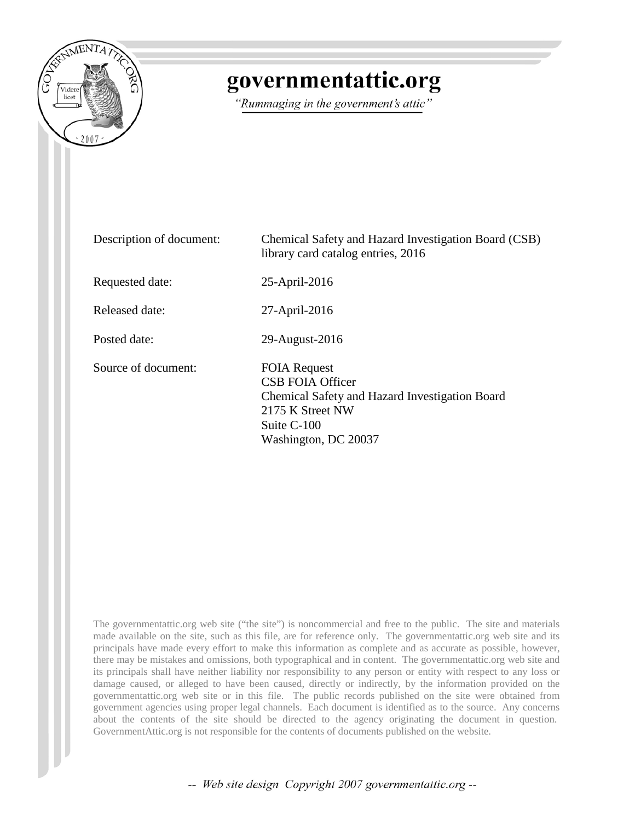

## governmentattic.org

"Rummaging in the government's attic"

| Description of document: | Chemical Safety and Hazard Investigation Board (CSB)<br>library card catalog entries, 2016                                                           |
|--------------------------|------------------------------------------------------------------------------------------------------------------------------------------------------|
| Requested date:          | 25-April-2016                                                                                                                                        |
| Released date:           | 27-April-2016                                                                                                                                        |
| Posted date:             | 29-August-2016                                                                                                                                       |
| Source of document:      | <b>FOIA Request</b><br>CSB FOIA Officer<br>Chemical Safety and Hazard Investigation Board<br>2175 K Street NW<br>Suite C-100<br>Washington, DC 20037 |

The governmentattic.org web site ("the site") is noncommercial and free to the public. The site and materials made available on the site, such as this file, are for reference only. The governmentattic.org web site and its principals have made every effort to make this information as complete and as accurate as possible, however, there may be mistakes and omissions, both typographical and in content. The governmentattic.org web site and its principals shall have neither liability nor responsibility to any person or entity with respect to any loss or damage caused, or alleged to have been caused, directly or indirectly, by the information provided on the governmentattic.org web site or in this file. The public records published on the site were obtained from government agencies using proper legal channels. Each document is identified as to the source. Any concerns about the contents of the site should be directed to the agency originating the document in question. GovernmentAttic.org is not responsible for the contents of documents published on the website.

-- Web site design Copyright 2007 governmentattic.org --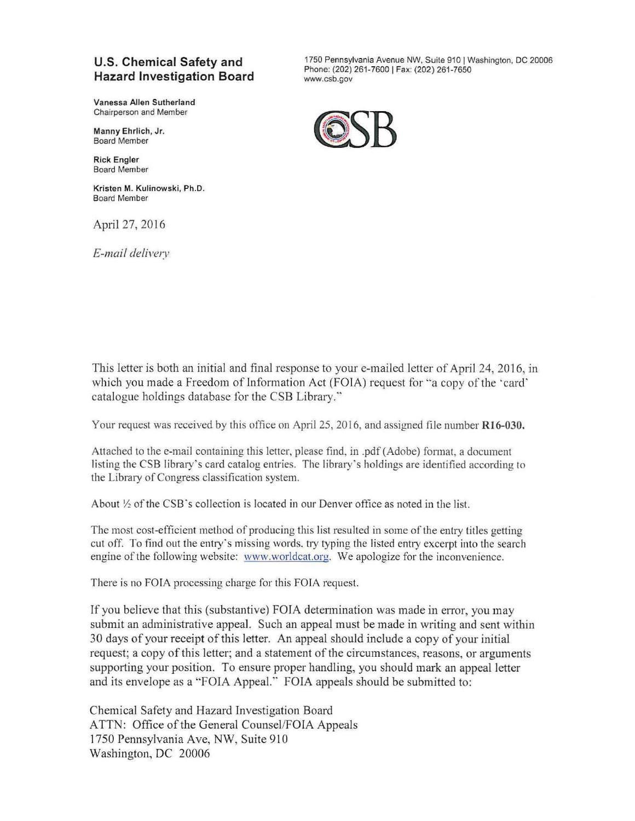## **U.S. Chemical Safety and Hazard Investigation Board**

Vanessa Allen Sutherland Chairperson and Member

Manny Ehrlich, Jr. Board Member

Rick Engler Board Member

Kristen M. Kulinowski, Ph.D. Board Member

April 27, 2016

*E-mail delivery* 

1750 Pennsylvania Avenue NW, Suite 910 J Washington, DC 20006 Phone: (202) 261-7600 J Fax: (202) 261-7650 www.csb.gov



This letter is both an initial and final response to your e-mailed letter of April 24, 2016, in which you made a Freedom of Information Act (FOIA) request for "a copy of the 'card' catalogue holdings database for the CSB Library."

Your request was received by this office on April 25, 2016, and assigned file number R16-030.

Attached to the e-mail containing this letter, please find, in .pdf (Adobe) fonnat, a document listing the CSB library·s card catalog entries. The library·s holdings are identified according to the Library of Congress classification system.

About  $\frac{1}{2}$  of the CSB's collection is located in our Denver office as noted in the list.

The most cost-efficient method of producing this list resulted in some of the entry titles getting cut off. To find out the entry's missing words, try typing the listed entry excerpt into the search engine of the following website: www.worldcat.org. We apologize for the inconvenience.

There is no FOIA processing charge for this FOIA request.

If you believe that this (substantive) FOIA detennination was made in error, you may submit an administrative appeal. Such an appeal must be made in writing and sent within 30 days of your receipt of this letter. An appeal should include a copy of your initial request; a copy of this letter; and a statement of the circumstances, reasons, or arguments supporting your position. To ensure proper handling, you should mark an appeal letter and its envelope as a "FOIA Appeal." FOIA appeals should be submitted to:

Chemical Safety and Hazard Investigation Board ATTN: Office of the General Counsel/FOIA Appeals 1750 Pennsylvania Ave, NW, Suite 910 Washington, DC 20006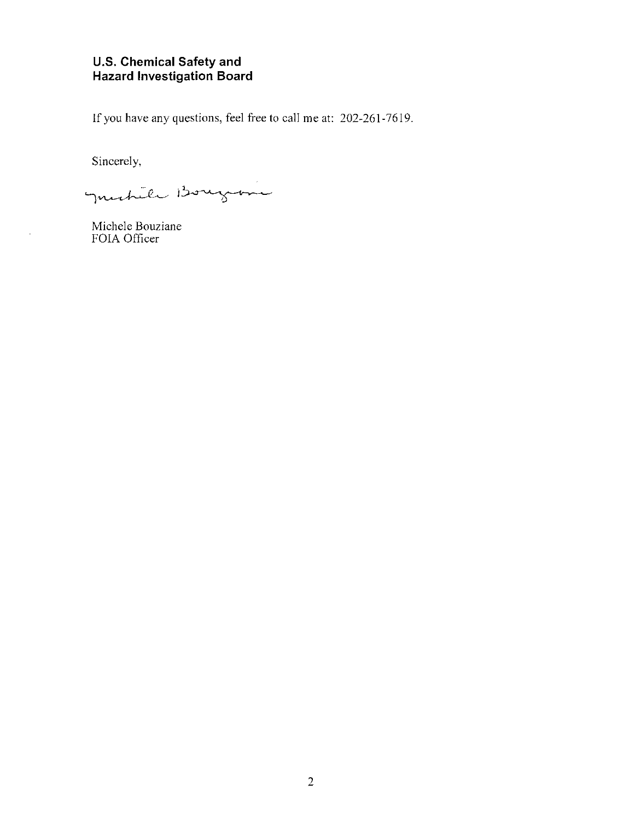## **U.S. Chemical Safety and Hazard Investigation Board**

If you have any questions, feel free to call me at: 202-261-7619.

Sincerely,

l.

Justile Bougane

Michele Bouziane FOIA Officer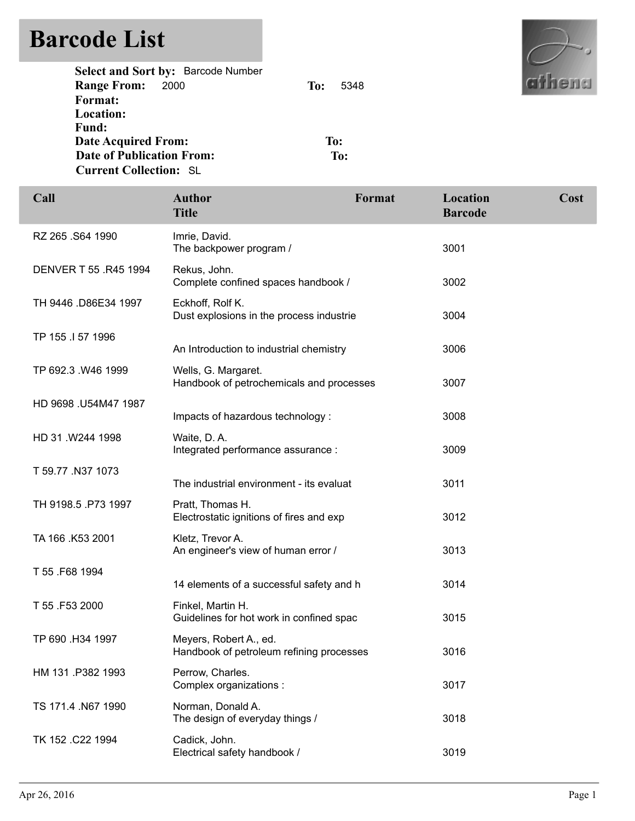## **Barcode List**

| <b>Hire</b> |  |
|-------------|--|

| To: | -5348 |
|-----|-------|
|     |       |
|     |       |
|     |       |
|     | To:   |
|     | To:   |
|     |       |
|     |       |

| Call                  | <b>Author</b><br><b>Title</b>                                      | Format | Location<br><b>Barcode</b> | Cost |
|-----------------------|--------------------------------------------------------------------|--------|----------------------------|------|
| RZ 265 .S64 1990      | Imrie, David.<br>The backpower program /                           |        | 3001                       |      |
| DENVER T 55 .R45 1994 | Rekus, John.<br>Complete confined spaces handbook /                |        | 3002                       |      |
| TH 9446 .D86E34 1997  | Eckhoff, Rolf K.<br>Dust explosions in the process industrie       |        | 3004                       |      |
| TP 155 .I 57 1996     | An Introduction to industrial chemistry                            |        | 3006                       |      |
| TP 692.3 .W46 1999    | Wells, G. Margaret.<br>Handbook of petrochemicals and processes    |        | 3007                       |      |
| HD 9698 .U54M47 1987  | Impacts of hazardous technology:                                   |        | 3008                       |      |
| HD 31 .W244 1998      | Waite, D.A.<br>Integrated performance assurance :                  |        | 3009                       |      |
| T 59.77 .N37 1073     | The industrial environment - its evaluat                           |        | 3011                       |      |
| TH 9198.5 .P73 1997   | Pratt, Thomas H.<br>Electrostatic ignitions of fires and exp       |        | 3012                       |      |
| TA 166 .K53 2001      | Kletz, Trevor A.<br>An engineer's view of human error /            |        | 3013                       |      |
| T 55 .F68 1994        | 14 elements of a successful safety and h                           |        | 3014                       |      |
| T 55 .F53 2000        | Finkel, Martin H.<br>Guidelines for hot work in confined spac      |        | 3015                       |      |
| TP 690 .H34 1997      | Meyers, Robert A., ed.<br>Handbook of petroleum refining processes |        | 3016                       |      |
| HM 131 P382 1993      | Perrow, Charles.<br>Complex organizations :                        |        | 3017                       |      |
| TS 171.4 N67 1990     | Norman, Donald A.<br>The design of everyday things /               |        | 3018                       |      |
| TK 152 .C22 1994      | Cadick, John.<br>Electrical safety handbook /                      |        | 3019                       |      |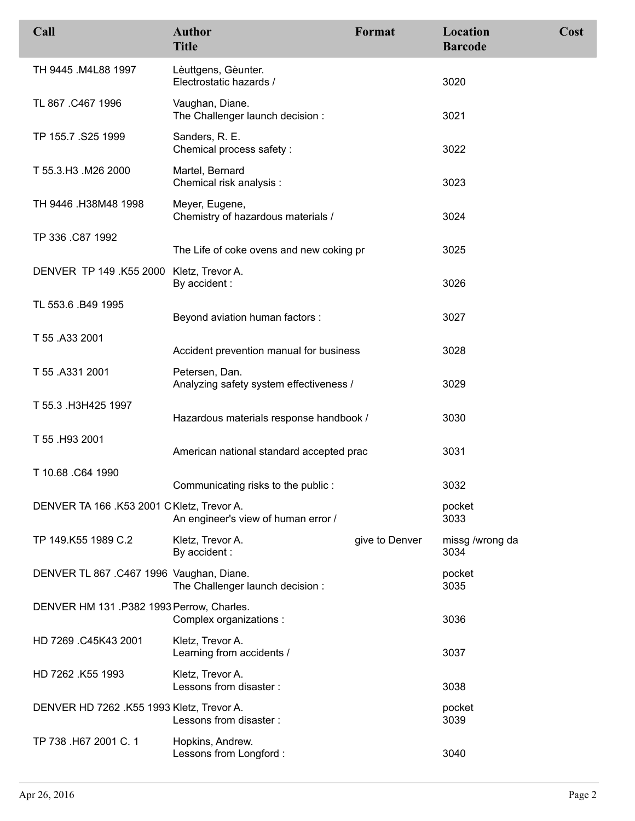| Call                                      | <b>Author</b><br><b>Title</b>                             | Format         | Location<br><b>Barcode</b> | Cost |
|-------------------------------------------|-----------------------------------------------------------|----------------|----------------------------|------|
| TH 9445 .M4L88 1997                       | Lèuttgens, Gèunter.<br>Electrostatic hazards /            |                | 3020                       |      |
| TL 867 .C467 1996                         | Vaughan, Diane.<br>The Challenger launch decision :       |                | 3021                       |      |
| TP 155.7 .S25 1999                        | Sanders, R. E.<br>Chemical process safety:                |                | 3022                       |      |
| T 55.3.H3 .M26 2000                       | Martel, Bernard<br>Chemical risk analysis :               |                | 3023                       |      |
| TH 9446 .H38M48 1998                      | Meyer, Eugene,<br>Chemistry of hazardous materials /      |                | 3024                       |      |
| TP 336 .C87 1992                          | The Life of coke ovens and new coking pr                  |                | 3025                       |      |
| DENVER TP 149 .K55 2000 Kletz, Trevor A.  | By accident :                                             |                | 3026                       |      |
| TL 553.6 .B49 1995                        | Beyond aviation human factors :                           |                | 3027                       |      |
| T 55 .A33 2001                            | Accident prevention manual for business                   |                | 3028                       |      |
| T 55 .A331 2001                           | Petersen, Dan.<br>Analyzing safety system effectiveness / |                | 3029                       |      |
| T 55.3 .H3H425 1997                       | Hazardous materials response handbook /                   |                | 3030                       |      |
| T 55 .H93 2001                            | American national standard accepted prac                  |                | 3031                       |      |
| T 10.68 .C64 1990                         | Communicating risks to the public:                        |                | 3032                       |      |
| DENVER TA 166 .K53 2001 CKletz, Trevor A. | An engineer's view of human error /                       |                | pocket<br>3033             |      |
| TP 149.K55 1989 C.2                       | Kletz, Trevor A.<br>By accident:                          | give to Denver | missg /wrong da<br>3034    |      |
| DENVER TL 867 .C467 1996 Vaughan, Diane.  | The Challenger launch decision:                           |                | pocket<br>3035             |      |
| DENVER HM 131 .P382 1993 Perrow, Charles. | Complex organizations :                                   |                | 3036                       |      |
| HD 7269 .C45K43 2001                      | Kletz, Trevor A.<br>Learning from accidents /             |                | 3037                       |      |
| HD 7262 .K55 1993                         | Kletz, Trevor A.<br>Lessons from disaster:                |                | 3038                       |      |
| DENVER HD 7262 .K55 1993 Kletz, Trevor A. | Lessons from disaster :                                   |                | pocket<br>3039             |      |
| TP 738 .H67 2001 C. 1                     | Hopkins, Andrew.<br>Lessons from Longford :               |                | 3040                       |      |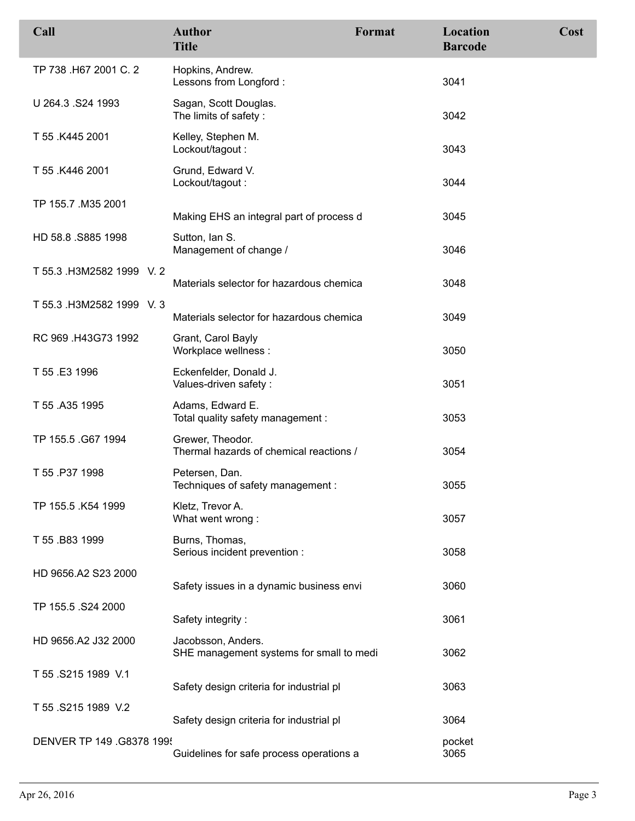| Call                      | <b>Author</b><br><b>Title</b>                                  | Format | Location<br><b>Barcode</b> | Cost |
|---------------------------|----------------------------------------------------------------|--------|----------------------------|------|
| TP 738 .H67 2001 C. 2     | Hopkins, Andrew.<br>Lessons from Longford :                    |        | 3041                       |      |
| U 264.3 .S24 1993         | Sagan, Scott Douglas.<br>The limits of safety:                 |        | 3042                       |      |
| T 55 .K445 2001           | Kelley, Stephen M.<br>Lockout/tagout:                          |        | 3043                       |      |
| T 55 .K446 2001           | Grund, Edward V.<br>Lockout/tagout:                            |        | 3044                       |      |
| TP 155.7 .M35 2001        | Making EHS an integral part of process d                       |        | 3045                       |      |
| HD 58.8 .S885 1998        | Sutton, Ian S.<br>Management of change /                       |        | 3046                       |      |
| T 55.3 .H3M2582 1999 V.2  | Materials selector for hazardous chemica                       |        | 3048                       |      |
| T 55.3 .H3M2582 1999 V.3  | Materials selector for hazardous chemica                       |        | 3049                       |      |
| RC 969 .H43G73 1992       | Grant, Carol Bayly<br>Workplace wellness :                     |        | 3050                       |      |
| T 55 .E3 1996             | Eckenfelder, Donald J.<br>Values-driven safety :               |        | 3051                       |      |
| T 55 .A35 1995            | Adams, Edward E.<br>Total quality safety management :          |        | 3053                       |      |
| TP 155.5 .G67 1994        | Grewer, Theodor.<br>Thermal hazards of chemical reactions /    |        | 3054                       |      |
| T 55 .P37 1998            | Petersen, Dan.<br>Techniques of safety management:             |        | 3055                       |      |
| TP 155.5 .K54 1999        | Kletz, Trevor A.<br>What went wrong:                           |        | 3057                       |      |
| T 55 .B83 1999            | Burns, Thomas,<br>Serious incident prevention :                |        | 3058                       |      |
| HD 9656.A2 S23 2000       | Safety issues in a dynamic business envi                       |        | 3060                       |      |
| TP 155.5 .S24 2000        | Safety integrity:                                              |        | 3061                       |      |
| HD 9656.A2 J32 2000       | Jacobsson, Anders.<br>SHE management systems for small to medi |        | 3062                       |      |
| T 55 .S215 1989 V.1       | Safety design criteria for industrial pl                       |        | 3063                       |      |
| T 55 .S215 1989 V.2       | Safety design criteria for industrial pl                       |        | 3064                       |      |
| DENVER TP 149 .G8378 199! | Guidelines for safe process operations a                       |        | pocket<br>3065             |      |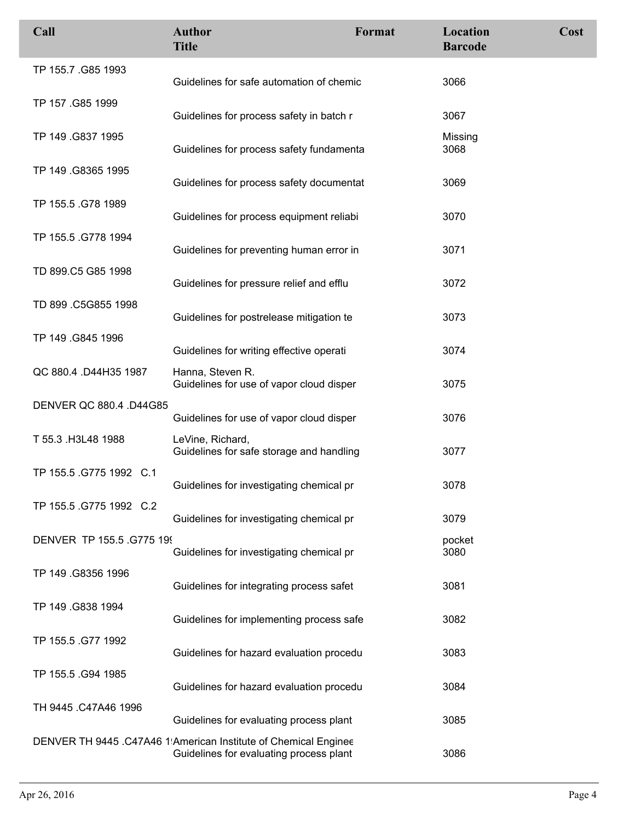| Call                      | <b>Author</b><br><b>Title</b>                                                                              | Format | Location<br><b>Barcode</b> | Cost |
|---------------------------|------------------------------------------------------------------------------------------------------------|--------|----------------------------|------|
| TP 155.7 .G85 1993        | Guidelines for safe automation of chemic                                                                   |        | 3066                       |      |
| TP 157 .G85 1999          | Guidelines for process safety in batch r                                                                   |        | 3067                       |      |
| TP 149 .G837 1995         | Guidelines for process safety fundamenta                                                                   |        | Missing<br>3068            |      |
| TP 149 .G8365 1995        | Guidelines for process safety documentat                                                                   |        | 3069                       |      |
| TP 155.5 .G78 1989        | Guidelines for process equipment reliabi                                                                   |        | 3070                       |      |
| TP 155.5 .G778 1994       | Guidelines for preventing human error in                                                                   |        | 3071                       |      |
| TD 899.C5 G85 1998        | Guidelines for pressure relief and efflu                                                                   |        | 3072                       |      |
| TD 899 .C5G855 1998       | Guidelines for postrelease mitigation te                                                                   |        | 3073                       |      |
| TP 149 .G845 1996         | Guidelines for writing effective operati                                                                   |        | 3074                       |      |
| QC 880.4 .D44H35 1987     | Hanna, Steven R.<br>Guidelines for use of vapor cloud disper                                               |        | 3075                       |      |
| DENVER QC 880.4 .D44G85   | Guidelines for use of vapor cloud disper                                                                   |        | 3076                       |      |
| T 55.3 .H3L48 1988        | LeVine, Richard,<br>Guidelines for safe storage and handling                                               |        | 3077                       |      |
| TP 155.5 .G775 1992 C.1   | Guidelines for investigating chemical pr                                                                   |        | 3078                       |      |
| TP 155.5 .G775 1992 C.2   | Guidelines for investigating chemical pr                                                                   |        | 3079                       |      |
| DENVER TP 155.5 .G775 199 | Guidelines for investigating chemical pr                                                                   |        | pocket<br>3080             |      |
| TP 149 .G8356 1996        | Guidelines for integrating process safet                                                                   |        | 3081                       |      |
| TP 149 .G838 1994         | Guidelines for implementing process safe                                                                   |        | 3082                       |      |
| TP 155.5 .G77 1992        | Guidelines for hazard evaluation procedu                                                                   |        | 3083                       |      |
| TP 155.5 .G94 1985        | Guidelines for hazard evaluation procedu                                                                   |        | 3084                       |      |
| TH 9445 .C47A46 1996      | Guidelines for evaluating process plant                                                                    |        | 3085                       |      |
|                           | DENVER TH 9445 .C47A46 1 American Institute of Chemical Enginee<br>Guidelines for evaluating process plant |        | 3086                       |      |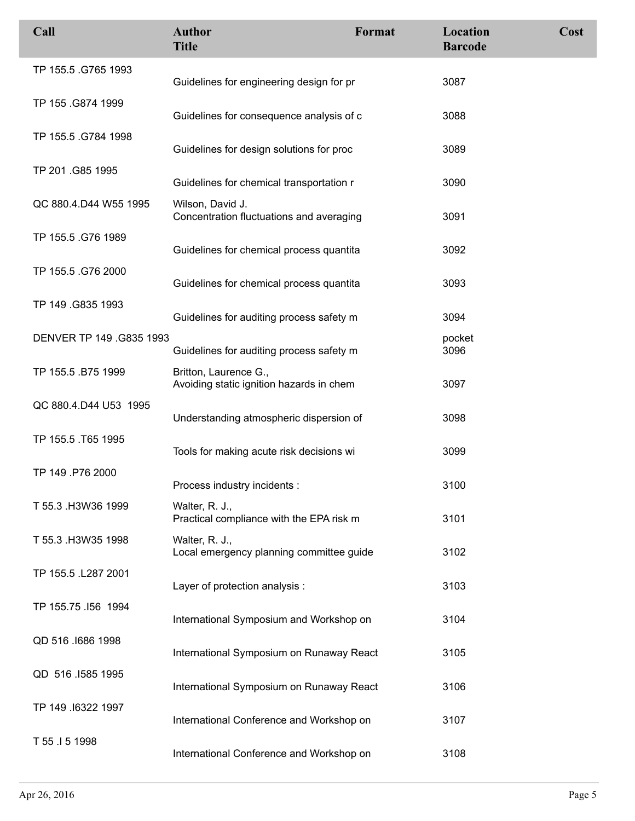| Call                     | <b>Author</b><br><b>Title</b>                                     | Format | Location<br><b>Barcode</b> | Cost |
|--------------------------|-------------------------------------------------------------------|--------|----------------------------|------|
| TP 155.5 .G765 1993      | Guidelines for engineering design for pr                          |        | 3087                       |      |
| TP 155 .G874 1999        | Guidelines for consequence analysis of c                          |        | 3088                       |      |
| TP 155.5 .G784 1998      | Guidelines for design solutions for proc                          |        | 3089                       |      |
| TP 201.G85 1995          | Guidelines for chemical transportation r                          |        | 3090                       |      |
| QC 880.4.D44 W55 1995    | Wilson, David J.<br>Concentration fluctuations and averaging      |        | 3091                       |      |
| TP 155.5 .G76 1989       | Guidelines for chemical process quantita                          |        | 3092                       |      |
| TP 155.5 .G76 2000       | Guidelines for chemical process quantita                          |        | 3093                       |      |
| TP 149.G835 1993         | Guidelines for auditing process safety m                          |        | 3094                       |      |
| DENVER TP 149 .G835 1993 | Guidelines for auditing process safety m                          |        | pocket<br>3096             |      |
| TP 155.5 .B75 1999       | Britton, Laurence G.,<br>Avoiding static ignition hazards in chem |        | 3097                       |      |
| QC 880.4.D44 U53 1995    | Understanding atmospheric dispersion of                           |        | 3098                       |      |
| TP 155.5 .T65 1995       | Tools for making acute risk decisions wi                          |        | 3099                       |      |
| TP 149 .P76 2000         | Process industry incidents :                                      |        | 3100                       |      |
| T 55.3 .H3W36 1999       | Walter, R. J.,<br>Practical compliance with the EPA risk m        |        | 3101                       |      |
| T 55.3 .H3W35 1998       | Walter, R. J.,<br>Local emergency planning committee guide        |        | 3102                       |      |
| TP 155.5 .L287 2001      | Layer of protection analysis :                                    |        | 3103                       |      |
| TP 155.75 .156 1994      | International Symposium and Workshop on                           |        | 3104                       |      |
| QD 516 .1686 1998        | International Symposium on Runaway React                          |        | 3105                       |      |
| QD 516 .1585 1995        | International Symposium on Runaway React                          |        | 3106                       |      |
| TP 149 .16322 1997       | International Conference and Workshop on                          |        | 3107                       |      |
| T 55 .I 5 1998           | International Conference and Workshop on                          |        | 3108                       |      |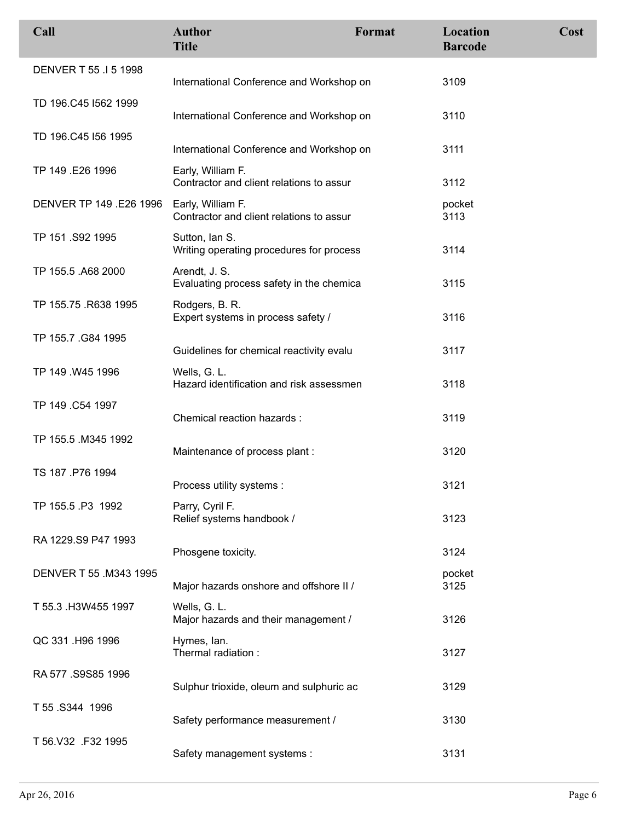| Call                    | <b>Author</b><br><b>Title</b>                                 | Format | Location<br><b>Barcode</b> | Cost |
|-------------------------|---------------------------------------------------------------|--------|----------------------------|------|
| DENVER T 55 .1 5 1998   | International Conference and Workshop on                      |        | 3109                       |      |
| TD 196.C45 I562 1999    | International Conference and Workshop on                      |        | 3110                       |      |
| TD 196.C45 I56 1995     | International Conference and Workshop on                      |        | 3111                       |      |
| TP 149 .E26 1996        | Early, William F.<br>Contractor and client relations to assur |        | 3112                       |      |
| DENVER TP 149 .E26 1996 | Early, William F.<br>Contractor and client relations to assur |        | pocket<br>3113             |      |
| TP 151 .S92 1995        | Sutton, Ian S.<br>Writing operating procedures for process    |        | 3114                       |      |
| TP 155.5 .A68 2000      | Arendt, J. S.<br>Evaluating process safety in the chemica     |        | 3115                       |      |
| TP 155.75 .R638 1995    | Rodgers, B. R.<br>Expert systems in process safety /          |        | 3116                       |      |
| TP 155.7 .G84 1995      | Guidelines for chemical reactivity evalu                      |        | 3117                       |      |
| TP 149 .W45 1996        | Wells, G. L.<br>Hazard identification and risk assessmen      |        | 3118                       |      |
| TP 149 .C54 1997        | Chemical reaction hazards :                                   |        | 3119                       |      |
| TP 155.5 .M345 1992     | Maintenance of process plant:                                 |        | 3120                       |      |
| TS 187 .P76 1994        | Process utility systems :                                     |        | 3121                       |      |
| TP 155.5 P3 1992        | Parry, Cyril F.<br>Relief systems handbook /                  |        | 3123                       |      |
| RA 1229.S9 P47 1993     | Phosgene toxicity.                                            |        | 3124                       |      |
| DENVER T 55 .M343 1995  | Major hazards onshore and offshore II /                       |        | pocket<br>3125             |      |
| T 55.3 H3W455 1997      | Wells, G. L.<br>Major hazards and their management /          |        | 3126                       |      |
| QC 331 .H96 1996        | Hymes, lan.<br>Thermal radiation:                             |        | 3127                       |      |
| RA 577 .S9S85 1996      | Sulphur trioxide, oleum and sulphuric ac                      |        | 3129                       |      |
| T 55 .S344 1996         | Safety performance measurement /                              |        | 3130                       |      |
| T 56.V32 .F32 1995      | Safety management systems :                                   |        | 3131                       |      |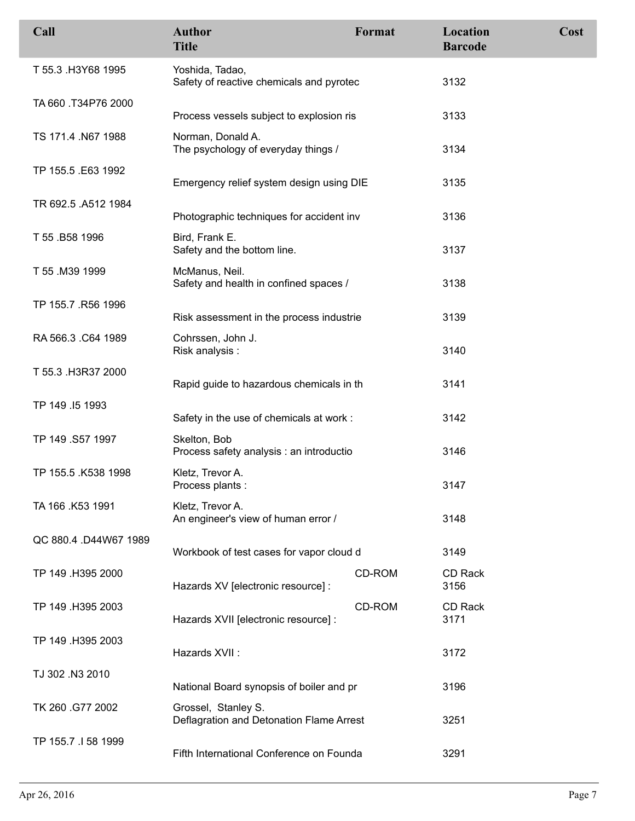| Call                  | <b>Author</b><br><b>Title</b>                                   | Format | Location<br><b>Barcode</b> | Cost |
|-----------------------|-----------------------------------------------------------------|--------|----------------------------|------|
| T 55.3 .H3Y68 1995    | Yoshida, Tadao,<br>Safety of reactive chemicals and pyrotec     |        | 3132                       |      |
| TA 660 .T34P76 2000   | Process vessels subject to explosion ris                        |        | 3133                       |      |
| TS 171.4 .N67 1988    | Norman, Donald A.<br>The psychology of everyday things /        |        | 3134                       |      |
| TP 155.5 .E63 1992    | Emergency relief system design using DIE                        |        | 3135                       |      |
| TR 692.5 .A512 1984   | Photographic techniques for accident inv                        |        | 3136                       |      |
| T 55 .B58 1996        | Bird, Frank E.<br>Safety and the bottom line.                   |        | 3137                       |      |
| T 55 .M39 1999        | McManus, Neil.<br>Safety and health in confined spaces /        |        | 3138                       |      |
| TP 155.7 .R56 1996    | Risk assessment in the process industrie                        |        | 3139                       |      |
| RA 566.3 .C64 1989    | Cohrssen, John J.<br>Risk analysis:                             |        | 3140                       |      |
| T 55.3 .H3R37 2000    | Rapid guide to hazardous chemicals in th                        |        | 3141                       |      |
| TP 149 .15 1993       | Safety in the use of chemicals at work:                         |        | 3142                       |      |
| TP 149 .S57 1997      | Skelton, Bob<br>Process safety analysis : an introductio        |        | 3146                       |      |
| TP 155.5 .K538 1998   | Kletz, Trevor A.<br>Process plants:                             |        | 3147                       |      |
| TA 166 .K53 1991      | Kletz, Trevor A.<br>An engineer's view of human error /         |        | 3148                       |      |
| QC 880.4 .D44W67 1989 | Workbook of test cases for vapor cloud d                        |        | 3149                       |      |
| TP 149 .H395 2000     | Hazards XV [electronic resource] :                              | CD-ROM | CD Rack<br>3156            |      |
| TP 149 .H395 2003     | Hazards XVII [electronic resource] :                            | CD-ROM | CD Rack<br>3171            |      |
| TP 149 .H395 2003     | Hazards XVII:                                                   |        | 3172                       |      |
| TJ 302 .N3 2010       | National Board synopsis of boiler and pr                        |        | 3196                       |      |
| TK 260 .G77 2002      | Grossel, Stanley S.<br>Deflagration and Detonation Flame Arrest |        | 3251                       |      |
| TP 155.7 .I 58 1999   | Fifth International Conference on Founda                        |        | 3291                       |      |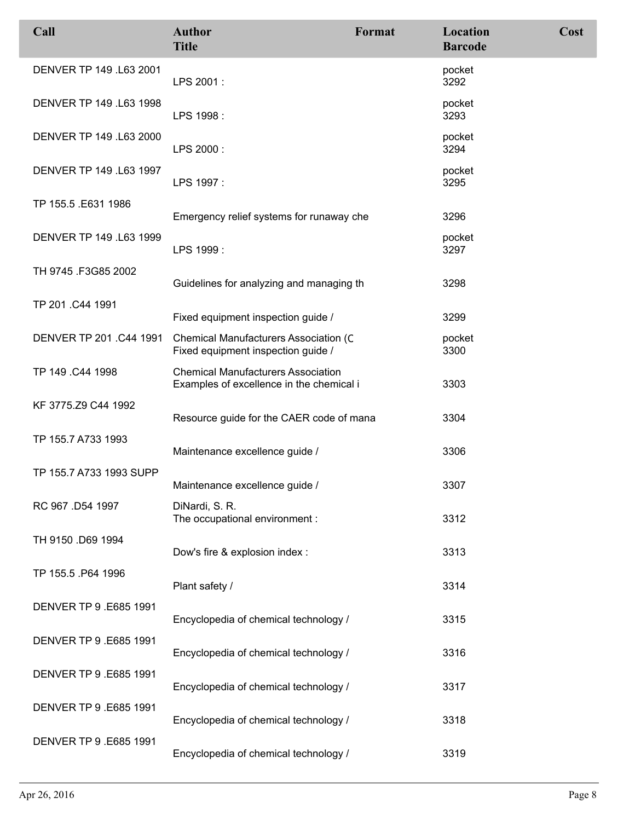| Call                    | <b>Author</b><br><b>Title</b>                                                         | Format | Location<br><b>Barcode</b> | Cost |
|-------------------------|---------------------------------------------------------------------------------------|--------|----------------------------|------|
| DENVER TP 149 .L63 2001 | LPS 2001:                                                                             |        | pocket<br>3292             |      |
| DENVER TP 149 .L63 1998 | LPS 1998 :                                                                            |        | pocket<br>3293             |      |
| DENVER TP 149 .L63 2000 | LPS 2000:                                                                             |        | pocket<br>3294             |      |
| DENVER TP 149 .L63 1997 | LPS 1997 :                                                                            |        | pocket<br>3295             |      |
| TP 155.5 .E631 1986     | Emergency relief systems for runaway che                                              |        | 3296                       |      |
| DENVER TP 149 .L63 1999 | LPS 1999 :                                                                            |        | pocket<br>3297             |      |
| TH 9745 .F3G85 2002     | Guidelines for analyzing and managing th                                              |        | 3298                       |      |
| TP 201.C44 1991         | Fixed equipment inspection guide /                                                    |        | 3299                       |      |
| DENVER TP 201. C44 1991 | Chemical Manufacturers Association (C<br>Fixed equipment inspection guide /           |        | pocket<br>3300             |      |
| TP 149 .C44 1998        | <b>Chemical Manufacturers Association</b><br>Examples of excellence in the chemical i |        | 3303                       |      |
| KF 3775.Z9 C44 1992     | Resource guide for the CAER code of mana                                              |        | 3304                       |      |
| TP 155.7 A733 1993      | Maintenance excellence guide /                                                        |        | 3306                       |      |
| TP 155.7 A733 1993 SUPP | Maintenance excellence guide /                                                        |        | 3307                       |      |
| RC 967 .D54 1997        | DiNardi, S. R.<br>The occupational environment :                                      |        | 3312                       |      |
| TH 9150 .D69 1994       | Dow's fire & explosion index :                                                        |        | 3313                       |      |
| TP 155.5 .P64 1996      | Plant safety /                                                                        |        | 3314                       |      |
| DENVER TP 9.E685 1991   | Encyclopedia of chemical technology /                                                 |        | 3315                       |      |
| DENVER TP 9.E685 1991   | Encyclopedia of chemical technology /                                                 |        | 3316                       |      |
| DENVER TP 9.E685 1991   | Encyclopedia of chemical technology /                                                 |        | 3317                       |      |
| DENVER TP 9.E685 1991   | Encyclopedia of chemical technology /                                                 |        | 3318                       |      |
| DENVER TP 9 .E685 1991  | Encyclopedia of chemical technology /                                                 |        | 3319                       |      |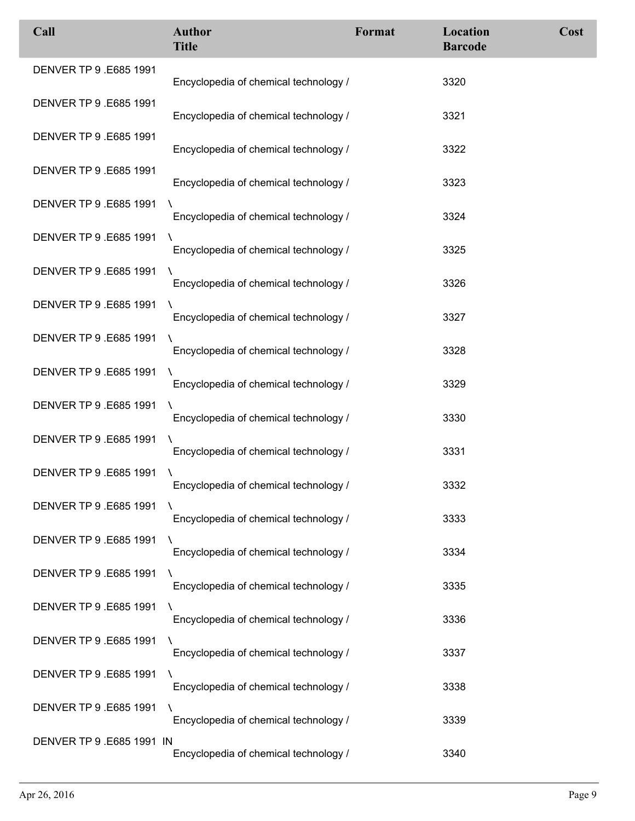| Call                      | <b>Author</b><br><b>Title</b>              | Format | Location<br><b>Barcode</b> | Cost |
|---------------------------|--------------------------------------------|--------|----------------------------|------|
| DENVER TP 9.E685 1991     | Encyclopedia of chemical technology /      |        | 3320                       |      |
| DENVER TP 9.E685 1991     | Encyclopedia of chemical technology /      |        | 3321                       |      |
| DENVER TP 9.E685 1991     | Encyclopedia of chemical technology /      |        | 3322                       |      |
| DENVER TP 9.E685 1991     | Encyclopedia of chemical technology /      |        | 3323                       |      |
| DENVER TP 9.E685 1991     | Encyclopedia of chemical technology /      |        | 3324                       |      |
| DENVER TP 9.E685 1991     | Encyclopedia of chemical technology /      |        | 3325                       |      |
| DENVER TP 9.E685 1991     | A<br>Encyclopedia of chemical technology / |        | 3326                       |      |
| DENVER TP 9.E685 1991     | Encyclopedia of chemical technology /      |        | 3327                       |      |
| DENVER TP 9.E685 1991     | Encyclopedia of chemical technology /      |        | 3328                       |      |
| DENVER TP 9.E685 1991     | Encyclopedia of chemical technology /      |        | 3329                       |      |
| DENVER TP 9.E685 1991     | Encyclopedia of chemical technology /      |        | 3330                       |      |
| DENVER TP 9.E685 1991     | Encyclopedia of chemical technology /      |        | 3331                       |      |
| DENVER TP 9.E685 1991     | Encyclopedia of chemical technology /      |        | 3332                       |      |
| DENVER TP 9.E685 1991     | Encyclopedia of chemical technology /      |        | 3333                       |      |
| DENVER TP 9.E685 1991     | A<br>Encyclopedia of chemical technology / |        | 3334                       |      |
| DENVER TP 9.E685 1991     | Encyclopedia of chemical technology /      |        | 3335                       |      |
| DENVER TP 9.E685 1991     | Encyclopedia of chemical technology /      |        | 3336                       |      |
| DENVER TP 9.E685 1991     | Encyclopedia of chemical technology /      |        | 3337                       |      |
| DENVER TP 9.E685 1991     | Encyclopedia of chemical technology /      |        | 3338                       |      |
| DENVER TP 9.E685 1991     | Encyclopedia of chemical technology /      |        | 3339                       |      |
| DENVER TP 9 .E685 1991 IN | Encyclopedia of chemical technology /      |        | 3340                       |      |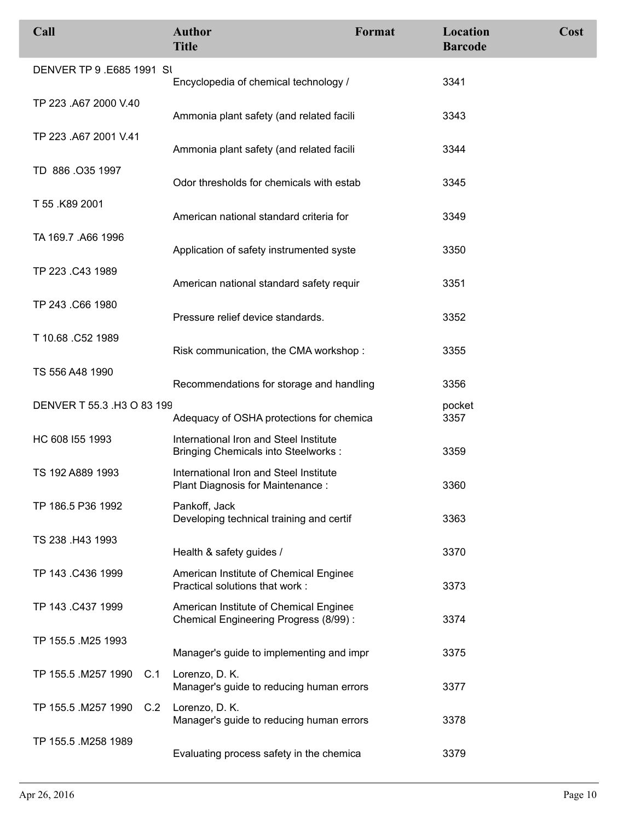| Call                       | <b>Author</b><br><b>Title</b>                                                        | Format | Location<br><b>Barcode</b> | Cost |
|----------------------------|--------------------------------------------------------------------------------------|--------|----------------------------|------|
| DENVER TP 9 .E685 1991 SI  | Encyclopedia of chemical technology /                                                |        | 3341                       |      |
| TP 223 .A67 2000 V.40      | Ammonia plant safety (and related facili                                             |        | 3343                       |      |
| TP 223 .A67 2001 V.41      | Ammonia plant safety (and related facili                                             |        | 3344                       |      |
| TD 886 .035 1997           | Odor thresholds for chemicals with estab                                             |        | 3345                       |      |
| T 55 .K89 2001             | American national standard criteria for                                              |        | 3349                       |      |
| TA 169.7 .A66 1996         | Application of safety instrumented syste                                             |        | 3350                       |      |
| TP 223 .C43 1989           | American national standard safety requir                                             |        | 3351                       |      |
| TP 243 .C66 1980           | Pressure relief device standards.                                                    |        | 3352                       |      |
| T 10.68 .C52 1989          | Risk communication, the CMA workshop:                                                |        | 3355                       |      |
| TS 556 A48 1990            | Recommendations for storage and handling                                             |        | 3356                       |      |
| DENVER T 55.3 .H3 O 83 199 | Adequacy of OSHA protections for chemica                                             |        | pocket<br>3357             |      |
| HC 608 155 1993            | International Iron and Steel Institute<br><b>Bringing Chemicals into Steelworks:</b> |        | 3359                       |      |
| TS 192 A889 1993           | International Iron and Steel Institute<br>Plant Diagnosis for Maintenance:           |        | 3360                       |      |
| TP 186.5 P36 1992          | Pankoff, Jack<br>Developing technical training and certif                            |        | 3363                       |      |
| TS 238 .H43 1993           | Health & safety guides /                                                             |        | 3370                       |      |
| TP 143 .C436 1999          | American Institute of Chemical Enginee<br>Practical solutions that work :            |        | 3373                       |      |
| TP 143 .C437 1999          | American Institute of Chemical Enginee<br>Chemical Engineering Progress (8/99):      |        | 3374                       |      |
| TP 155.5 .M25 1993         | Manager's guide to implementing and impr                                             |        | 3375                       |      |
| TP 155.5 M257 1990<br>C.1  | Lorenzo, D. K.<br>Manager's guide to reducing human errors                           |        | 3377                       |      |
| TP 155.5 .M257 1990<br>C.2 | Lorenzo, D. K.<br>Manager's guide to reducing human errors                           |        | 3378                       |      |
| TP 155.5 .M258 1989        | Evaluating process safety in the chemica                                             |        | 3379                       |      |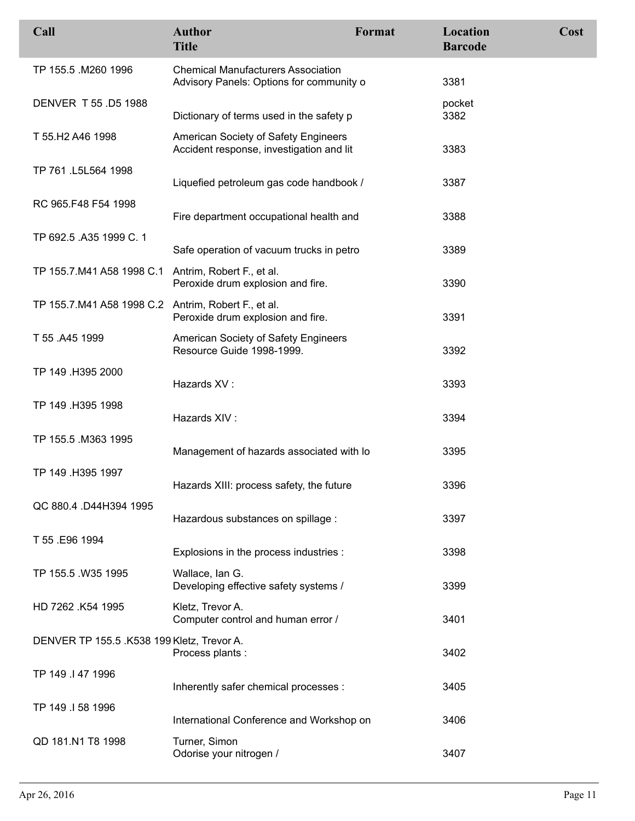| Call                                                | <b>Author</b><br><b>Title</b>                                                         | Format | Location<br><b>Barcode</b> | Cost |
|-----------------------------------------------------|---------------------------------------------------------------------------------------|--------|----------------------------|------|
| TP 155.5 .M260 1996                                 | <b>Chemical Manufacturers Association</b><br>Advisory Panels: Options for community o |        | 3381                       |      |
| DENVER T 55 .D5 1988                                | Dictionary of terms used in the safety p                                              |        | pocket<br>3382             |      |
| T 55.H2 A46 1998                                    | American Society of Safety Engineers<br>Accident response, investigation and lit      |        | 3383                       |      |
| TP 761 .L5L564 1998                                 | Liquefied petroleum gas code handbook /                                               |        | 3387                       |      |
| RC 965.F48 F54 1998                                 | Fire department occupational health and                                               |        | 3388                       |      |
| TP 692.5 .A35 1999 C. 1                             | Safe operation of vacuum trucks in petro                                              |        | 3389                       |      |
| TP 155.7.M41 A58 1998 C.1 Antrim, Robert F., et al. | Peroxide drum explosion and fire.                                                     |        | 3390                       |      |
| TP 155.7.M41 A58 1998 C.2 Antrim, Robert F., et al. | Peroxide drum explosion and fire.                                                     |        | 3391                       |      |
| T 55 .A45 1999                                      | American Society of Safety Engineers<br>Resource Guide 1998-1999.                     |        | 3392                       |      |
| TP 149 .H395 2000                                   | Hazards XV:                                                                           |        | 3393                       |      |
| TP 149 .H395 1998                                   | Hazards XIV:                                                                          |        | 3394                       |      |
| TP 155.5 .M363 1995                                 | Management of hazards associated with lo                                              |        | 3395                       |      |
| TP 149 .H395 1997                                   | Hazards XIII: process safety, the future                                              |        | 3396                       |      |
| QC 880.4 .D44H394 1995                              | Hazardous substances on spillage :                                                    |        | 3397                       |      |
| T 55 .E96 1994                                      | Explosions in the process industries :                                                |        | 3398                       |      |
| TP 155.5 .W35 1995                                  | Wallace, Ian G.<br>Developing effective safety systems /                              |        | 3399                       |      |
| HD 7262 .K54 1995                                   | Kletz, Trevor A.<br>Computer control and human error /                                |        | 3401                       |      |
| DENVER TP 155.5 .K538 199 Kletz, Trevor A.          | Process plants :                                                                      |        | 3402                       |      |
| TP 149 .I 47 1996                                   | Inherently safer chemical processes :                                                 |        | 3405                       |      |
| TP 149 .I 58 1996                                   | International Conference and Workshop on                                              |        | 3406                       |      |
| QD 181.N1 T8 1998                                   | Turner, Simon<br>Odorise your nitrogen /                                              |        | 3407                       |      |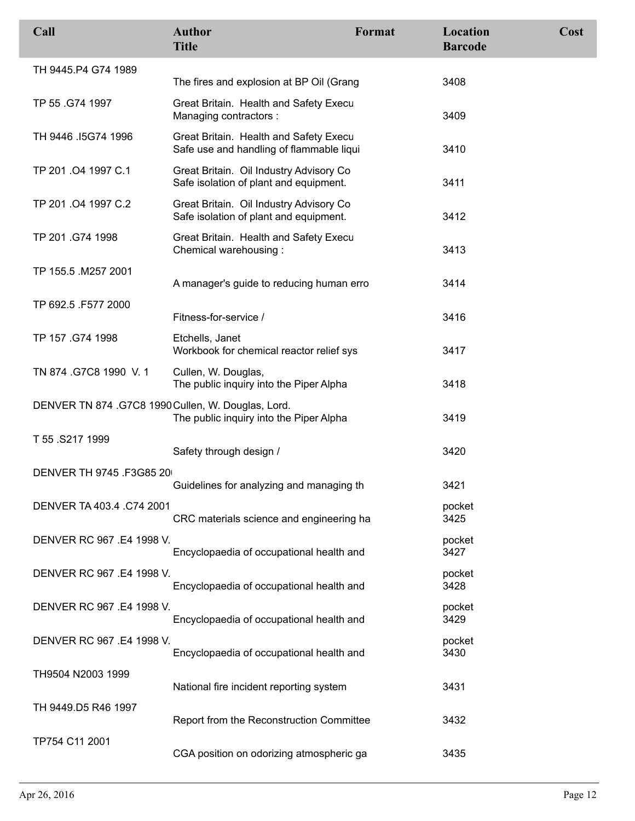| Call                                               | <b>Author</b><br><b>Title</b>                                                      | Format | Location<br><b>Barcode</b> | Cost |
|----------------------------------------------------|------------------------------------------------------------------------------------|--------|----------------------------|------|
| TH 9445.P4 G74 1989                                | The fires and explosion at BP Oil (Grang                                           |        | 3408                       |      |
| TP 55 .G74 1997                                    | Great Britain. Health and Safety Execu<br>Managing contractors :                   |        | 3409                       |      |
| TH 9446 .15G74 1996                                | Great Britain. Health and Safety Execu<br>Safe use and handling of flammable liqui |        | 3410                       |      |
| TP 201.04 1997 C.1                                 | Great Britain. Oil Industry Advisory Co<br>Safe isolation of plant and equipment.  |        | 3411                       |      |
| TP 201.04 1997 C.2                                 | Great Britain. Oil Industry Advisory Co<br>Safe isolation of plant and equipment.  |        | 3412                       |      |
| TP 201 .G74 1998                                   | Great Britain. Health and Safety Execu<br>Chemical warehousing:                    |        | 3413                       |      |
| TP 155.5 .M257 2001                                | A manager's guide to reducing human erro                                           |        | 3414                       |      |
| TP 692.5 .F577 2000                                | Fitness-for-service /                                                              |        | 3416                       |      |
| TP 157 .G74 1998                                   | Etchells, Janet<br>Workbook for chemical reactor relief sys                        |        | 3417                       |      |
| TN 874 G7C8 1990 V.1                               | Cullen, W. Douglas,<br>The public inquiry into the Piper Alpha                     |        | 3418                       |      |
| DENVER TN 874 .G7C8 1990 Cullen, W. Douglas, Lord. | The public inquiry into the Piper Alpha                                            |        | 3419                       |      |
| T 55.S217 1999                                     | Safety through design /                                                            |        | 3420                       |      |
| DENVER TH 9745 .F3G85 20                           | Guidelines for analyzing and managing th                                           |        | 3421                       |      |
| DENVER TA 403.4 .C74 2001                          | CRC materials science and engineering ha                                           |        | pocket<br>3425             |      |
| DENVER RC 967 .E4 1998 V.                          | Encyclopaedia of occupational health and                                           |        | pocket<br>3427             |      |
| DENVER RC 967 .E4 1998 V.                          | Encyclopaedia of occupational health and                                           |        | pocket<br>3428             |      |
| DENVER RC 967 .E4 1998 V.                          | Encyclopaedia of occupational health and                                           |        | pocket<br>3429             |      |
| DENVER RC 967 .E4 1998 V.                          | Encyclopaedia of occupational health and                                           |        | pocket<br>3430             |      |
| TH9504 N2003 1999                                  | National fire incident reporting system                                            |        | 3431                       |      |
| TH 9449.D5 R46 1997                                | Report from the Reconstruction Committee                                           |        | 3432                       |      |
| TP754 C11 2001                                     | CGA position on odorizing atmospheric ga                                           |        | 3435                       |      |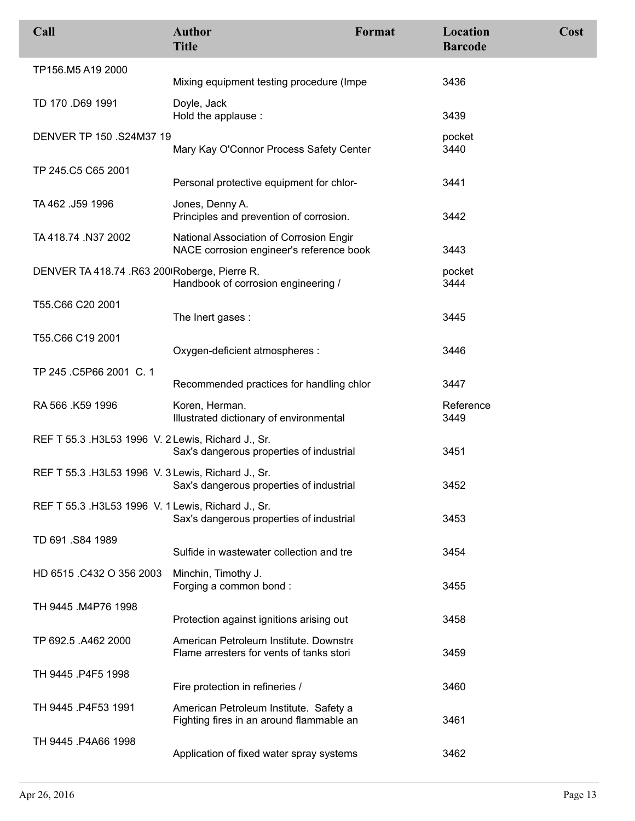| Call                                               | <b>Author</b><br><b>Title</b>                                                       | Format | Location<br><b>Barcode</b> | Cost |
|----------------------------------------------------|-------------------------------------------------------------------------------------|--------|----------------------------|------|
| TP156.M5 A19 2000                                  |                                                                                     |        |                            |      |
|                                                    | Mixing equipment testing procedure (Impe                                            |        | 3436                       |      |
| TD 170 .D69 1991                                   | Doyle, Jack<br>Hold the applause :                                                  |        | 3439                       |      |
| DENVER TP 150 .S24M37 19                           | Mary Kay O'Connor Process Safety Center                                             |        | pocket<br>3440             |      |
| TP 245.C5 C65 2001                                 | Personal protective equipment for chlor-                                            |        | 3441                       |      |
| TA 462 .J59 1996                                   | Jones, Denny A.<br>Principles and prevention of corrosion.                          |        | 3442                       |      |
| TA 418.74 .N37 2002                                | National Association of Corrosion Engir<br>NACE corrosion engineer's reference book |        | 3443                       |      |
| DENVER TA 418.74 .R63 200 Roberge, Pierre R.       | Handbook of corrosion engineering /                                                 |        | pocket<br>3444             |      |
| T55.C66 C20 2001                                   | The Inert gases :                                                                   |        | 3445                       |      |
| T55.C66 C19 2001                                   | Oxygen-deficient atmospheres :                                                      |        | 3446                       |      |
| TP 245 .C5P66 2001 C. 1                            | Recommended practices for handling chlor                                            |        | 3447                       |      |
| RA 566 .K59 1996                                   | Koren, Herman.<br>Illustrated dictionary of environmental                           |        | Reference<br>3449          |      |
| REF T 55.3 .H3L53 1996 V. 2 Lewis, Richard J., Sr. | Sax's dangerous properties of industrial                                            |        | 3451                       |      |
| REF T 55.3 .H3L53 1996 V. 3 Lewis, Richard J., Sr. | Sax's dangerous properties of industrial                                            |        | 3452                       |      |
| REF T 55.3 .H3L53 1996 V. 1 Lewis, Richard J., Sr. | Sax's dangerous properties of industrial                                            |        | 3453                       |      |
| TD 691 .S84 1989                                   |                                                                                     |        |                            |      |
|                                                    | Sulfide in wastewater collection and tre                                            |        | 3454                       |      |
| HD 6515 .C432 O 356 2003                           | Minchin, Timothy J.<br>Forging a common bond:                                       |        | 3455                       |      |
| TH 9445 .M4P76 1998                                | Protection against ignitions arising out                                            |        | 3458                       |      |
| TP 692.5 .A462 2000                                | American Petroleum Institute. Downstre<br>Flame arresters for vents of tanks stori  |        | 3459                       |      |
| TH 9445 .P4F5 1998                                 | Fire protection in refineries /                                                     |        | 3460                       |      |
| TH 9445 P4F53 1991                                 | American Petroleum Institute. Safety a<br>Fighting fires in an around flammable an  |        | 3461                       |      |
| TH 9445 P4A66 1998                                 | Application of fixed water spray systems                                            |        | 3462                       |      |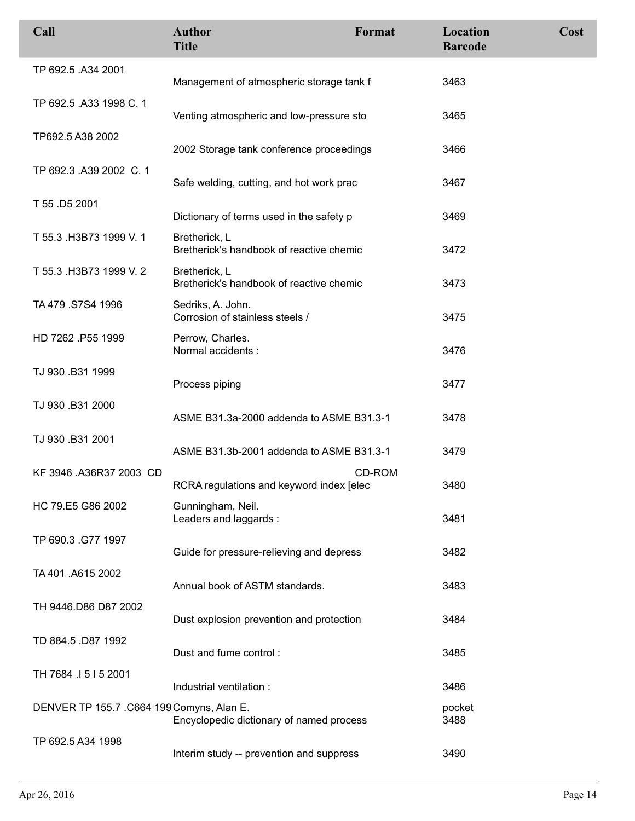| Call                                      | <b>Author</b><br><b>Title</b>                             | Format | Location<br><b>Barcode</b> | Cost |
|-------------------------------------------|-----------------------------------------------------------|--------|----------------------------|------|
| TP 692.5 .A34 2001                        | Management of atmospheric storage tank f                  |        | 3463                       |      |
| TP 692.5 .A33 1998 C. 1                   | Venting atmospheric and low-pressure sto                  |        | 3465                       |      |
| TP692.5 A38 2002                          | 2002 Storage tank conference proceedings                  |        | 3466                       |      |
| TP 692.3 .A39 2002 C. 1                   | Safe welding, cutting, and hot work prac                  |        | 3467                       |      |
| T 55 .D5 2001                             | Dictionary of terms used in the safety p                  |        | 3469                       |      |
| T 55.3 .H3B73 1999 V. 1                   | Bretherick, L<br>Bretherick's handbook of reactive chemic |        | 3472                       |      |
| T 55.3 .H3B73 1999 V.2                    | Bretherick, L<br>Bretherick's handbook of reactive chemic |        | 3473                       |      |
| TA 479 .S7S4 1996                         | Sedriks, A. John.<br>Corrosion of stainless steels /      |        | 3475                       |      |
| HD 7262 .P55 1999                         | Perrow, Charles.<br>Normal accidents :                    |        | 3476                       |      |
| TJ 930 .B31 1999                          | Process piping                                            |        | 3477                       |      |
| TJ 930 .B31 2000                          | ASME B31.3a-2000 addenda to ASME B31.3-1                  |        | 3478                       |      |
| TJ 930 .B31 2001                          | ASME B31.3b-2001 addenda to ASME B31.3-1                  |        | 3479                       |      |
| KF 3946 .A36R37 2003 CD                   | RCRA regulations and keyword index [elec]                 | CD-ROM | 3480                       |      |
| HC 79.E5 G86 2002                         | Gunningham, Neil.<br>Leaders and laggards:                |        | 3481                       |      |
| TP 690.3 .G77 1997                        | Guide for pressure-relieving and depress                  |        | 3482                       |      |
| TA 401 .A615 2002                         | Annual book of ASTM standards.                            |        | 3483                       |      |
| TH 9446.D86 D87 2002                      | Dust explosion prevention and protection                  |        | 3484                       |      |
| TD 884.5 .D87 1992                        | Dust and fume control:                                    |        | 3485                       |      |
| TH 7684 .I 5 I 5 2001                     | Industrial ventilation :                                  |        | 3486                       |      |
| DENVER TP 155.7 .C664 199 Comyns, Alan E. | Encyclopedic dictionary of named process                  |        | pocket<br>3488             |      |
| TP 692.5 A34 1998                         | Interim study -- prevention and suppress                  |        | 3490                       |      |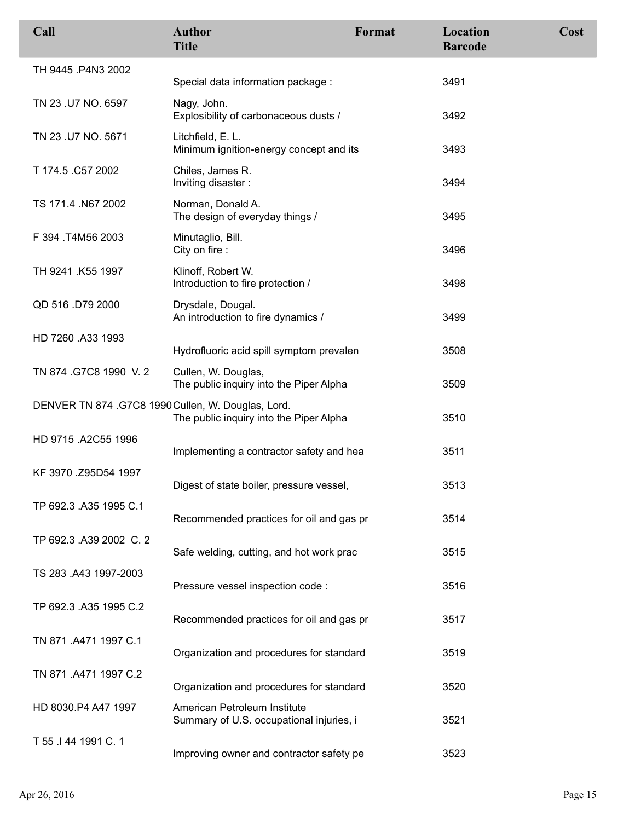| Call                                               | <b>Author</b><br><b>Title</b>                                            | Format | Location<br><b>Barcode</b> | Cost |
|----------------------------------------------------|--------------------------------------------------------------------------|--------|----------------------------|------|
| TH 9445 P4N3 2002                                  | Special data information package :                                       |        | 3491                       |      |
| TN 23 .U7 NO. 6597                                 | Nagy, John.<br>Explosibility of carbonaceous dusts /                     |        | 3492                       |      |
| TN 23 .U7 NO. 5671                                 | Litchfield, E. L.<br>Minimum ignition-energy concept and its             |        | 3493                       |      |
| T 174.5 .C57 2002                                  | Chiles, James R.<br>Inviting disaster:                                   |        | 3494                       |      |
| TS 171.4 .N67 2002                                 | Norman, Donald A.<br>The design of everyday things /                     |        | 3495                       |      |
| F 394 .T4M56 2003                                  | Minutaglio, Bill.<br>City on fire :                                      |        | 3496                       |      |
| TH 9241 .K55 1997                                  | Klinoff, Robert W.<br>Introduction to fire protection /                  |        | 3498                       |      |
| QD 516 .D79 2000                                   | Drysdale, Dougal.<br>An introduction to fire dynamics /                  |        | 3499                       |      |
| HD 7260 .A33 1993                                  | Hydrofluoric acid spill symptom prevalen                                 |        | 3508                       |      |
| TN 874 .G7C8 1990 V.2                              | Cullen, W. Douglas,<br>The public inquiry into the Piper Alpha           |        | 3509                       |      |
| DENVER TN 874 .G7C8 1990 Cullen, W. Douglas, Lord. | The public inquiry into the Piper Alpha                                  |        | 3510                       |      |
| HD 9715 .A2C55 1996                                | Implementing a contractor safety and hea                                 |        | 3511                       |      |
| KF 3970 .Z95D54 1997                               | Digest of state boiler, pressure vessel,                                 |        | 3513                       |      |
| TP 692.3 .A35 1995 C.1                             | Recommended practices for oil and gas pr                                 |        | 3514                       |      |
| TP 692.3 .A39 2002 C. 2                            | Safe welding, cutting, and hot work prac                                 |        | 3515                       |      |
| TS 283 .A43 1997-2003                              | Pressure vessel inspection code :                                        |        | 3516                       |      |
| TP 692.3 .A35 1995 C.2                             | Recommended practices for oil and gas pr                                 |        | 3517                       |      |
| TN 871 .A471 1997 C.1                              | Organization and procedures for standard                                 |        | 3519                       |      |
| TN 871 .A471 1997 C.2                              | Organization and procedures for standard                                 |        | 3520                       |      |
| HD 8030.P4 A47 1997                                | American Petroleum Institute<br>Summary of U.S. occupational injuries, i |        | 3521                       |      |
| T 55 .I 44 1991 C. 1                               | Improving owner and contractor safety pe                                 |        | 3523                       |      |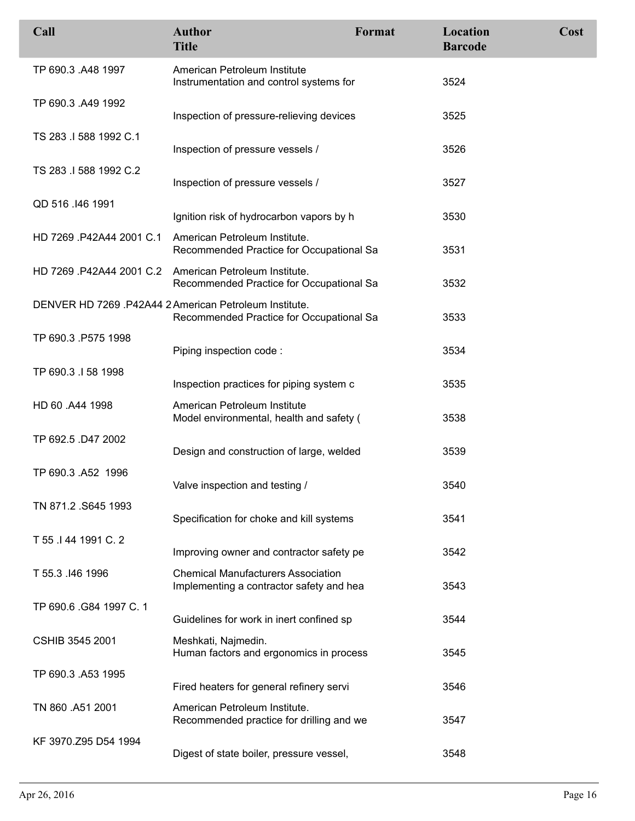| Call                     | <b>Author</b><br><b>Title</b>                                                                      | Format | Location<br><b>Barcode</b> | Cost |
|--------------------------|----------------------------------------------------------------------------------------------------|--------|----------------------------|------|
| TP 690.3 .A48 1997       | American Petroleum Institute<br>Instrumentation and control systems for                            |        | 3524                       |      |
| TP 690.3 .A49 1992       | Inspection of pressure-relieving devices                                                           |        | 3525                       |      |
| TS 283 .I 588 1992 C.1   | Inspection of pressure vessels /                                                                   |        | 3526                       |      |
| TS 283 .I 588 1992 C.2   | Inspection of pressure vessels /                                                                   |        | 3527                       |      |
| QD 516 .146 1991         | Ignition risk of hydrocarbon vapors by h                                                           |        | 3530                       |      |
| HD 7269 .P42A44 2001 C.1 | American Petroleum Institute.<br>Recommended Practice for Occupational Sa                          |        | 3531                       |      |
|                          | HD 7269.P42A44 2001 C.2 American Petroleum Institute.<br>Recommended Practice for Occupational Sa  |        | 3532                       |      |
|                          | DENVER HD 7269 .P42A44 2 American Petroleum Institute.<br>Recommended Practice for Occupational Sa |        | 3533                       |      |
| TP 690.3 .P575 1998      | Piping inspection code:                                                                            |        | 3534                       |      |
| TP 690.3 .I 58 1998      | Inspection practices for piping system c                                                           |        | 3535                       |      |
| HD 60 .A44 1998          | American Petroleum Institute<br>Model environmental, health and safety (                           |        | 3538                       |      |
| TP 692.5 .D47 2002       | Design and construction of large, welded                                                           |        | 3539                       |      |
| TP 690.3 .A52 1996       | Valve inspection and testing /                                                                     |        | 3540                       |      |
| TN 871.2 .S645 1993      | Specification for choke and kill systems                                                           |        | 3541                       |      |
| T 55 .I 44 1991 C. 2     | Improving owner and contractor safety pe                                                           |        | 3542                       |      |
| T 55.3 .146 1996         | <b>Chemical Manufacturers Association</b><br>Implementing a contractor safety and hea              |        | 3543                       |      |
| TP 690.6 G84 1997 C. 1   | Guidelines for work in inert confined sp                                                           |        | 3544                       |      |
| <b>CSHIB 3545 2001</b>   | Meshkati, Najmedin.<br>Human factors and ergonomics in process                                     |        | 3545                       |      |
| TP 690.3 .A53 1995       | Fired heaters for general refinery servi                                                           |        | 3546                       |      |
| TN 860 .A51 2001         | American Petroleum Institute.<br>Recommended practice for drilling and we                          |        | 3547                       |      |
| KF 3970.Z95 D54 1994     | Digest of state boiler, pressure vessel,                                                           |        | 3548                       |      |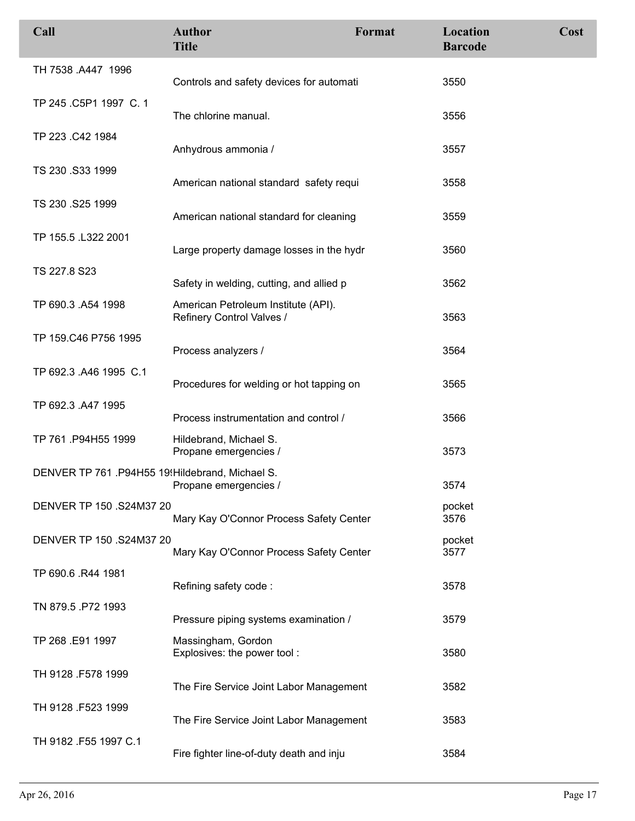| Call                                             | <b>Author</b><br><b>Title</b>                                    | Format | Location<br><b>Barcode</b> | Cost |
|--------------------------------------------------|------------------------------------------------------------------|--------|----------------------------|------|
| TH 7538 .A447 1996                               | Controls and safety devices for automati                         |        | 3550                       |      |
| TP 245 .C5P1 1997 C. 1                           | The chlorine manual.                                             |        | 3556                       |      |
| TP 223 .C42 1984                                 | Anhydrous ammonia /                                              |        | 3557                       |      |
| TS 230 .S33 1999                                 | American national standard safety requi                          |        | 3558                       |      |
| TS 230 .S25 1999                                 | American national standard for cleaning                          |        | 3559                       |      |
| TP 155.5 .L322 2001                              | Large property damage losses in the hydr                         |        | 3560                       |      |
| TS 227.8 S23                                     | Safety in welding, cutting, and allied p                         |        | 3562                       |      |
| TP 690.3 .A54 1998                               | American Petroleum Institute (API).<br>Refinery Control Valves / |        | 3563                       |      |
| TP 159.C46 P756 1995                             | Process analyzers /                                              |        | 3564                       |      |
| TP 692.3 .A46 1995 C.1                           | Procedures for welding or hot tapping on                         |        | 3565                       |      |
| TP 692.3 .A47 1995                               | Process instrumentation and control /                            |        | 3566                       |      |
| TP 761 P94H55 1999                               | Hildebrand, Michael S.<br>Propane emergencies /                  |        | 3573                       |      |
| DENVER TP 761 .P94H55 19! Hildebrand, Michael S. | Propane emergencies /                                            |        | 3574                       |      |
| DENVER TP 150 .S24M37 20                         | Mary Kay O'Connor Process Safety Center                          |        | pocket<br>3576             |      |
| DENVER TP 150 .S24M37 20                         | Mary Kay O'Connor Process Safety Center                          |        | pocket<br>3577             |      |
| TP 690.6 .R44 1981                               | Refining safety code:                                            |        | 3578                       |      |
| TN 879.5 P72 1993                                | Pressure piping systems examination /                            |        | 3579                       |      |
| TP 268 .E91 1997                                 | Massingham, Gordon<br>Explosives: the power tool:                |        | 3580                       |      |
| TH 9128 .F578 1999                               | The Fire Service Joint Labor Management                          |        | 3582                       |      |
| TH 9128 .F523 1999                               | The Fire Service Joint Labor Management                          |        | 3583                       |      |
| TH 9182 .F55 1997 C.1                            | Fire fighter line-of-duty death and inju                         |        | 3584                       |      |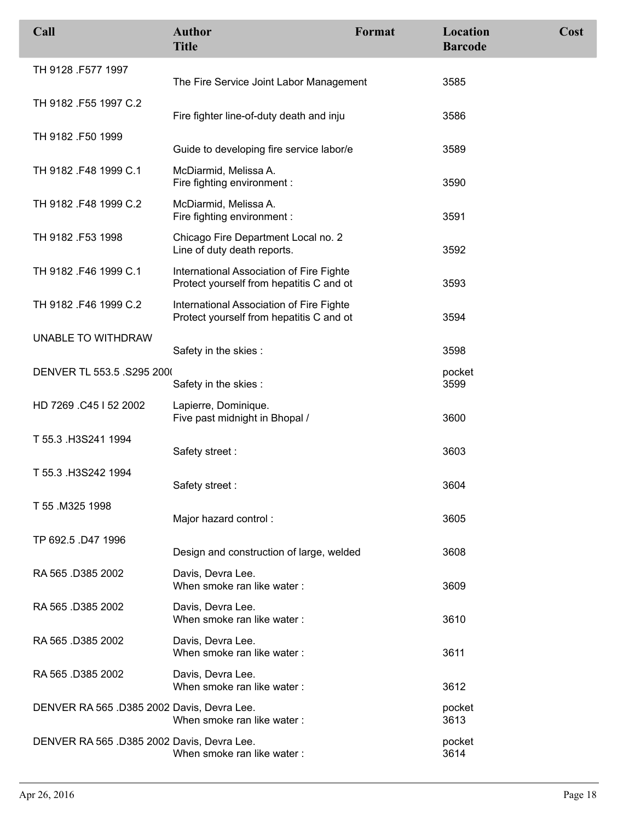| Call                                       | <b>Author</b><br><b>Title</b>                                                        | Format | Location<br><b>Barcode</b> | Cost |
|--------------------------------------------|--------------------------------------------------------------------------------------|--------|----------------------------|------|
| TH 9128 .F577 1997                         | The Fire Service Joint Labor Management                                              |        | 3585                       |      |
| TH 9182 .F55 1997 C.2                      | Fire fighter line-of-duty death and inju                                             |        | 3586                       |      |
| TH 9182 .F50 1999                          | Guide to developing fire service labor/e                                             |        | 3589                       |      |
| TH 9182 F48 1999 C.1                       | McDiarmid, Melissa A.<br>Fire fighting environment :                                 |        | 3590                       |      |
| TH 9182 .F48 1999 C.2                      | McDiarmid, Melissa A.<br>Fire fighting environment :                                 |        | 3591                       |      |
| TH 9182 .F53 1998                          | Chicago Fire Department Local no. 2<br>Line of duty death reports.                   |        | 3592                       |      |
| TH 9182 .F46 1999 C.1                      | International Association of Fire Fighte<br>Protect yourself from hepatitis C and ot |        | 3593                       |      |
| TH 9182 F46 1999 C.2                       | International Association of Fire Fighte<br>Protect yourself from hepatitis C and ot |        | 3594                       |      |
| UNABLE TO WITHDRAW                         | Safety in the skies:                                                                 |        | 3598                       |      |
| DENVER TL 553.5 .S295 2000                 | Safety in the skies:                                                                 |        | pocket<br>3599             |      |
| HD 7269 .C45   52 2002                     | Lapierre, Dominique.<br>Five past midnight in Bhopal /                               |        | 3600                       |      |
| T 55.3 H3S241 1994                         | Safety street:                                                                       |        | 3603                       |      |
| T 55.3 .H3S242 1994                        | Safety street:                                                                       |        | 3604                       |      |
| T 55 M325 1998                             | Major hazard control:                                                                |        | 3605                       |      |
| TP 692.5 .D47 1996                         | Design and construction of large, welded                                             |        | 3608                       |      |
| RA 565 D385 2002                           | Davis, Devra Lee.<br>When smoke ran like water:                                      |        | 3609                       |      |
| RA 565 D385 2002                           | Davis, Devra Lee.<br>When smoke ran like water:                                      |        | 3610                       |      |
| RA 565 D385 2002                           | Davis, Devra Lee.<br>When smoke ran like water:                                      |        | 3611                       |      |
| RA 565 .D385 2002                          | Davis, Devra Lee.<br>When smoke ran like water:                                      |        | 3612                       |      |
| DENVER RA 565 .D385 2002 Davis, Devra Lee. | When smoke ran like water:                                                           |        | pocket<br>3613             |      |
| DENVER RA 565 .D385 2002 Davis, Devra Lee. | When smoke ran like water:                                                           |        | pocket<br>3614             |      |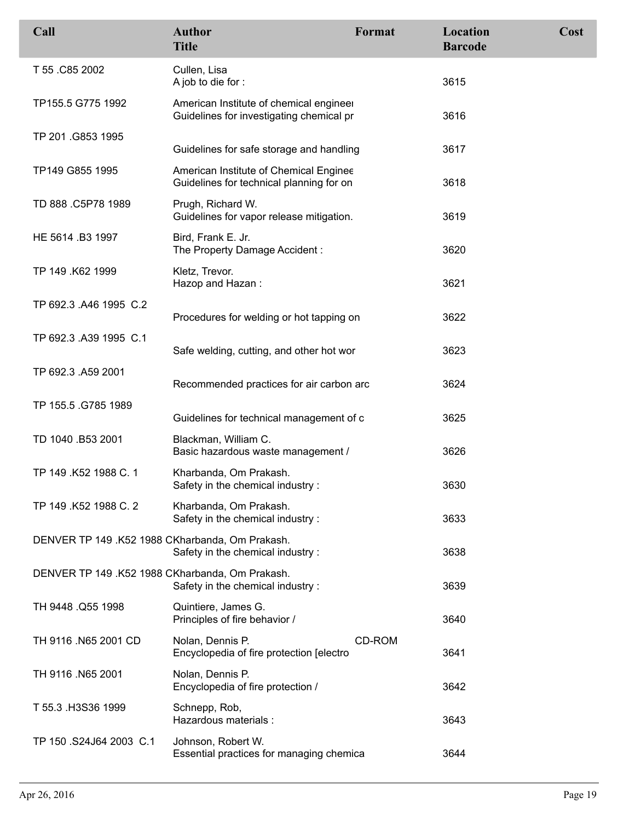| Call                                            | <b>Author</b><br><b>Title</b>                                                       | Format | Location<br><b>Barcode</b> | Cost |
|-------------------------------------------------|-------------------------------------------------------------------------------------|--------|----------------------------|------|
| T 55 .C85 2002                                  | Cullen, Lisa<br>A job to die for :                                                  |        | 3615                       |      |
| TP155.5 G775 1992                               | American Institute of chemical engineer<br>Guidelines for investigating chemical pr |        | 3616                       |      |
| TP 201.G853 1995                                | Guidelines for safe storage and handling                                            |        | 3617                       |      |
| TP149 G855 1995                                 | American Institute of Chemical Enginee<br>Guidelines for technical planning for on  |        | 3618                       |      |
| TD 888 .C5P78 1989                              | Prugh, Richard W.<br>Guidelines for vapor release mitigation.                       |        | 3619                       |      |
| HE 5614 .B3 1997                                | Bird, Frank E. Jr.<br>The Property Damage Accident:                                 |        | 3620                       |      |
| TP 149 .K62 1999                                | Kletz, Trevor.<br>Hazop and Hazan:                                                  |        | 3621                       |      |
| TP 692.3 .A46 1995 C.2                          | Procedures for welding or hot tapping on                                            |        | 3622                       |      |
| TP 692.3 A39 1995 C.1                           | Safe welding, cutting, and other hot wor                                            |        | 3623                       |      |
| TP 692.3 .A59 2001                              | Recommended practices for air carbon arc                                            |        | 3624                       |      |
| TP 155.5 .G785 1989                             | Guidelines for technical management of c                                            |        | 3625                       |      |
| TD 1040 .B53 2001                               | Blackman, William C.<br>Basic hazardous waste management /                          |        | 3626                       |      |
| TP 149 .K52 1988 C. 1                           | Kharbanda, Om Prakash.<br>Safety in the chemical industry :                         |        | 3630                       |      |
| TP 149 .K52 1988 C. 2                           | Kharbanda, Om Prakash.<br>Safety in the chemical industry:                          |        | 3633                       |      |
| DENVER TP 149 .K52 1988 CKharbanda, Om Prakash. | Safety in the chemical industry :                                                   |        | 3638                       |      |
| DENVER TP 149 .K52 1988 CKharbanda, Om Prakash. | Safety in the chemical industry:                                                    |        | 3639                       |      |
| TH 9448 .Q55 1998                               | Quintiere, James G.<br>Principles of fire behavior /                                |        | 3640                       |      |
| TH 9116 .N65 2001 CD                            | Nolan, Dennis P.<br>Encyclopedia of fire protection [electro                        | CD-ROM | 3641                       |      |
| TH 9116 .N65 2001                               | Nolan, Dennis P.<br>Encyclopedia of fire protection /                               |        | 3642                       |      |
| T 55.3 H3S36 1999                               | Schnepp, Rob,<br>Hazardous materials :                                              |        | 3643                       |      |
| TP 150 .S24J64 2003 C.1                         | Johnson, Robert W.<br>Essential practices for managing chemica                      |        | 3644                       |      |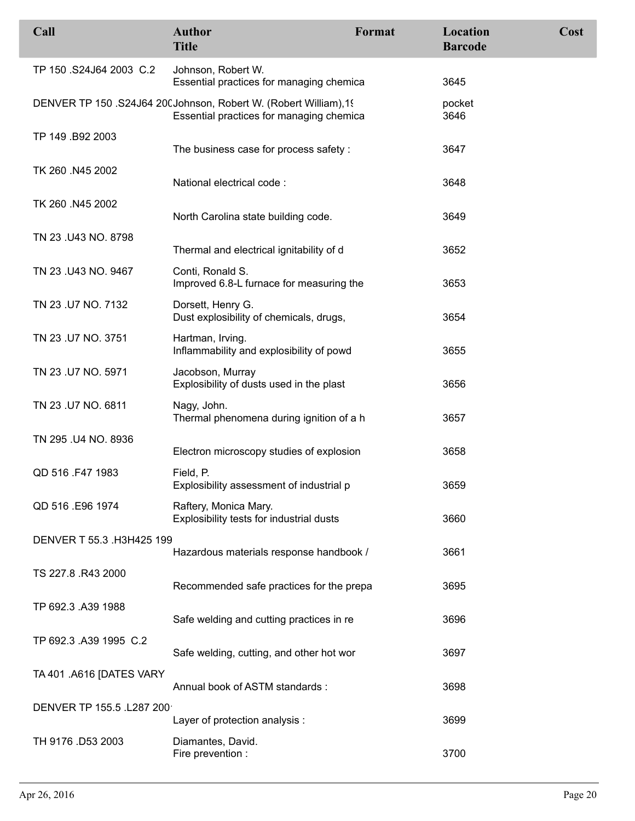| Call                      | <b>Author</b><br><b>Title</b>                                                                                | Format | Location<br><b>Barcode</b> | Cost |
|---------------------------|--------------------------------------------------------------------------------------------------------------|--------|----------------------------|------|
| TP 150 .S24J64 2003 C.2   | Johnson, Robert W.<br>Essential practices for managing chemica                                               |        | 3645                       |      |
|                           | DENVER TP 150 .S24J64 20(Johnson, Robert W. (Robert William), 19<br>Essential practices for managing chemica |        | pocket<br>3646             |      |
| TP 149 .B92 2003          | The business case for process safety :                                                                       |        | 3647                       |      |
| TK 260 .N45 2002          | National electrical code:                                                                                    |        | 3648                       |      |
| TK 260 .N45 2002          | North Carolina state building code.                                                                          |        | 3649                       |      |
| TN 23 .U43 NO. 8798       | Thermal and electrical ignitability of d                                                                     |        | 3652                       |      |
| TN 23 .U43 NO. 9467       | Conti, Ronald S.<br>Improved 6.8-L furnace for measuring the                                                 |        | 3653                       |      |
| TN 23 .U7 NO. 7132        | Dorsett, Henry G.<br>Dust explosibility of chemicals, drugs,                                                 |        | 3654                       |      |
| TN 23 .U7 NO. 3751        | Hartman, Irving.<br>Inflammability and explosibility of powd                                                 |        | 3655                       |      |
| TN 23 .U7 NO. 5971        | Jacobson, Murray<br>Explosibility of dusts used in the plast                                                 |        | 3656                       |      |
| TN 23 .U7 NO. 6811        | Nagy, John.<br>Thermal phenomena during ignition of a h                                                      |        | 3657                       |      |
| TN 295 .U4 NO. 8936       | Electron microscopy studies of explosion                                                                     |        | 3658                       |      |
| QD 516 .F47 1983          | Field, P.<br>Explosibility assessment of industrial p                                                        |        | 3659                       |      |
| QD 516 .E96 1974          | Raftery, Monica Mary.<br>Explosibility tests for industrial dusts                                            |        | 3660                       |      |
| DENVER T 55.3 .H3H425 199 | Hazardous materials response handbook /                                                                      |        | 3661                       |      |
| TS 227.8 .R43 2000        | Recommended safe practices for the prepa                                                                     |        | 3695                       |      |
| TP 692.3 .A39 1988        | Safe welding and cutting practices in re                                                                     |        | 3696                       |      |
| TP 692.3 .A39 1995 C.2    | Safe welding, cutting, and other hot wor                                                                     |        | 3697                       |      |
| TA 401 .A616 [DATES VARY  | Annual book of ASTM standards:                                                                               |        | 3698                       |      |
| DENVER TP 155.5 .L287 200 | Layer of protection analysis :                                                                               |        | 3699                       |      |
| TH 9176 .D53 2003         | Diamantes, David.<br>Fire prevention :                                                                       |        | 3700                       |      |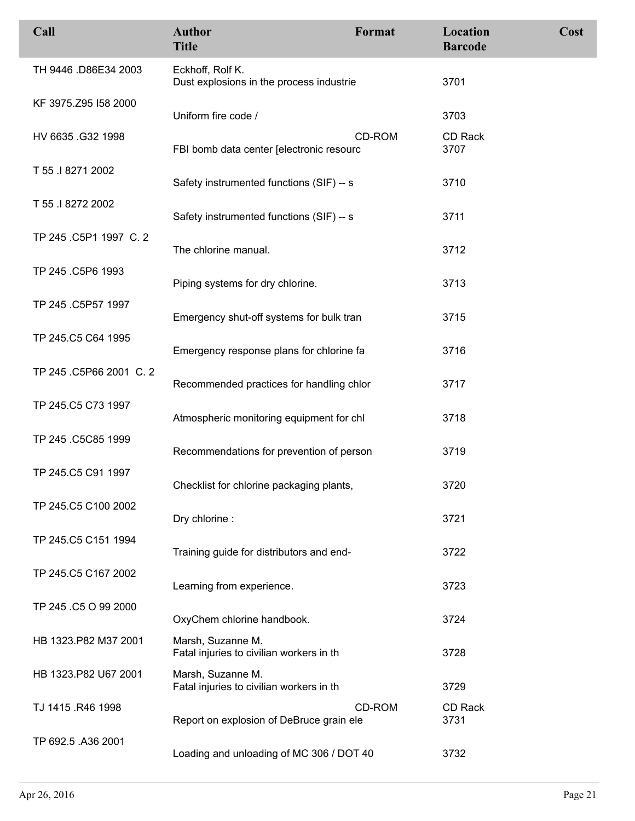| Call                    | <b>Author</b><br><b>Title</b>                                 | Format | Location<br><b>Barcode</b> | Cost |
|-------------------------|---------------------------------------------------------------|--------|----------------------------|------|
| TH 9446 .D86E34 2003    | Eckhoff, Rolf K.<br>Dust explosions in the process industrie  |        | 3701                       |      |
| KF 3975.Z95 I58 2000    | Uniform fire code /                                           |        | 3703                       |      |
| HV 6635 .G32 1998       | FBI bomb data center [electronic resourc                      | CD-ROM | <b>CD Rack</b><br>3707     |      |
| T 55 .I 8271 2002       | Safety instrumented functions (SIF) -- s                      |        | 3710                       |      |
| T 55 .I 8272 2002       | Safety instrumented functions (SIF) -- s                      |        | 3711                       |      |
| TP 245 .C5P1 1997 C. 2  | The chlorine manual.                                          |        | 3712                       |      |
| TP 245 .C5P6 1993       | Piping systems for dry chlorine.                              |        | 3713                       |      |
| TP 245 .C5P57 1997      | Emergency shut-off systems for bulk tran                      |        | 3715                       |      |
| TP 245.C5 C64 1995      | Emergency response plans for chlorine fa                      |        | 3716                       |      |
| TP 245 .C5P66 2001 C. 2 | Recommended practices for handling chlor                      |        | 3717                       |      |
| TP 245.C5 C73 1997      | Atmospheric monitoring equipment for chl                      |        | 3718                       |      |
| TP 245 .C5C85 1999      | Recommendations for prevention of person                      |        | 3719                       |      |
| TP 245.C5 C91 1997      | Checklist for chlorine packaging plants,                      |        | 3720                       |      |
| TP 245.C5 C100 2002     | Dry chlorine :                                                |        | 3721                       |      |
| TP 245.C5 C151 1994     | Training guide for distributors and end-                      |        | 3722                       |      |
| TP 245.C5 C167 2002     | Learning from experience.                                     |        | 3723                       |      |
| TP 245 .C5 O 99 2000    | OxyChem chlorine handbook.                                    |        | 3724                       |      |
| HB 1323.P82 M37 2001    | Marsh, Suzanne M.<br>Fatal injuries to civilian workers in th |        | 3728                       |      |
| HB 1323.P82 U67 2001    | Marsh, Suzanne M.<br>Fatal injuries to civilian workers in th |        | 3729                       |      |
| TJ 1415 .R46 1998       | Report on explosion of DeBruce grain ele                      | CD-ROM | CD Rack<br>3731            |      |
| TP 692.5 .A36 2001      | Loading and unloading of MC 306 / DOT 40                      |        | 3732                       |      |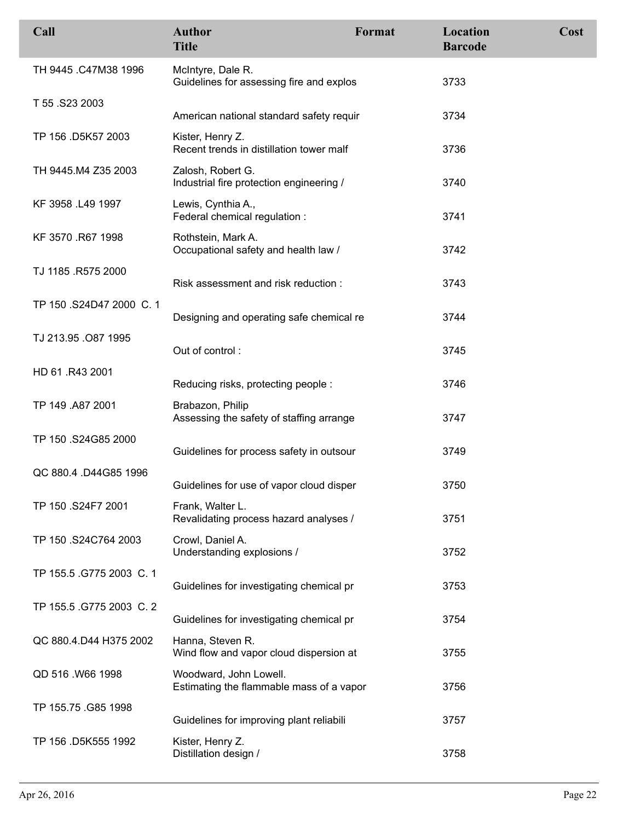| Call                     | <b>Author</b><br><b>Title</b>                                      | Format | Location<br><b>Barcode</b> | Cost |
|--------------------------|--------------------------------------------------------------------|--------|----------------------------|------|
| TH 9445 .C47M38 1996     | McIntyre, Dale R.<br>Guidelines for assessing fire and explos      |        | 3733                       |      |
| T 55 .S23 2003           | American national standard safety requir                           |        | 3734                       |      |
| TP 156 .D5K57 2003       | Kister, Henry Z.<br>Recent trends in distillation tower malf       |        | 3736                       |      |
| TH 9445.M4 Z35 2003      | Zalosh, Robert G.<br>Industrial fire protection engineering /      |        | 3740                       |      |
| KF 3958 .L49 1997        | Lewis, Cynthia A.,<br>Federal chemical regulation :                |        | 3741                       |      |
| KF 3570 .R67 1998        | Rothstein, Mark A.<br>Occupational safety and health law /         |        | 3742                       |      |
| TJ 1185 .R575 2000       | Risk assessment and risk reduction:                                |        | 3743                       |      |
| TP 150 .S24D47 2000 C. 1 | Designing and operating safe chemical re                           |        | 3744                       |      |
| TJ 213.95 .O87 1995      | Out of control:                                                    |        | 3745                       |      |
| HD 61 .R43 2001          | Reducing risks, protecting people:                                 |        | 3746                       |      |
| TP 149 .A87 2001         | Brabazon, Philip<br>Assessing the safety of staffing arrange       |        | 3747                       |      |
| TP 150 .S24G85 2000      | Guidelines for process safety in outsour                           |        | 3749                       |      |
| QC 880.4 .D44G85 1996    | Guidelines for use of vapor cloud disper                           |        | 3750                       |      |
| TP 150 .S24F7 2001       | Frank, Walter L.<br>Revalidating process hazard analyses /         |        | 3751                       |      |
| TP 150 .S24C764 2003     | Crowl, Daniel A.<br>Understanding explosions /                     |        | 3752                       |      |
| TP 155.5 .G775 2003 C. 1 | Guidelines for investigating chemical pr                           |        | 3753                       |      |
| TP 155.5 .G775 2003 C. 2 | Guidelines for investigating chemical pr                           |        | 3754                       |      |
| QC 880.4.D44 H375 2002   | Hanna, Steven R.<br>Wind flow and vapor cloud dispersion at        |        | 3755                       |      |
| QD 516 .W66 1998         | Woodward, John Lowell.<br>Estimating the flammable mass of a vapor |        | 3756                       |      |
| TP 155.75 .G85 1998      | Guidelines for improving plant reliabili                           |        | 3757                       |      |
| TP 156 .D5K555 1992      | Kister, Henry Z.<br>Distillation design /                          |        | 3758                       |      |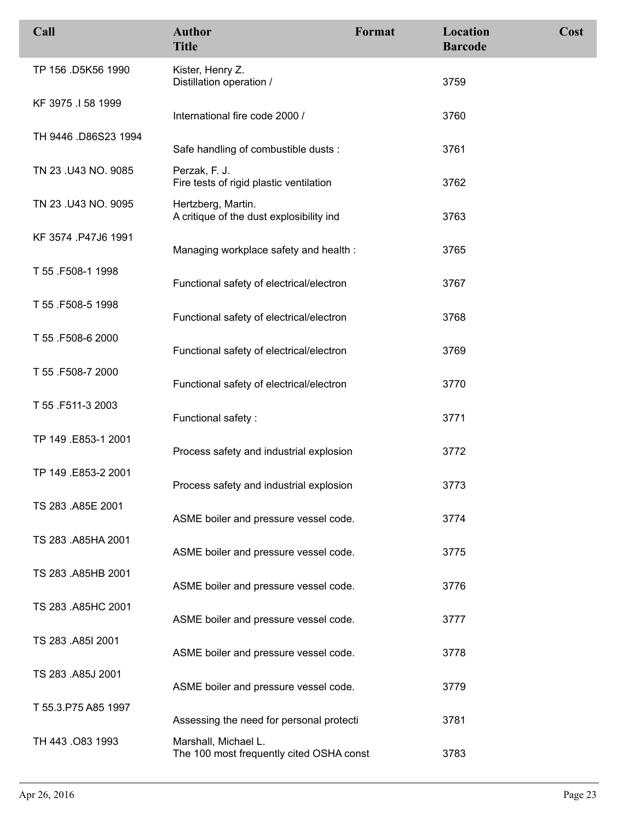| Call                 | <b>Author</b><br><b>Title</b>                                    | Format | Location<br><b>Barcode</b> | Cost |
|----------------------|------------------------------------------------------------------|--------|----------------------------|------|
| TP 156 .D5K56 1990   | Kister, Henry Z.<br>Distillation operation /                     |        | 3759                       |      |
| KF 3975 .I 58 1999   | International fire code 2000 /                                   |        | 3760                       |      |
| TH 9446 .D86S23 1994 | Safe handling of combustible dusts :                             |        | 3761                       |      |
| TN 23 .U43 NO. 9085  | Perzak, F. J.<br>Fire tests of rigid plastic ventilation         |        | 3762                       |      |
| TN 23 .U43 NO. 9095  | Hertzberg, Martin.<br>A critique of the dust explosibility ind   |        | 3763                       |      |
| KF 3574 .P47J6 1991  | Managing workplace safety and health :                           |        | 3765                       |      |
| T 55 .F508-1 1998    | Functional safety of electrical/electron                         |        | 3767                       |      |
| T 55 .F508-5 1998    | Functional safety of electrical/electron                         |        | 3768                       |      |
| T 55 .F508-6 2000    | Functional safety of electrical/electron                         |        | 3769                       |      |
| T 55 .F508-7 2000    | Functional safety of electrical/electron                         |        | 3770                       |      |
| T 55 .F511-3 2003    | Functional safety:                                               |        | 3771                       |      |
| TP 149 .E853-1 2001  | Process safety and industrial explosion                          |        | 3772                       |      |
| TP 149 .E853-2 2001  | Process safety and industrial explosion                          |        | 3773                       |      |
| TS 283 .A85E 2001    | ASME boiler and pressure vessel code.                            |        | 3774                       |      |
| TS 283 .A85HA 2001   | ASME boiler and pressure vessel code.                            |        | 3775                       |      |
| TS 283 .A85HB 2001   | ASME boiler and pressure vessel code.                            |        | 3776                       |      |
| TS 283 .A85HC 2001   | ASME boiler and pressure vessel code.                            |        | 3777                       |      |
| TS 283 .A85I 2001    | ASME boiler and pressure vessel code.                            |        | 3778                       |      |
| TS 283 .A85J 2001    | ASME boiler and pressure vessel code.                            |        | 3779                       |      |
| T 55.3.P75 A85 1997  | Assessing the need for personal protecti                         |        | 3781                       |      |
| TH 443 .083 1993     | Marshall, Michael L.<br>The 100 most frequently cited OSHA const |        | 3783                       |      |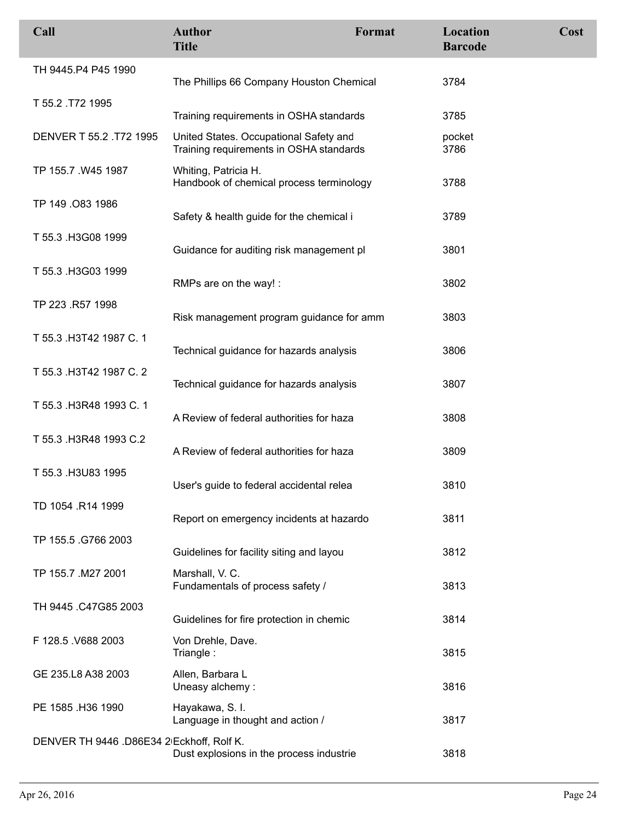| Call                                      | <b>Author</b><br><b>Title</b>                                                     | Format | Location<br><b>Barcode</b> | Cost |
|-------------------------------------------|-----------------------------------------------------------------------------------|--------|----------------------------|------|
| TH 9445.P4 P45 1990                       | The Phillips 66 Company Houston Chemical                                          |        | 3784                       |      |
| T 55.2 T72 1995                           | Training requirements in OSHA standards                                           |        | 3785                       |      |
| DENVER T 55.2 .T72 1995                   | United States. Occupational Safety and<br>Training requirements in OSHA standards |        | pocket<br>3786             |      |
| TP 155.7 .W45 1987                        | Whiting, Patricia H.<br>Handbook of chemical process terminology                  |        | 3788                       |      |
| TP 149 .083 1986                          | Safety & health guide for the chemical i                                          |        | 3789                       |      |
| T 55.3 H3G08 1999                         | Guidance for auditing risk management pl                                          |        | 3801                       |      |
| T 55.3 .H3G03 1999                        | RMPs are on the way! :                                                            |        | 3802                       |      |
| TP 223 .R57 1998                          | Risk management program guidance for amm                                          |        | 3803                       |      |
| T 55.3 .H3T42 1987 C. 1                   | Technical guidance for hazards analysis                                           |        | 3806                       |      |
| T 55.3 .H3T42 1987 C. 2                   | Technical guidance for hazards analysis                                           |        | 3807                       |      |
| T 55.3 .H3R48 1993 C. 1                   | A Review of federal authorities for haza                                          |        | 3808                       |      |
| T 55.3 .H3R48 1993 C.2                    | A Review of federal authorities for haza                                          |        | 3809                       |      |
| T 55.3 .H3U83 1995                        | User's guide to federal accidental relea                                          |        | 3810                       |      |
| TD 1054 .R14 1999                         | Report on emergency incidents at hazardo                                          |        | 3811                       |      |
| TP 155.5 .G766 2003                       | Guidelines for facility siting and layou                                          |        | 3812                       |      |
| TP 155.7 .M27 2001                        | Marshall, V. C.<br>Fundamentals of process safety /                               |        | 3813                       |      |
| TH 9445 .C47G85 2003                      | Guidelines for fire protection in chemic                                          |        | 3814                       |      |
| F 128.5 V688 2003                         | Von Drehle, Dave.<br>Triangle:                                                    |        | 3815                       |      |
| GE 235.L8 A38 2003                        | Allen, Barbara L<br>Uneasy alchemy:                                               |        | 3816                       |      |
| PE 1585 .H36 1990                         | Hayakawa, S. I.<br>Language in thought and action /                               |        | 3817                       |      |
| DENVER TH 9446 .D86E34 2 Eckhoff, Rolf K. | Dust explosions in the process industrie                                          |        | 3818                       |      |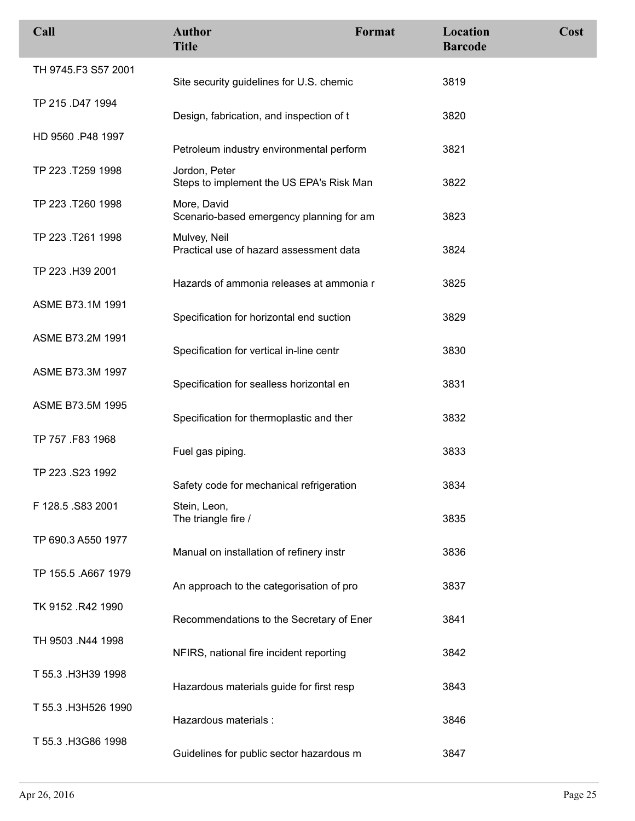| Call                | <b>Author</b><br><b>Title</b>                             | Format | Location<br><b>Barcode</b> | Cost |
|---------------------|-----------------------------------------------------------|--------|----------------------------|------|
| TH 9745.F3 S57 2001 | Site security guidelines for U.S. chemic                  |        | 3819                       |      |
| TP 215 .D47 1994    | Design, fabrication, and inspection of t                  |        | 3820                       |      |
| HD 9560 .P48 1997   | Petroleum industry environmental perform                  |        | 3821                       |      |
| TP 223 .T259 1998   | Jordon, Peter<br>Steps to implement the US EPA's Risk Man |        | 3822                       |      |
| TP 223 .T260 1998   | More, David<br>Scenario-based emergency planning for am   |        | 3823                       |      |
| TP 223 .T261 1998   | Mulvey, Neil<br>Practical use of hazard assessment data   |        | 3824                       |      |
| TP 223 .H39 2001    | Hazards of ammonia releases at ammonia r                  |        | 3825                       |      |
| ASME B73.1M 1991    | Specification for horizontal end suction                  |        | 3829                       |      |
| ASME B73.2M 1991    | Specification for vertical in-line centr                  |        | 3830                       |      |
| ASME B73.3M 1997    | Specification for sealless horizontal en                  |        | 3831                       |      |
| ASME B73.5M 1995    | Specification for thermoplastic and ther                  |        | 3832                       |      |
| TP 757 .F83 1968    | Fuel gas piping.                                          |        | 3833                       |      |
| TP 223 .S23 1992    | Safety code for mechanical refrigeration                  |        | 3834                       |      |
| F 128.5 .S83 2001   | Stein, Leon,<br>The triangle fire /                       |        | 3835                       |      |
| TP 690.3 A550 1977  | Manual on installation of refinery instr                  |        | 3836                       |      |
| TP 155.5 .A667 1979 | An approach to the categorisation of pro                  |        | 3837                       |      |
| TK 9152 .R42 1990   | Recommendations to the Secretary of Ener                  |        | 3841                       |      |
| TH 9503 .N44 1998   | NFIRS, national fire incident reporting                   |        | 3842                       |      |
| T 55.3 .H3H39 1998  | Hazardous materials guide for first resp                  |        | 3843                       |      |
| T 55.3 .H3H526 1990 | Hazardous materials :                                     |        | 3846                       |      |
| T 55.3 H3G86 1998   | Guidelines for public sector hazardous m                  |        | 3847                       |      |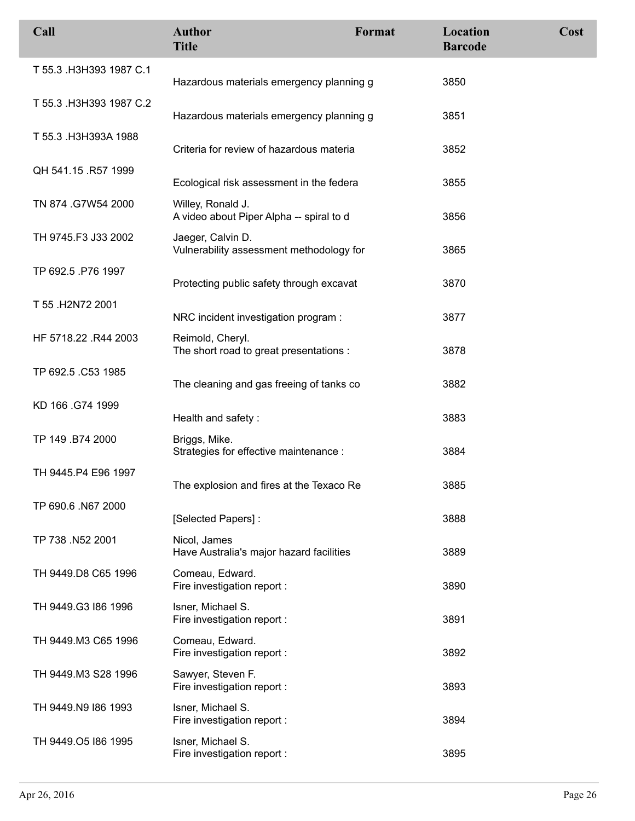| Call                    | <b>Author</b><br><b>Title</b>                                 | Format | Location<br><b>Barcode</b> | Cost |
|-------------------------|---------------------------------------------------------------|--------|----------------------------|------|
| T 55.3 .H3H393 1987 C.1 | Hazardous materials emergency planning g                      |        | 3850                       |      |
| T 55.3 .H3H393 1987 C.2 | Hazardous materials emergency planning g                      |        | 3851                       |      |
| T 55.3 H3H393A 1988     | Criteria for review of hazardous materia                      |        | 3852                       |      |
| QH 541.15 .R57 1999     | Ecological risk assessment in the federa                      |        | 3855                       |      |
| TN 874 .G7W54 2000      | Willey, Ronald J.<br>A video about Piper Alpha -- spiral to d |        | 3856                       |      |
| TH 9745.F3 J33 2002     | Jaeger, Calvin D.<br>Vulnerability assessment methodology for |        | 3865                       |      |
| TP 692.5 .P76 1997      | Protecting public safety through excavat                      |        | 3870                       |      |
| T 55 .H2N72 2001        | NRC incident investigation program :                          |        | 3877                       |      |
| HF 5718.22 .R44 2003    | Reimold, Cheryl.<br>The short road to great presentations :   |        | 3878                       |      |
| TP 692.5 .C53 1985      | The cleaning and gas freeing of tanks co                      |        | 3882                       |      |
| KD 166 .G74 1999        | Health and safety:                                            |        | 3883                       |      |
| TP 149 .B74 2000        | Briggs, Mike.<br>Strategies for effective maintenance :       |        | 3884                       |      |
| TH 9445.P4 E96 1997     | The explosion and fires at the Texaco Re                      |        | 3885                       |      |
| TP 690.6 .N67 2000      | [Selected Papers]:                                            |        | 3888                       |      |
| TP 738 .N52 2001        | Nicol, James<br>Have Australia's major hazard facilities      |        | 3889                       |      |
| TH 9449.D8 C65 1996     | Comeau, Edward.<br>Fire investigation report :                |        | 3890                       |      |
| TH 9449.G3 I86 1996     | Isner, Michael S.<br>Fire investigation report :              |        | 3891                       |      |
| TH 9449.M3 C65 1996     | Comeau, Edward.<br>Fire investigation report :                |        | 3892                       |      |
| TH 9449.M3 S28 1996     | Sawyer, Steven F.<br>Fire investigation report :              |        | 3893                       |      |
| TH 9449.N9 186 1993     | Isner, Michael S.<br>Fire investigation report :              |        | 3894                       |      |
| TH 9449.05 186 1995     | Isner, Michael S.<br>Fire investigation report :              |        | 3895                       |      |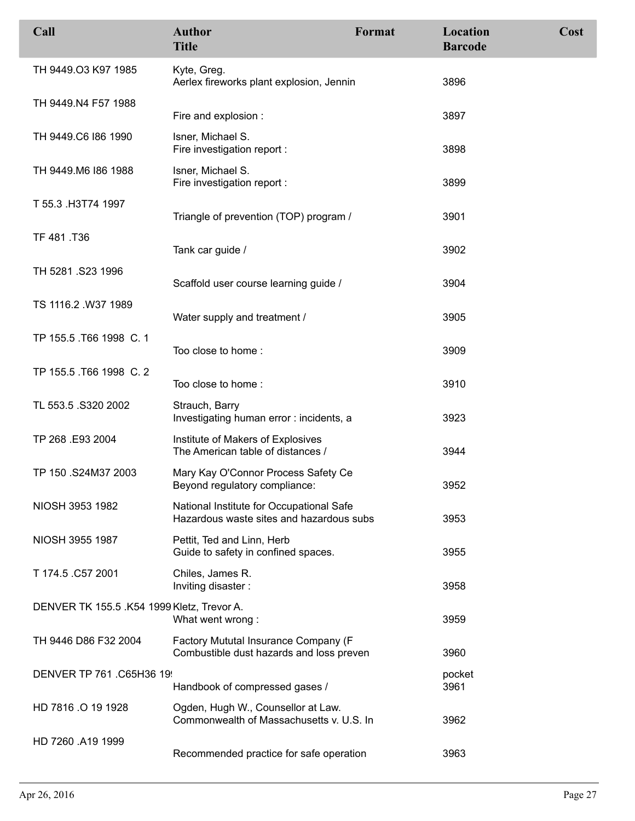| Call                                       | <b>Author</b><br><b>Title</b>                                                        | Format | Location<br><b>Barcode</b> | Cost |
|--------------------------------------------|--------------------------------------------------------------------------------------|--------|----------------------------|------|
| TH 9449.03 K97 1985                        | Kyte, Greg.<br>Aerlex fireworks plant explosion, Jennin                              |        | 3896                       |      |
| TH 9449.N4 F57 1988                        | Fire and explosion :                                                                 |        | 3897                       |      |
| TH 9449.C6 186 1990                        | Isner, Michael S.<br>Fire investigation report :                                     |        | 3898                       |      |
| TH 9449.M6 186 1988                        | Isner, Michael S.<br>Fire investigation report :                                     |        | 3899                       |      |
| T 55.3 .H3T74 1997                         | Triangle of prevention (TOP) program /                                               |        | 3901                       |      |
| TF 481.T36                                 | Tank car guide /                                                                     |        | 3902                       |      |
| TH 5281 .S23 1996                          | Scaffold user course learning guide /                                                |        | 3904                       |      |
| TS 1116.2 .W37 1989                        | Water supply and treatment /                                                         |        | 3905                       |      |
| TP 155.5 T66 1998 C. 1                     | Too close to home:                                                                   |        | 3909                       |      |
| TP 155.5 .T66 1998 C. 2                    | Too close to home:                                                                   |        | 3910                       |      |
| TL 553.5 .S320 2002                        | Strauch, Barry<br>Investigating human error: incidents, a                            |        | 3923                       |      |
| TP 268 .E93 2004                           | Institute of Makers of Explosives<br>The American table of distances /               |        | 3944                       |      |
| TP 150 .S24M37 2003                        | Mary Kay O'Connor Process Safety Ce<br>Beyond regulatory compliance:                 |        | 3952                       |      |
| NIOSH 3953 1982                            | National Institute for Occupational Safe<br>Hazardous waste sites and hazardous subs |        | 3953                       |      |
| NIOSH 3955 1987                            | Pettit, Ted and Linn, Herb<br>Guide to safety in confined spaces.                    |        | 3955                       |      |
| T 174.5 .C57 2001                          | Chiles, James R.<br>Inviting disaster:                                               |        | 3958                       |      |
| DENVER TK 155.5 .K54 1999 Kletz, Trevor A. | What went wrong:                                                                     |        | 3959                       |      |
| TH 9446 D86 F32 2004                       | Factory Mututal Insurance Company (F<br>Combustible dust hazards and loss preven     |        | 3960                       |      |
| DENVER TP 761 .C65H36 19                   | Handbook of compressed gases /                                                       |        | pocket<br>3961             |      |
| HD 7816 .O 19 1928                         | Ogden, Hugh W., Counsellor at Law.<br>Commonwealth of Massachusetts v. U.S. In       |        | 3962                       |      |
| HD 7260 .A19 1999                          | Recommended practice for safe operation                                              |        | 3963                       |      |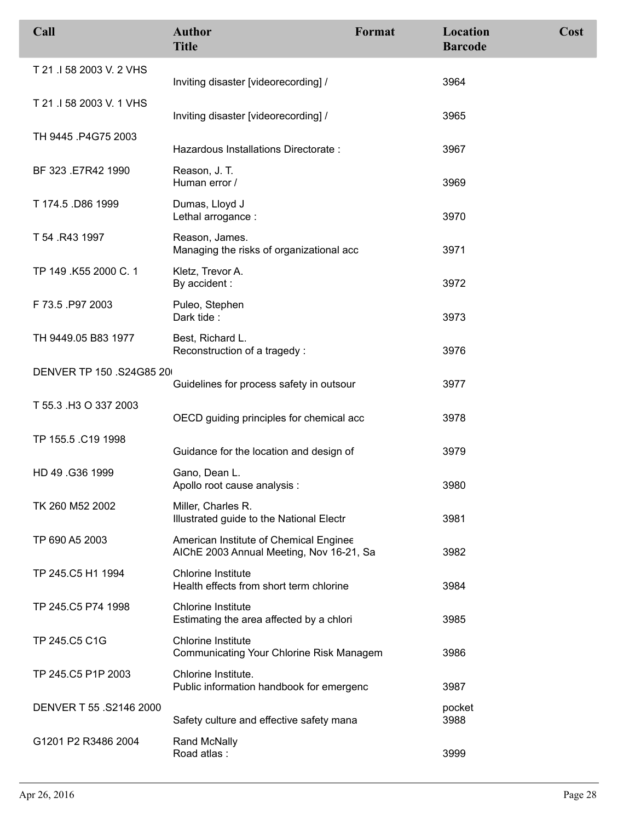| Call                     | <b>Author</b><br><b>Title</b>                                                      | Format | Location<br><b>Barcode</b> | Cost |
|--------------------------|------------------------------------------------------------------------------------|--------|----------------------------|------|
| T 21 .I 58 2003 V. 2 VHS | Inviting disaster [videorecording] /                                               |        | 3964                       |      |
| T 21 .I 58 2003 V. 1 VHS | Inviting disaster [videorecording] /                                               |        | 3965                       |      |
| TH 9445 .P4G75 2003      | Hazardous Installations Directorate:                                               |        | 3967                       |      |
| BF 323 .E7R42 1990       | Reason, J. T.<br>Human error /                                                     |        | 3969                       |      |
| T 174.5 .D86 1999        | Dumas, Lloyd J<br>Lethal arrogance :                                               |        | 3970                       |      |
| T 54 .R43 1997           | Reason, James.<br>Managing the risks of organizational acc                         |        | 3971                       |      |
| TP 149 .K55 2000 C. 1    | Kletz, Trevor A.<br>By accident :                                                  |        | 3972                       |      |
| F 73.5 P97 2003          | Puleo, Stephen<br>Dark tide:                                                       |        | 3973                       |      |
| TH 9449.05 B83 1977      | Best, Richard L.<br>Reconstruction of a tragedy:                                   |        | 3976                       |      |
| DENVER TP 150 .S24G85 20 | Guidelines for process safety in outsour                                           |        | 3977                       |      |
| T 55.3 H3 O 337 2003     | OECD guiding principles for chemical acc                                           |        | 3978                       |      |
| TP 155.5 .C19 1998       | Guidance for the location and design of                                            |        | 3979                       |      |
| HD 49 .G36 1999          | Gano, Dean L.<br>Apollo root cause analysis :                                      |        | 3980                       |      |
| TK 260 M52 2002          | Miller, Charles R.<br>Illustrated guide to the National Electr                     |        | 3981                       |      |
| TP 690 A5 2003           | American Institute of Chemical Enginee<br>AIChE 2003 Annual Meeting, Nov 16-21, Sa |        | 3982                       |      |
| TP 245.C5 H1 1994        | <b>Chlorine Institute</b><br>Health effects from short term chlorine               |        | 3984                       |      |
| TP 245.C5 P74 1998       | <b>Chlorine Institute</b><br>Estimating the area affected by a chlori              |        | 3985                       |      |
| TP 245.C5 C1G            | <b>Chlorine Institute</b><br>Communicating Your Chlorine Risk Managem              |        | 3986                       |      |
| TP 245.C5 P1P 2003       | Chlorine Institute.<br>Public information handbook for emergenc                    |        | 3987                       |      |
| DENVER T 55 .S2146 2000  | Safety culture and effective safety mana                                           |        | pocket<br>3988             |      |
| G1201 P2 R3486 2004      | <b>Rand McNally</b><br>Road atlas:                                                 |        | 3999                       |      |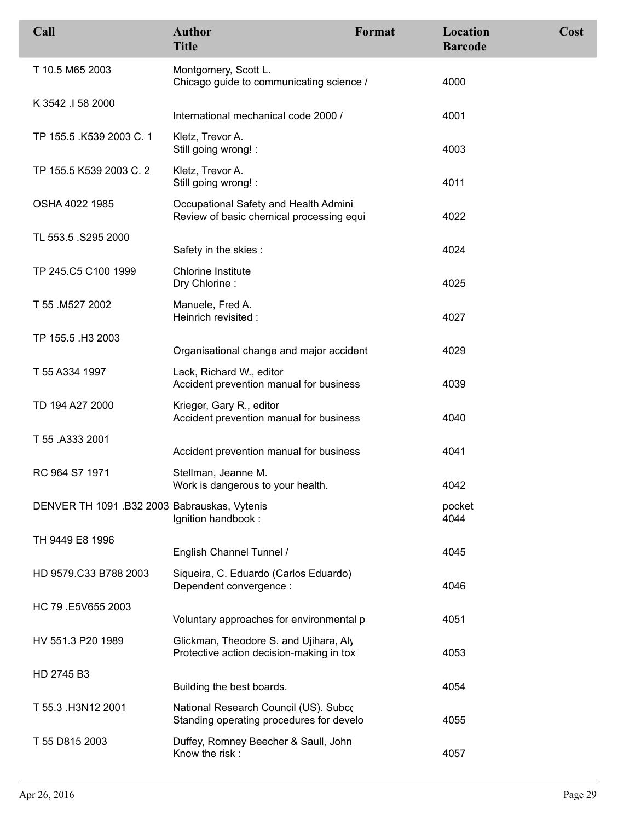| Call                                         | <b>Author</b><br><b>Title</b>                                                      | Format | Location<br><b>Barcode</b> | Cost |
|----------------------------------------------|------------------------------------------------------------------------------------|--------|----------------------------|------|
| T 10.5 M65 2003                              | Montgomery, Scott L.<br>Chicago guide to communicating science /                   |        | 4000                       |      |
| K 3542 .I 58 2000                            | International mechanical code 2000 /                                               |        | 4001                       |      |
| TP 155.5 .K539 2003 C. 1                     | Kletz, Trevor A.<br>Still going wrong! :                                           |        | 4003                       |      |
| TP 155.5 K539 2003 C. 2                      | Kletz, Trevor A.<br>Still going wrong! :                                           |        | 4011                       |      |
| OSHA 4022 1985                               | Occupational Safety and Health Admini<br>Review of basic chemical processing equi  |        | 4022                       |      |
| TL 553.5 .S295 2000                          | Safety in the skies:                                                               |        | 4024                       |      |
| TP 245.C5 C100 1999                          | <b>Chlorine Institute</b>                                                          |        |                            |      |
|                                              | Dry Chlorine:                                                                      |        | 4025                       |      |
| T 55 .M527 2002                              | Manuele, Fred A.<br>Heinrich revisited :                                           |        | 4027                       |      |
| TP 155.5 .H3 2003                            | Organisational change and major accident                                           |        | 4029                       |      |
| T 55 A334 1997                               | Lack, Richard W., editor<br>Accident prevention manual for business                |        | 4039                       |      |
| TD 194 A27 2000                              | Krieger, Gary R., editor<br>Accident prevention manual for business                |        | 4040                       |      |
| T 55 .A333 2001                              | Accident prevention manual for business                                            |        | 4041                       |      |
| RC 964 S7 1971                               | Stellman, Jeanne M.<br>Work is dangerous to your health.                           |        | 4042                       |      |
| DENVER TH 1091 .B32 2003 Babrauskas, Vytenis | Ignition handbook:                                                                 |        | pocket<br>4044             |      |
| TH 9449 E8 1996                              |                                                                                    |        |                            |      |
|                                              | English Channel Tunnel /                                                           |        | 4045                       |      |
| HD 9579.C33 B788 2003                        | Siqueira, C. Eduardo (Carlos Eduardo)<br>Dependent convergence :                   |        | 4046                       |      |
| HC 79 .E5V655 2003                           | Voluntary approaches for environmental p                                           |        | 4051                       |      |
| HV 551.3 P20 1989                            | Glickman, Theodore S. and Ujihara, Aly<br>Protective action decision-making in tox |        | 4053                       |      |
| HD 2745 B3                                   |                                                                                    |        |                            |      |
|                                              | Building the best boards.                                                          |        | 4054                       |      |
| T 55.3 .H3N12 2001                           | National Research Council (US). Subco<br>Standing operating procedures for develo  |        | 4055                       |      |
| T 55 D815 2003                               | Duffey, Romney Beecher & Saull, John<br>Know the risk:                             |        | 4057                       |      |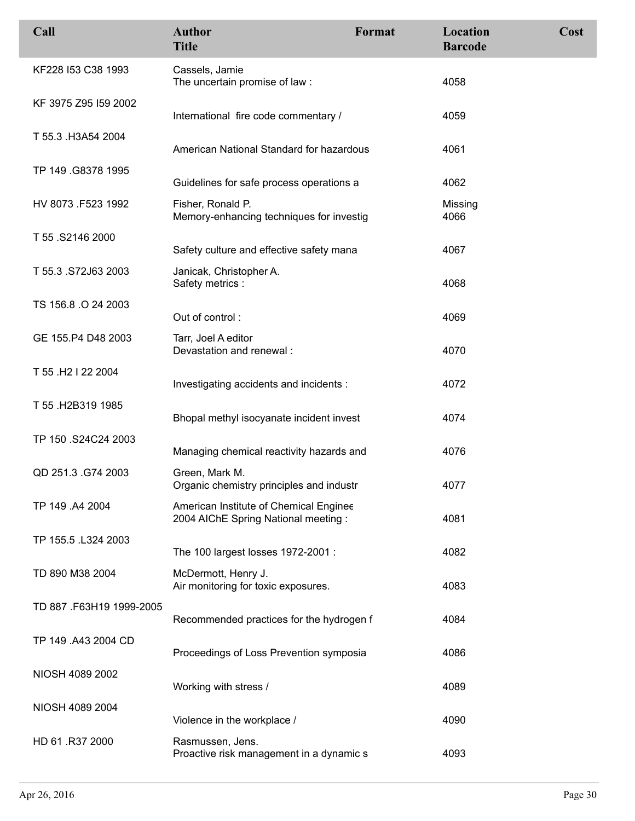| Call                     | <b>Author</b><br><b>Title</b>                                                 | Format | Location<br><b>Barcode</b> | Cost |
|--------------------------|-------------------------------------------------------------------------------|--------|----------------------------|------|
| KF228 I53 C38 1993       | Cassels, Jamie<br>The uncertain promise of law:                               |        | 4058                       |      |
| KF 3975 Z95 I59 2002     | International fire code commentary /                                          |        | 4059                       |      |
| T 55.3 .H3A54 2004       | American National Standard for hazardous                                      |        | 4061                       |      |
| TP 149 .G8378 1995       | Guidelines for safe process operations a                                      |        | 4062                       |      |
| HV 8073 .F523 1992       | Fisher, Ronald P.<br>Memory-enhancing techniques for investig                 |        | Missing<br>4066            |      |
| T 55.S2146 2000          | Safety culture and effective safety mana                                      |        | 4067                       |      |
| T 55.3 .S72J63 2003      | Janicak, Christopher A.<br>Safety metrics :                                   |        | 4068                       |      |
| TS 156.8 .O 24 2003      | Out of control:                                                               |        | 4069                       |      |
| GE 155.P4 D48 2003       | Tarr, Joel A editor<br>Devastation and renewal :                              |        | 4070                       |      |
| T 55 .H2 I 22 2004       | Investigating accidents and incidents :                                       |        | 4072                       |      |
| T 55 .H2B319 1985        | Bhopal methyl isocyanate incident invest                                      |        | 4074                       |      |
| TP 150 .S24C24 2003      | Managing chemical reactivity hazards and                                      |        | 4076                       |      |
| QD 251.3 .G74 2003       | Green, Mark M.<br>Organic chemistry principles and industr                    |        | 4077                       |      |
| TP 149 .A4 2004          | American Institute of Chemical Enginee<br>2004 AIChE Spring National meeting: |        | 4081                       |      |
| TP 155.5 .L324 2003      | The 100 largest losses 1972-2001 :                                            |        | 4082                       |      |
| TD 890 M38 2004          | McDermott, Henry J.<br>Air monitoring for toxic exposures.                    |        | 4083                       |      |
| TD 887 .F63H19 1999-2005 | Recommended practices for the hydrogen f                                      |        | 4084                       |      |
| TP 149 .A43 2004 CD      | Proceedings of Loss Prevention symposia                                       |        | 4086                       |      |
| NIOSH 4089 2002          | Working with stress /                                                         |        | 4089                       |      |
| NIOSH 4089 2004          | Violence in the workplace /                                                   |        | 4090                       |      |
| HD 61 .R37 2000          | Rasmussen, Jens.<br>Proactive risk management in a dynamic s                  |        | 4093                       |      |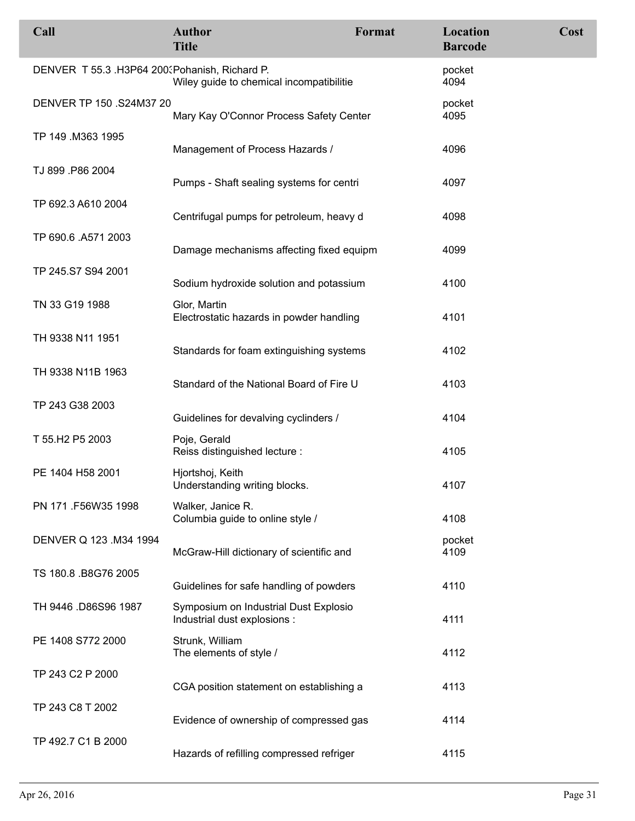| Call                                           | <b>Author</b><br><b>Title</b>                                         | Format | Location<br><b>Barcode</b> | Cost |
|------------------------------------------------|-----------------------------------------------------------------------|--------|----------------------------|------|
| DENVER T 55.3 .H3P64 200. Pohanish, Richard P. | Wiley guide to chemical incompatibilitie                              |        | pocket<br>4094             |      |
| DENVER TP 150 .S24M37 20                       | Mary Kay O'Connor Process Safety Center                               |        | pocket<br>4095             |      |
| TP 149 .M363 1995                              | Management of Process Hazards /                                       |        | 4096                       |      |
| TJ 899 .P86 2004                               | Pumps - Shaft sealing systems for centri                              |        | 4097                       |      |
| TP 692.3 A610 2004                             | Centrifugal pumps for petroleum, heavy d                              |        | 4098                       |      |
| TP 690.6 .A571 2003                            | Damage mechanisms affecting fixed equipm                              |        | 4099                       |      |
| TP 245.S7 S94 2001                             | Sodium hydroxide solution and potassium                               |        | 4100                       |      |
| TN 33 G19 1988                                 | Glor, Martin<br>Electrostatic hazards in powder handling              |        | 4101                       |      |
| TH 9338 N11 1951                               | Standards for foam extinguishing systems                              |        | 4102                       |      |
| TH 9338 N11B 1963                              | Standard of the National Board of Fire U                              |        | 4103                       |      |
| TP 243 G38 2003                                | Guidelines for devalving cyclinders /                                 |        | 4104                       |      |
| T 55.H2 P5 2003                                | Poje, Gerald<br>Reiss distinguished lecture :                         |        | 4105                       |      |
| PE 1404 H58 2001                               | Hjortshoj, Keith<br>Understanding writing blocks.                     |        | 4107                       |      |
| PN 171 .F56W35 1998                            | Walker, Janice R.<br>Columbia guide to online style /                 |        | 4108                       |      |
| DENVER Q 123 .M34 1994                         | McGraw-Hill dictionary of scientific and                              |        | pocket<br>4109             |      |
| TS 180.8 .B8G76 2005                           | Guidelines for safe handling of powders                               |        | 4110                       |      |
| TH 9446 .D86S96 1987                           | Symposium on Industrial Dust Explosio<br>Industrial dust explosions : |        | 4111                       |      |
| PE 1408 S772 2000                              | Strunk, William<br>The elements of style /                            |        | 4112                       |      |
| TP 243 C2 P 2000                               | CGA position statement on establishing a                              |        | 4113                       |      |
| TP 243 C8 T 2002                               | Evidence of ownership of compressed gas                               |        | 4114                       |      |
| TP 492.7 C1 B 2000                             | Hazards of refilling compressed refriger                              |        | 4115                       |      |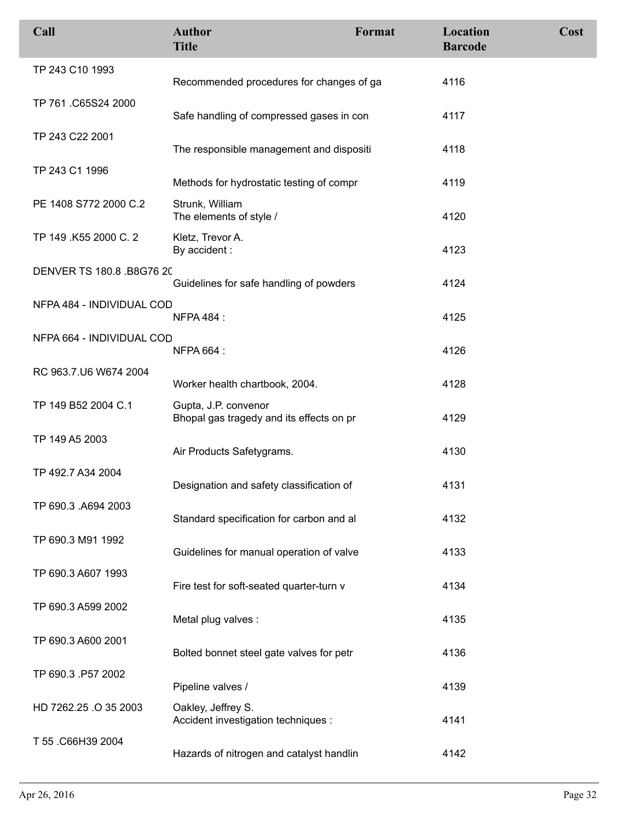| Call                      | <b>Author</b><br><b>Title</b>                                    | Format | Location<br><b>Barcode</b> | Cost |
|---------------------------|------------------------------------------------------------------|--------|----------------------------|------|
| TP 243 C10 1993           | Recommended procedures for changes of ga                         |        | 4116                       |      |
| TP 761 .C65S24 2000       | Safe handling of compressed gases in con                         |        | 4117                       |      |
| TP 243 C22 2001           | The responsible management and dispositi                         |        | 4118                       |      |
| TP 243 C1 1996            | Methods for hydrostatic testing of compr                         |        | 4119                       |      |
| PE 1408 S772 2000 C.2     | Strunk, William<br>The elements of style /                       |        | 4120                       |      |
| TP 149 .K55 2000 C. 2     | Kletz, Trevor A.<br>By accident:                                 |        | 4123                       |      |
| DENVER TS 180.8 .B8G76 20 | Guidelines for safe handling of powders                          |        | 4124                       |      |
| NFPA 484 - INDIVIDUAL COD | <b>NFPA 484:</b>                                                 |        | 4125                       |      |
| NFPA 664 - INDIVIDUAL COD | <b>NFPA 664:</b>                                                 |        | 4126                       |      |
| RC 963.7.U6 W674 2004     | Worker health chartbook, 2004.                                   |        | 4128                       |      |
| TP 149 B52 2004 C.1       | Gupta, J.P. convenor<br>Bhopal gas tragedy and its effects on pr |        | 4129                       |      |
| TP 149 A5 2003            | Air Products Safetygrams.                                        |        | 4130                       |      |
| TP 492.7 A34 2004         | Designation and safety classification of                         |        | 4131                       |      |
| TP 690.3 .A694 2003       | Standard specification for carbon and al                         |        | 4132                       |      |
| TP 690.3 M91 1992         | Guidelines for manual operation of valve                         |        | 4133                       |      |
| TP 690.3 A607 1993        | Fire test for soft-seated quarter-turn v                         |        | 4134                       |      |
| TP 690.3 A599 2002        | Metal plug valves :                                              |        | 4135                       |      |
| TP 690.3 A600 2001        | Bolted bonnet steel gate valves for petr                         |        | 4136                       |      |
| TP 690.3 .P57 2002        | Pipeline valves /                                                |        | 4139                       |      |
| HD 7262.25 .O 35 2003     | Oakley, Jeffrey S.<br>Accident investigation techniques :        |        | 4141                       |      |
| T 55 .C66H39 2004         | Hazards of nitrogen and catalyst handlin                         |        | 4142                       |      |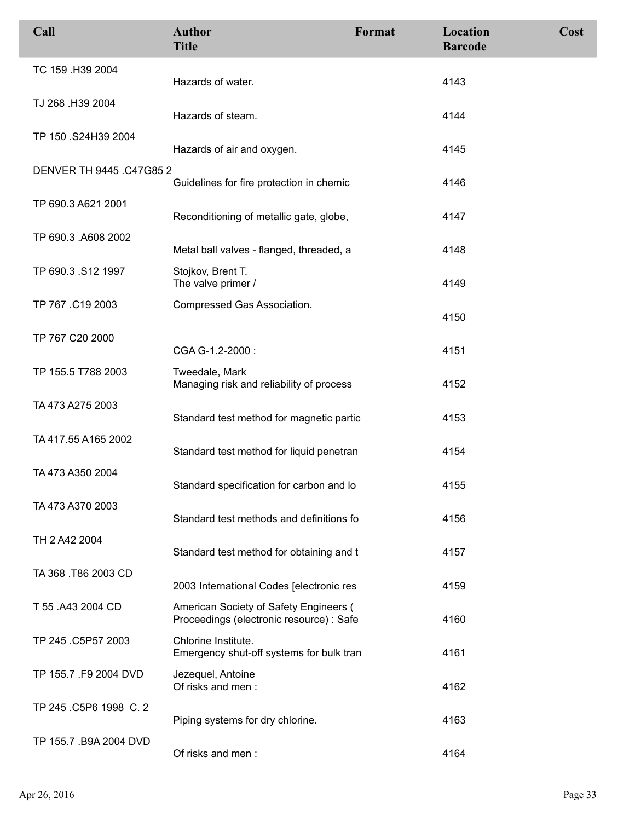| Call                     | <b>Author</b><br><b>Title</b>                                                      | Format | Location<br><b>Barcode</b> | Cost |
|--------------------------|------------------------------------------------------------------------------------|--------|----------------------------|------|
| TC 159 .H39 2004         | Hazards of water.                                                                  |        | 4143                       |      |
| TJ 268 .H39 2004         | Hazards of steam.                                                                  |        | 4144                       |      |
| TP 150 .S24H39 2004      | Hazards of air and oxygen.                                                         |        | 4145                       |      |
| DENVER TH 9445 .C47G85 2 | Guidelines for fire protection in chemic                                           |        | 4146                       |      |
| TP 690.3 A621 2001       | Reconditioning of metallic gate, globe,                                            |        | 4147                       |      |
| TP 690.3 .A608 2002      | Metal ball valves - flanged, threaded, a                                           |        | 4148                       |      |
| TP 690.3 .S12 1997       | Stojkov, Brent T.<br>The valve primer /                                            |        | 4149                       |      |
| TP 767 .C19 2003         | Compressed Gas Association.                                                        |        | 4150                       |      |
| TP 767 C20 2000          | CGA G-1.2-2000:                                                                    |        | 4151                       |      |
| TP 155.5 T788 2003       | Tweedale, Mark<br>Managing risk and reliability of process                         |        | 4152                       |      |
| TA 473 A275 2003         | Standard test method for magnetic partic                                           |        | 4153                       |      |
| TA 417.55 A165 2002      | Standard test method for liquid penetran                                           |        | 4154                       |      |
| TA 473 A350 2004         | Standard specification for carbon and lo                                           |        | 4155                       |      |
| TA 473 A370 2003         | Standard test methods and definitions fo                                           |        | 4156                       |      |
| TH 2 A42 2004            | Standard test method for obtaining and t                                           |        | 4157                       |      |
| TA 368 .T86 2003 CD      | 2003 International Codes [electronic res                                           |        | 4159                       |      |
| T 55 .A43 2004 CD        | American Society of Safety Engineers (<br>Proceedings (electronic resource) : Safe |        | 4160                       |      |
| TP 245 .C5P57 2003       | Chlorine Institute.<br>Emergency shut-off systems for bulk tran                    |        | 4161                       |      |
| TP 155.7 .F9 2004 DVD    | Jezequel, Antoine<br>Of risks and men:                                             |        | 4162                       |      |
| TP 245 .C5P6 1998 C. 2   | Piping systems for dry chlorine.                                                   |        | 4163                       |      |
| TP 155.7 .B9A 2004 DVD   | Of risks and men:                                                                  |        | 4164                       |      |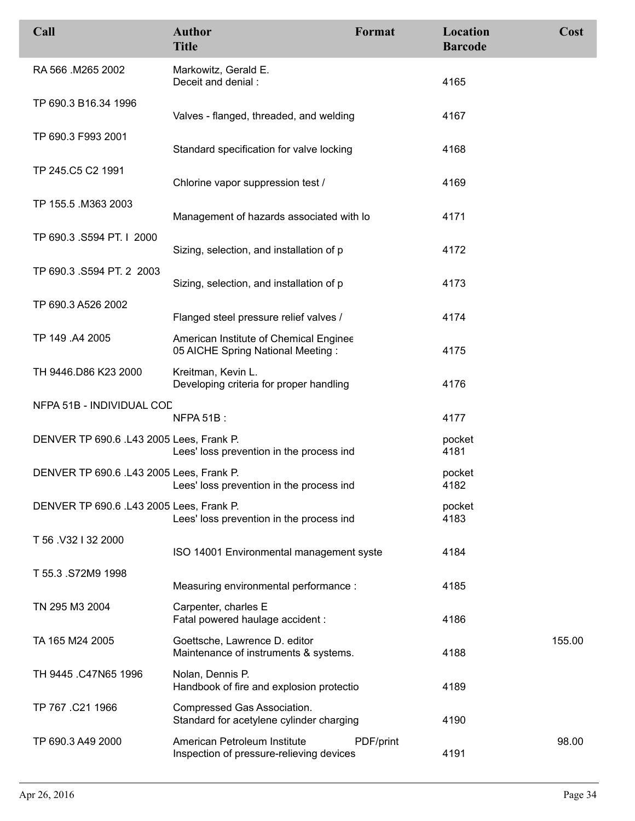| Call                                     | <b>Author</b><br><b>Title</b>                                               | Format    | Location<br><b>Barcode</b> | Cost   |
|------------------------------------------|-----------------------------------------------------------------------------|-----------|----------------------------|--------|
| RA 566 .M265 2002                        | Markowitz, Gerald E.<br>Deceit and denial :                                 |           | 4165                       |        |
| TP 690.3 B16.34 1996                     | Valves - flanged, threaded, and welding                                     |           | 4167                       |        |
| TP 690.3 F993 2001                       | Standard specification for valve locking                                    |           | 4168                       |        |
| TP 245.C5 C2 1991                        | Chlorine vapor suppression test /                                           |           | 4169                       |        |
| TP 155.5 .M363 2003                      | Management of hazards associated with lo                                    |           | 4171                       |        |
| TP 690.3 .S594 PT. I 2000                | Sizing, selection, and installation of p                                    |           | 4172                       |        |
| TP 690.3 .S594 PT. 2 2003                | Sizing, selection, and installation of p                                    |           | 4173                       |        |
| TP 690.3 A526 2002                       | Flanged steel pressure relief valves /                                      |           | 4174                       |        |
| TP 149 .A4 2005                          | American Institute of Chemical Enginee<br>05 AICHE Spring National Meeting: |           | 4175                       |        |
| TH 9446.D86 K23 2000                     | Kreitman, Kevin L.<br>Developing criteria for proper handling               |           | 4176                       |        |
| NFPA 51B - INDIVIDUAL COD                | NFPA 51B:                                                                   |           | 4177                       |        |
| DENVER TP 690.6 .L43 2005 Lees, Frank P. | Lees' loss prevention in the process ind                                    |           | pocket<br>4181             |        |
| DENVER TP 690.6 .L43 2005 Lees, Frank P. | Lees' loss prevention in the process ind                                    |           | pocket<br>4182             |        |
| DENVER TP 690.6 .L43 2005 Lees, Frank P. | Lees' loss prevention in the process ind                                    |           | pocket<br>4183             |        |
| T 56 V32 I 32 2000                       | ISO 14001 Environmental management syste                                    |           | 4184                       |        |
| T 55.3 .S72M9 1998                       | Measuring environmental performance :                                       |           | 4185                       |        |
| TN 295 M3 2004                           | Carpenter, charles E<br>Fatal powered haulage accident :                    |           | 4186                       |        |
| TA 165 M24 2005                          | Goettsche, Lawrence D. editor<br>Maintenance of instruments & systems.      |           | 4188                       | 155.00 |
| TH 9445 .C47N65 1996                     | Nolan, Dennis P.<br>Handbook of fire and explosion protectio                |           | 4189                       |        |
| TP 767 .C21 1966                         | Compressed Gas Association.<br>Standard for acetylene cylinder charging     |           | 4190                       |        |
| TP 690.3 A49 2000                        | American Petroleum Institute<br>Inspection of pressure-relieving devices    | PDF/print | 4191                       | 98.00  |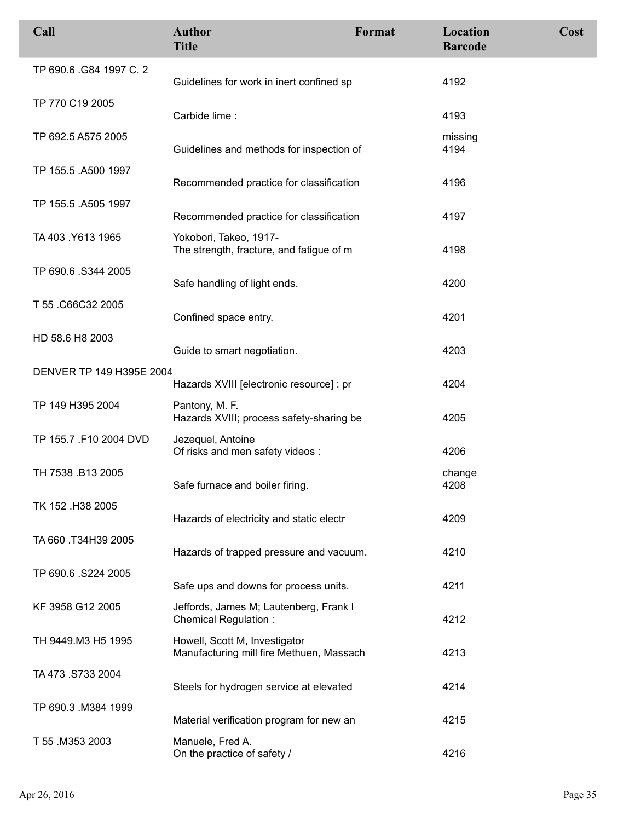| Call                     | <b>Author</b><br><b>Title</b>                                             | Format | Location<br><b>Barcode</b> | Cost |
|--------------------------|---------------------------------------------------------------------------|--------|----------------------------|------|
| TP 690.6 .G84 1997 C. 2  | Guidelines for work in inert confined sp                                  |        | 4192                       |      |
| TP 770 C19 2005          | Carbide lime:                                                             |        | 4193                       |      |
| TP 692.5 A575 2005       | Guidelines and methods for inspection of                                  |        | missing<br>4194            |      |
| TP 155.5 .A500 1997      | Recommended practice for classification                                   |        | 4196                       |      |
| TP 155.5 .A505 1997      | Recommended practice for classification                                   |        | 4197                       |      |
| TA 403 Y613 1965         | Yokobori, Takeo, 1917-<br>The strength, fracture, and fatigue of m        |        | 4198                       |      |
| TP 690.6 .S344 2005      | Safe handling of light ends.                                              |        | 4200                       |      |
| T 55 .C66C32 2005        | Confined space entry.                                                     |        | 4201                       |      |
| HD 58.6 H8 2003          | Guide to smart negotiation.                                               |        | 4203                       |      |
| DENVER TP 149 H395E 2004 | Hazards XVIII [electronic resource] : pr                                  |        | 4204                       |      |
| TP 149 H395 2004         | Pantony, M. F.<br>Hazards XVIII; process safety-sharing be                |        | 4205                       |      |
| TP 155.7 .F10 2004 DVD   | Jezequel, Antoine<br>Of risks and men safety videos :                     |        | 4206                       |      |
| TH 7538 .B13 2005        | Safe furnace and boiler firing.                                           |        | change<br>4208             |      |
| TK 152 .H38 2005         | Hazards of electricity and static electr                                  |        | 4209                       |      |
| TA 660 .T34H39 2005      | Hazards of trapped pressure and vacuum.                                   |        | 4210                       |      |
| TP 690.6 .S224 2005      | Safe ups and downs for process units.                                     |        | 4211                       |      |
| KF 3958 G12 2005         | Jeffords, James M; Lautenberg, Frank I<br><b>Chemical Regulation:</b>     |        | 4212                       |      |
| TH 9449.M3 H5 1995       | Howell, Scott M, Investigator<br>Manufacturing mill fire Methuen, Massach |        | 4213                       |      |
| TA 473 .S733 2004        | Steels for hydrogen service at elevated                                   |        | 4214                       |      |
| TP 690.3 .M384 1999      | Material verification program for new an                                  |        | 4215                       |      |
| T 55 .M353 2003          | Manuele, Fred A.<br>On the practice of safety /                           |        | 4216                       |      |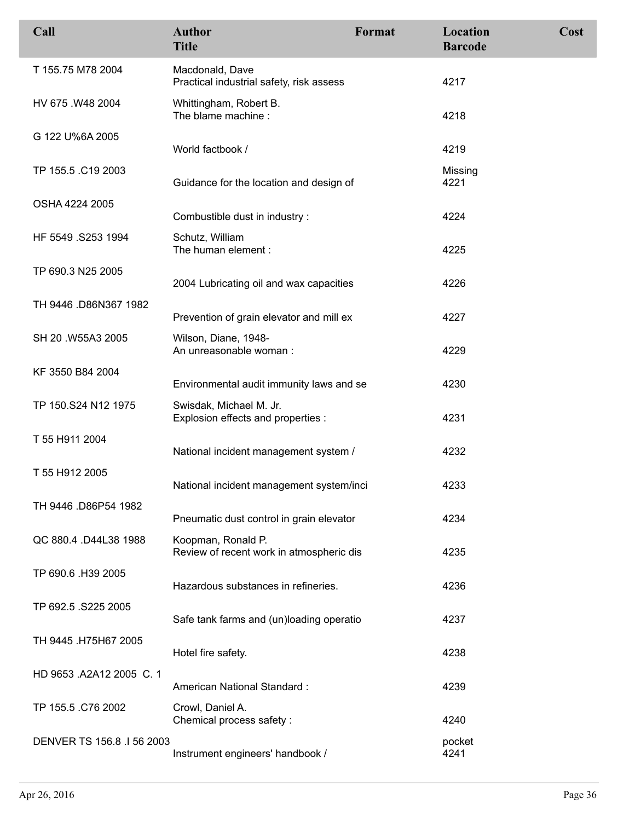| Call                       | <b>Author</b><br><b>Title</b>                                  | Format | Location<br><b>Barcode</b> | Cost |
|----------------------------|----------------------------------------------------------------|--------|----------------------------|------|
| T 155.75 M78 2004          | Macdonald, Dave<br>Practical industrial safety, risk assess    |        | 4217                       |      |
| HV 675 .W48 2004           | Whittingham, Robert B.<br>The blame machine :                  |        | 4218                       |      |
| G 122 U%6A 2005            | World factbook /                                               |        | 4219                       |      |
| TP 155.5 .C19 2003         | Guidance for the location and design of                        |        | Missing<br>4221            |      |
| OSHA 4224 2005             | Combustible dust in industry :                                 |        | 4224                       |      |
| HF 5549 .S253 1994         | Schutz, William<br>The human element :                         |        | 4225                       |      |
| TP 690.3 N25 2005          | 2004 Lubricating oil and wax capacities                        |        | 4226                       |      |
| TH 9446 .D86N367 1982      | Prevention of grain elevator and mill ex                       |        | 4227                       |      |
| SH 20 .W55A3 2005          | Wilson, Diane, 1948-<br>An unreasonable woman:                 |        | 4229                       |      |
| KF 3550 B84 2004           | Environmental audit immunity laws and se                       |        | 4230                       |      |
| TP 150.S24 N12 1975        | Swisdak, Michael M. Jr.<br>Explosion effects and properties :  |        | 4231                       |      |
| T 55 H911 2004             | National incident management system /                          |        | 4232                       |      |
| T 55 H912 2005             | National incident management system/inci                       |        | 4233                       |      |
| TH 9446 .D86P54 1982       | Pneumatic dust control in grain elevator                       |        | 4234                       |      |
| QC 880.4 .D44L38 1988      | Koopman, Ronald P.<br>Review of recent work in atmospheric dis |        | 4235                       |      |
| TP 690.6 .H39 2005         | Hazardous substances in refineries.                            |        | 4236                       |      |
| TP 692.5 .S225 2005        | Safe tank farms and (un)loading operatio                       |        | 4237                       |      |
| TH 9445 .H75H67 2005       | Hotel fire safety.                                             |        | 4238                       |      |
| HD 9653 .A2A12 2005 C. 1   | American National Standard:                                    |        | 4239                       |      |
| TP 155.5 .C76 2002         | Crowl, Daniel A.<br>Chemical process safety :                  |        | 4240                       |      |
| DENVER TS 156.8 .I 56 2003 | Instrument engineers' handbook /                               |        | pocket<br>4241             |      |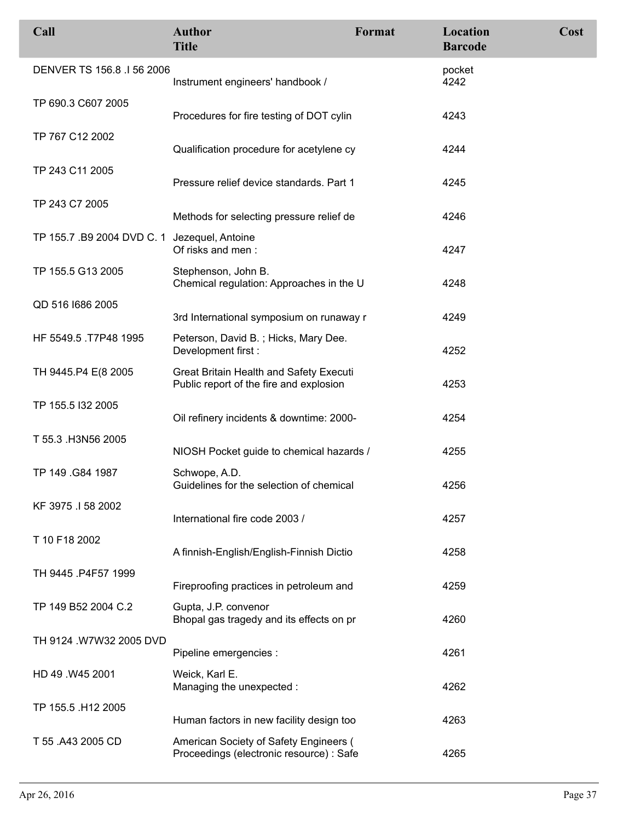| Call                                         | <b>Author</b><br><b>Title</b>                                                      | Format | Location<br><b>Barcode</b> | Cost |
|----------------------------------------------|------------------------------------------------------------------------------------|--------|----------------------------|------|
| DENVER TS 156.8 .I 56 2006                   | Instrument engineers' handbook /                                                   |        | pocket<br>4242             |      |
| TP 690.3 C607 2005                           | Procedures for fire testing of DOT cylin                                           |        | 4243                       |      |
| TP 767 C12 2002                              | Qualification procedure for acetylene cy                                           |        | 4244                       |      |
| TP 243 C11 2005                              | Pressure relief device standards. Part 1                                           |        | 4245                       |      |
| TP 243 C7 2005                               | Methods for selecting pressure relief de                                           |        | 4246                       |      |
| TP 155.7 .B9 2004 DVD C. 1 Jezequel, Antoine | Of risks and men:                                                                  |        | 4247                       |      |
| TP 155.5 G13 2005                            | Stephenson, John B.<br>Chemical regulation: Approaches in the U                    |        | 4248                       |      |
| QD 516 1686 2005                             | 3rd International symposium on runaway r                                           |        | 4249                       |      |
| HF 5549.5 .T7P48 1995                        | Peterson, David B.; Hicks, Mary Dee.<br>Development first :                        |        | 4252                       |      |
| TH 9445.P4 E(8 2005                          | Great Britain Health and Safety Executi<br>Public report of the fire and explosion |        | 4253                       |      |
| TP 155.5 I32 2005                            | Oil refinery incidents & downtime: 2000-                                           |        | 4254                       |      |
| T 55.3 .H3N56 2005                           | NIOSH Pocket guide to chemical hazards /                                           |        | 4255                       |      |
| TP 149 .G84 1987                             | Schwope, A.D.<br>Guidelines for the selection of chemical                          |        | 4256                       |      |
| KF 3975 .I 58 2002                           | International fire code 2003 /                                                     |        | 4257                       |      |
| T 10 F18 2002                                | A finnish-English/English-Finnish Dictio                                           |        | 4258                       |      |
| TH 9445 P4F57 1999                           | Fireproofing practices in petroleum and                                            |        | 4259                       |      |
| TP 149 B52 2004 C.2                          | Gupta, J.P. convenor<br>Bhopal gas tragedy and its effects on pr                   |        | 4260                       |      |
| TH 9124 .W7W32 2005 DVD                      | Pipeline emergencies :                                                             |        | 4261                       |      |
| HD 49 .W45 2001                              | Weick, Karl E.<br>Managing the unexpected :                                        |        | 4262                       |      |
| TP 155.5 .H12 2005                           | Human factors in new facility design too                                           |        | 4263                       |      |
| T 55 .A43 2005 CD                            | American Society of Safety Engineers (<br>Proceedings (electronic resource) : Safe |        | 4265                       |      |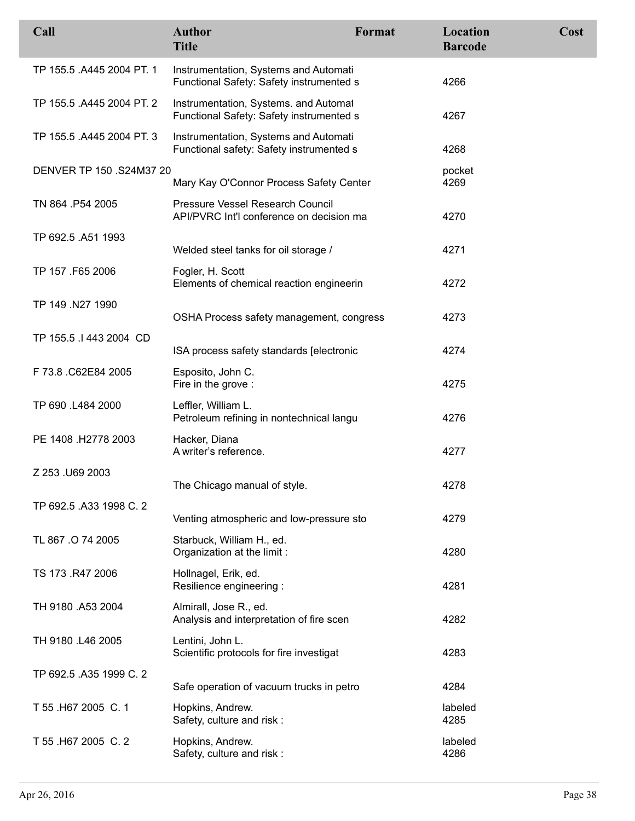| Call                      | <b>Author</b><br><b>Title</b>                                                     | Format | Location<br><b>Barcode</b> | Cost |
|---------------------------|-----------------------------------------------------------------------------------|--------|----------------------------|------|
| TP 155.5 .A445 2004 PT. 1 | Instrumentation, Systems and Automati<br>Functional Safety: Safety instrumented s |        | 4266                       |      |
| TP 155.5 .A445 2004 PT. 2 | Instrumentation, Systems. and Automat<br>Functional Safety: Safety instrumented s |        | 4267                       |      |
| TP 155.5 .A445 2004 PT. 3 | Instrumentation, Systems and Automati<br>Functional safety: Safety instrumented s |        | 4268                       |      |
| DENVER TP 150 .S24M37 20  | Mary Kay O'Connor Process Safety Center                                           |        | pocket<br>4269             |      |
| TN 864 .P54 2005          | Pressure Vessel Research Council<br>API/PVRC Int'l conference on decision ma      |        | 4270                       |      |
| TP 692.5 .A51 1993        | Welded steel tanks for oil storage /                                              |        | 4271                       |      |
| TP 157 .F65 2006          | Fogler, H. Scott<br>Elements of chemical reaction engineerin                      |        | 4272                       |      |
| TP 149 .N27 1990          | OSHA Process safety management, congress                                          |        | 4273                       |      |
| TP 155.5 .I 443 2004 CD   | ISA process safety standards [electronic                                          |        | 4274                       |      |
| F 73.8 .C62E84 2005       | Esposito, John C.<br>Fire in the grove :                                          |        | 4275                       |      |
| TP 690 .L484 2000         | Leffler, William L.<br>Petroleum refining in nontechnical langu                   |        | 4276                       |      |
| PE 1408 .H2778 2003       | Hacker, Diana<br>A writer's reference.                                            |        | 4277                       |      |
| Z 253 .U69 2003           | The Chicago manual of style.                                                      |        | 4278                       |      |
| TP 692.5 .A33 1998 C. 2   | Venting atmospheric and low-pressure sto                                          |        | 4279                       |      |
| TL 867 .O 74 2005         | Starbuck, William H., ed.<br>Organization at the limit:                           |        | 4280                       |      |
| TS 173 .R47 2006          | Hollnagel, Erik, ed.<br>Resilience engineering :                                  |        | 4281                       |      |
| TH 9180 .A53 2004         | Almirall, Jose R., ed.<br>Analysis and interpretation of fire scen                |        | 4282                       |      |
| TH 9180 .L46 2005         | Lentini, John L.<br>Scientific protocols for fire investigat                      |        | 4283                       |      |
| TP 692.5 .A35 1999 C. 2   | Safe operation of vacuum trucks in petro                                          |        | 4284                       |      |
| T 55 .H67 2005 C. 1       | Hopkins, Andrew.<br>Safety, culture and risk :                                    |        | labeled<br>4285            |      |
| T 55 .H67 2005 C. 2       | Hopkins, Andrew.<br>Safety, culture and risk:                                     |        | labeled<br>4286            |      |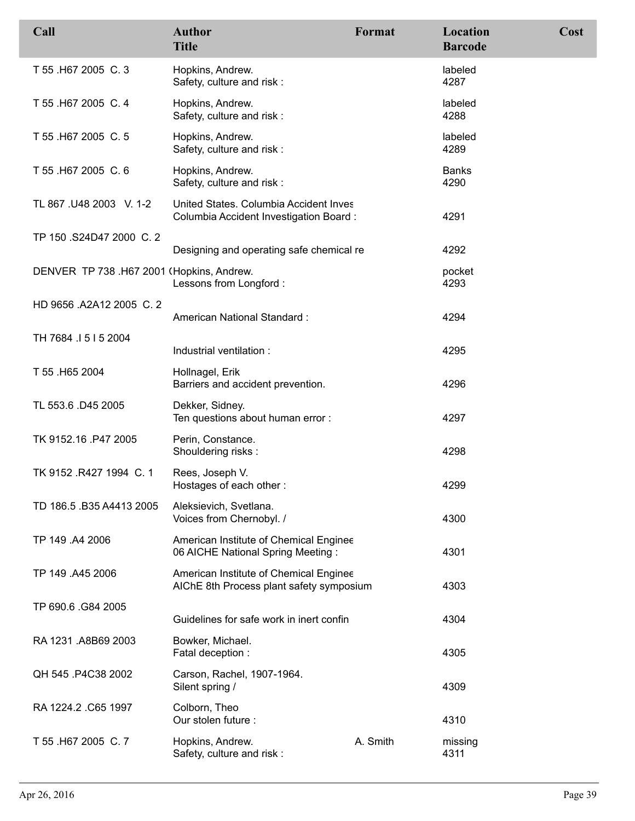| Call                                      | <b>Author</b><br><b>Title</b>                                                      | Format   | Location<br><b>Barcode</b> | Cost |
|-------------------------------------------|------------------------------------------------------------------------------------|----------|----------------------------|------|
| T 55 .H67 2005 C. 3                       | Hopkins, Andrew.<br>Safety, culture and risk:                                      |          | labeled<br>4287            |      |
| T 55 .H67 2005 C. 4                       | Hopkins, Andrew.<br>Safety, culture and risk:                                      |          | labeled<br>4288            |      |
| T 55 .H67 2005 C. 5                       | Hopkins, Andrew.<br>Safety, culture and risk:                                      |          | labeled<br>4289            |      |
| T 55 .H67 2005 C. 6                       | Hopkins, Andrew.<br>Safety, culture and risk:                                      |          | <b>Banks</b><br>4290       |      |
| TL 867 .U48 2003 V. 1-2                   | United States. Columbia Accident Inves<br>Columbia Accident Investigation Board:   |          | 4291                       |      |
| TP 150 .S24D47 2000 C. 2                  | Designing and operating safe chemical re                                           |          | 4292                       |      |
| DENVER TP 738 .H67 2001 (Hopkins, Andrew. | Lessons from Longford:                                                             |          | pocket<br>4293             |      |
| HD 9656 .A2A12 2005 C. 2                  | American National Standard:                                                        |          | 4294                       |      |
| TH 7684 1515 2004                         | Industrial ventilation :                                                           |          | 4295                       |      |
| T 55 .H65 2004                            | Hollnagel, Erik<br>Barriers and accident prevention.                               |          | 4296                       |      |
| TL 553.6 .D45 2005                        | Dekker, Sidney.<br>Ten questions about human error :                               |          | 4297                       |      |
| TK 9152.16 .P47 2005                      | Perin, Constance.<br>Shouldering risks:                                            |          | 4298                       |      |
| TK 9152 .R427 1994 C. 1                   | Rees, Joseph V.<br>Hostages of each other:                                         |          | 4299                       |      |
| TD 186.5 .B35 A4413 2005                  | Aleksievich, Svetlana.<br>Voices from Chernobyl. /                                 |          | 4300                       |      |
| TP 149 .A4 2006                           | American Institute of Chemical Enginee<br>06 AICHE National Spring Meeting:        |          | 4301                       |      |
| TP 149 .A45 2006                          | American Institute of Chemical Enginee<br>AIChE 8th Process plant safety symposium |          | 4303                       |      |
| TP 690.6 .G84 2005                        | Guidelines for safe work in inert confin                                           |          | 4304                       |      |
| RA 1231 .A8B69 2003                       | Bowker, Michael.<br>Fatal deception :                                              |          | 4305                       |      |
| QH 545 .P4C38 2002                        | Carson, Rachel, 1907-1964.<br>Silent spring /                                      |          | 4309                       |      |
| RA 1224.2 .C65 1997                       | Colborn, Theo<br>Our stolen future :                                               |          | 4310                       |      |
| T 55 .H67 2005 C.7                        | Hopkins, Andrew.<br>Safety, culture and risk :                                     | A. Smith | missing<br>4311            |      |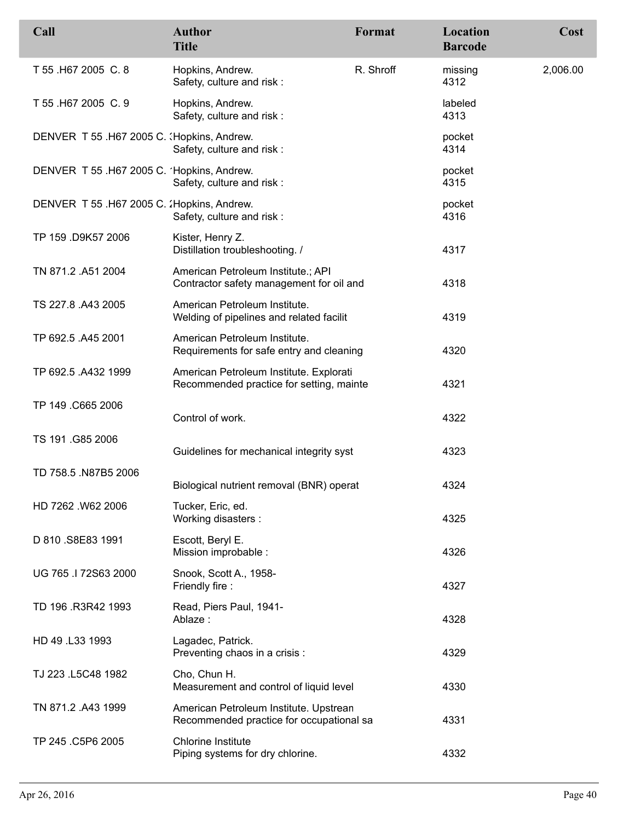| Call                                        | <b>Author</b><br><b>Title</b>                                                       | Format    | Location<br><b>Barcode</b> | Cost     |
|---------------------------------------------|-------------------------------------------------------------------------------------|-----------|----------------------------|----------|
| T 55 .H67 2005 C. 8                         | Hopkins, Andrew.<br>Safety, culture and risk:                                       | R. Shroff | missing<br>4312            | 2,006.00 |
| T 55 .H67 2005 C. 9                         | Hopkins, Andrew.<br>Safety, culture and risk:                                       |           | labeled<br>4313            |          |
| DENVER T 55 .H67 2005 C. (Hopkins, Andrew.  | Safety, culture and risk:                                                           |           | pocket<br>4314             |          |
| DENVER T 55 .H67 2005 C. 'Hopkins, Andrew.  | Safety, culture and risk:                                                           |           | pocket<br>4315             |          |
| DENVER T 55 .H67 2005 C. : Hopkins, Andrew. | Safety, culture and risk:                                                           |           | pocket<br>4316             |          |
| TP 159 .D9K57 2006                          | Kister, Henry Z.<br>Distillation troubleshooting. /                                 |           | 4317                       |          |
| TN 871.2 .A51 2004                          | American Petroleum Institute.; API<br>Contractor safety management for oil and      |           | 4318                       |          |
| TS 227.8 .A43 2005                          | American Petroleum Institute.<br>Welding of pipelines and related facilit           |           | 4319                       |          |
| TP 692.5 .A45 2001                          | American Petroleum Institute.<br>Requirements for safe entry and cleaning           |           | 4320                       |          |
| TP 692.5 .A432 1999                         | American Petroleum Institute. Explorati<br>Recommended practice for setting, mainte |           | 4321                       |          |
| TP 149 .C665 2006                           | Control of work.                                                                    |           | 4322                       |          |
| TS 191 .G85 2006                            | Guidelines for mechanical integrity syst                                            |           | 4323                       |          |
| TD 758.5 .N87B5 2006                        | Biological nutrient removal (BNR) operat                                            |           | 4324                       |          |
| HD 7262 W62 2006                            | Tucker, Eric, ed.<br>Working disasters :                                            |           | 4325                       |          |
| D 810 .S8E83 1991                           | Escott, Beryl E.<br>Mission improbable :                                            |           | 4326                       |          |
| UG 765 .I 72S63 2000                        | Snook, Scott A., 1958-<br>Friendly fire:                                            |           | 4327                       |          |
| TD 196 .R3R42 1993                          | Read, Piers Paul, 1941-<br>Ablaze:                                                  |           | 4328                       |          |
| HD 49 .L33 1993                             | Lagadec, Patrick.<br>Preventing chaos in a crisis :                                 |           | 4329                       |          |
| TJ 223 .L5C48 1982                          | Cho, Chun H.<br>Measurement and control of liquid level                             |           | 4330                       |          |
| TN 871.2 .A43 1999                          | American Petroleum Institute. Upstrean<br>Recommended practice for occupational sa  |           | 4331                       |          |
| TP 245 .C5P6 2005                           | <b>Chlorine Institute</b><br>Piping systems for dry chlorine.                       |           | 4332                       |          |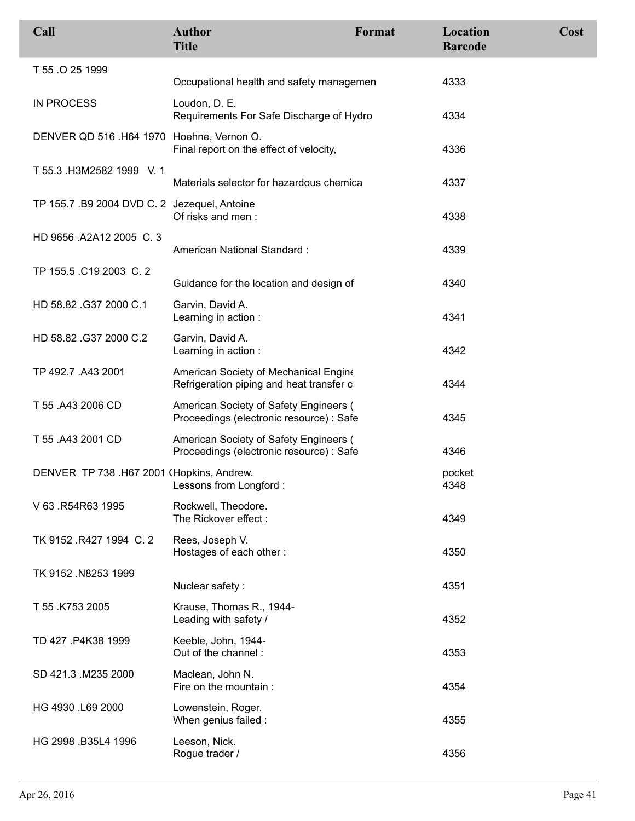| Call                                         | <b>Author</b><br><b>Title</b>                                                      | Format | Location<br><b>Barcode</b> | Cost |
|----------------------------------------------|------------------------------------------------------------------------------------|--------|----------------------------|------|
| T 55 .O 25 1999                              | Occupational health and safety managemen                                           |        | 4333                       |      |
| <b>IN PROCESS</b>                            | Loudon, D. E.<br>Requirements For Safe Discharge of Hydro                          |        | 4334                       |      |
| DENVER QD 516 .H64 1970 Hoehne, Vernon O.    | Final report on the effect of velocity,                                            |        | 4336                       |      |
| T 55.3 .H3M2582 1999 V. 1                    | Materials selector for hazardous chemica                                           |        | 4337                       |      |
| TP 155.7 .B9 2004 DVD C. 2 Jezequel, Antoine | Of risks and men:                                                                  |        | 4338                       |      |
| HD 9656 .A2A12 2005 C.3                      | American National Standard:                                                        |        | 4339                       |      |
| TP 155.5 .C19 2003 C. 2                      | Guidance for the location and design of                                            |        | 4340                       |      |
| HD 58.82 .G37 2000 C.1                       | Garvin, David A.<br>Learning in action :                                           |        | 4341                       |      |
| HD 58.82 .G37 2000 C.2                       | Garvin, David A.<br>Learning in action :                                           |        | 4342                       |      |
| TP 492.7 .A43 2001                           | American Society of Mechanical Engine<br>Refrigeration piping and heat transfer c  |        | 4344                       |      |
| T 55 .A43 2006 CD                            | American Society of Safety Engineers (<br>Proceedings (electronic resource) : Safe |        | 4345                       |      |
| T 55 .A43 2001 CD                            | American Society of Safety Engineers (<br>Proceedings (electronic resource) : Safe |        | 4346                       |      |
| DENVER TP 738 .H67 2001 (Hopkins, Andrew.    | Lessons from Longford :                                                            |        | pocket<br>4348             |      |
| V 63 .R54R63 1995                            | Rockwell, Theodore.<br>The Rickover effect:                                        |        | 4349                       |      |
| TK 9152 .R427 1994 C. 2                      | Rees, Joseph V.<br>Hostages of each other:                                         |        | 4350                       |      |
| TK 9152 .N8253 1999                          | Nuclear safety:                                                                    |        | 4351                       |      |
| T 55 .K753 2005                              | Krause, Thomas R., 1944-<br>Leading with safety /                                  |        | 4352                       |      |
| TD 427 .P4K38 1999                           | Keeble, John, 1944-<br>Out of the channel:                                         |        | 4353                       |      |
| SD 421.3 M235 2000                           | Maclean, John N.<br>Fire on the mountain :                                         |        | 4354                       |      |
| HG 4930 .L69 2000                            | Lowenstein, Roger.<br>When genius failed :                                         |        | 4355                       |      |
| HG 2998 .B35L4 1996                          | Leeson, Nick.<br>Rogue trader /                                                    |        | 4356                       |      |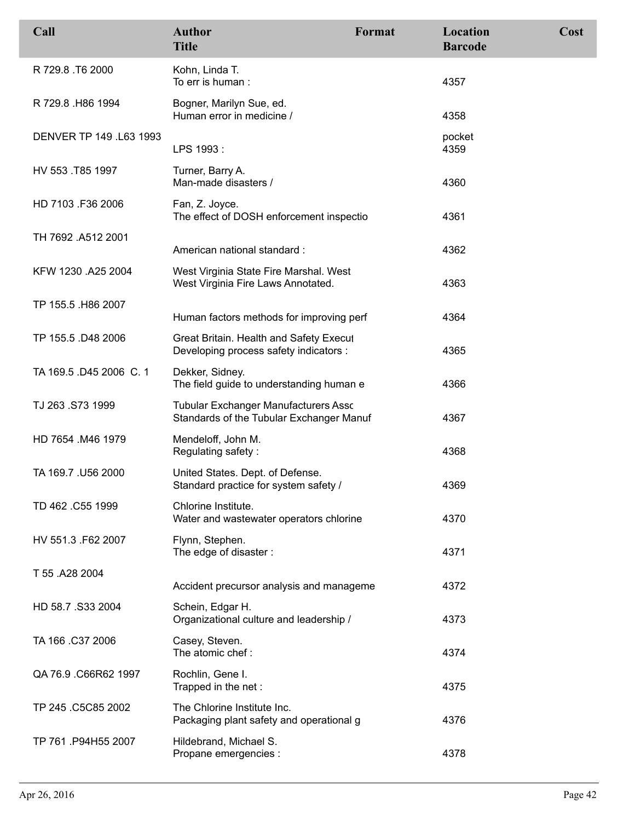| Call                    | <b>Author</b><br><b>Title</b>                                                           | Format | Location<br><b>Barcode</b> | Cost |
|-------------------------|-----------------------------------------------------------------------------------------|--------|----------------------------|------|
| R 729.8 T6 2000         | Kohn, Linda T.<br>To err is human:                                                      |        | 4357                       |      |
| R 729.8 H86 1994        | Bogner, Marilyn Sue, ed.<br>Human error in medicine /                                   |        | 4358                       |      |
| DENVER TP 149 .L63 1993 | LPS 1993:                                                                               |        | pocket<br>4359             |      |
| HV 553 .T85 1997        | Turner, Barry A.<br>Man-made disasters /                                                |        | 4360                       |      |
| HD 7103 .F36 2006       | Fan, Z. Joyce.<br>The effect of DOSH enforcement inspectio                              |        | 4361                       |      |
| TH 7692 .A512 2001      | American national standard:                                                             |        | 4362                       |      |
| KFW 1230 .A25 2004      | West Virginia State Fire Marshal. West<br>West Virginia Fire Laws Annotated.            |        | 4363                       |      |
| TP 155.5 .H86 2007      | Human factors methods for improving perf                                                |        | 4364                       |      |
| TP 155.5 .D48 2006      | Great Britain. Health and Safety Execul<br>Developing process safety indicators :       |        | 4365                       |      |
| TA 169.5 .D45 2006 C. 1 | Dekker, Sidney.<br>The field guide to understanding human e                             |        | 4366                       |      |
| TJ 263 .S73 1999        | <b>Tubular Exchanger Manufacturers Asso</b><br>Standards of the Tubular Exchanger Manuf |        | 4367                       |      |
| HD 7654 .M46 1979       | Mendeloff, John M.<br>Regulating safety:                                                |        | 4368                       |      |
| TA 169.7 .U56 2000      | United States. Dept. of Defense.<br>Standard practice for system safety /               |        | 4369                       |      |
| TD 462 .C55 1999        | Chlorine Institute.<br>Water and wastewater operators chlorine                          |        | 4370                       |      |
| HV 551.3 .F62 2007      | Flynn, Stephen.<br>The edge of disaster:                                                |        | 4371                       |      |
| T 55 .A28 2004          | Accident precursor analysis and manageme                                                |        | 4372                       |      |
| HD 58.7 .S33 2004       | Schein, Edgar H.<br>Organizational culture and leadership /                             |        | 4373                       |      |
| TA 166 .C37 2006        | Casey, Steven.<br>The atomic chef:                                                      |        | 4374                       |      |
| QA 76.9 .C66R62 1997    | Rochlin, Gene I.<br>Trapped in the net:                                                 |        | 4375                       |      |
| TP 245 .C5C85 2002      | The Chlorine Institute Inc.<br>Packaging plant safety and operational g                 |        | 4376                       |      |
| TP 761 .P94H55 2007     | Hildebrand, Michael S.<br>Propane emergencies :                                         |        | 4378                       |      |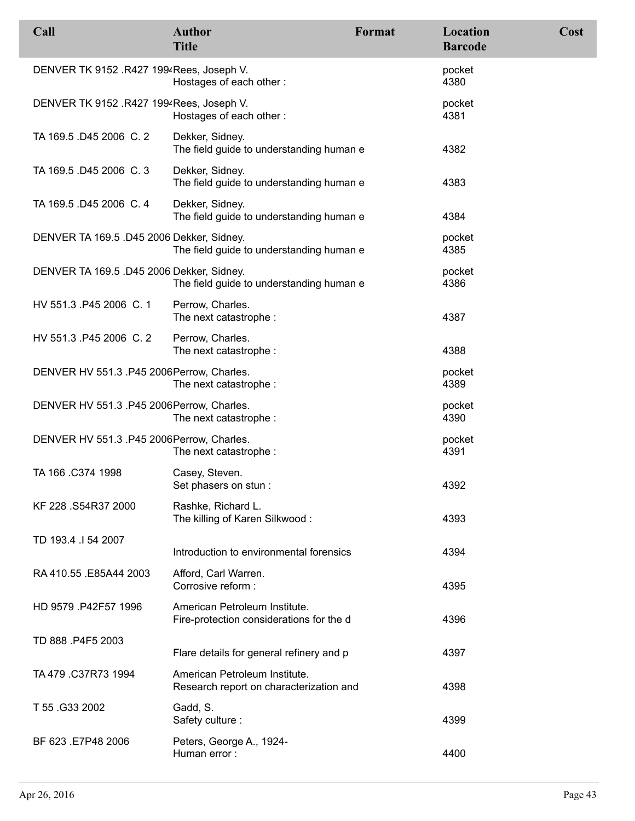| Call                                       | <b>Author</b><br><b>Title</b>                                             | Format | <b>Location</b><br><b>Barcode</b> | Cost |
|--------------------------------------------|---------------------------------------------------------------------------|--------|-----------------------------------|------|
| DENVER TK 9152 .R427 1994 Rees, Joseph V.  | Hostages of each other:                                                   |        | pocket<br>4380                    |      |
| DENVER TK 9152 .R427 1994 Rees, Joseph V.  | Hostages of each other:                                                   |        | pocket<br>4381                    |      |
| TA 169.5 .D45 2006 C. 2                    | Dekker, Sidney.<br>The field guide to understanding human e               |        | 4382                              |      |
| TA 169.5 .D45 2006 C.3                     | Dekker, Sidney.<br>The field guide to understanding human e               |        | 4383                              |      |
| TA 169.5 .D45 2006 C. 4                    | Dekker, Sidney.<br>The field guide to understanding human e               |        | 4384                              |      |
| DENVER TA 169.5 .D45 2006 Dekker, Sidney.  | The field guide to understanding human e                                  |        | pocket<br>4385                    |      |
| DENVER TA 169.5 .D45 2006 Dekker, Sidney.  | The field guide to understanding human e                                  |        | pocket<br>4386                    |      |
| HV 551.3 P45 2006 C. 1                     | Perrow, Charles.<br>The next catastrophe :                                |        | 4387                              |      |
| HV 551.3 P45 2006 C.2                      | Perrow, Charles.<br>The next catastrophe :                                |        | 4388                              |      |
| DENVER HV 551.3 .P45 2006 Perrow, Charles. | The next catastrophe :                                                    |        | pocket<br>4389                    |      |
| DENVER HV 551.3 .P45 2006 Perrow, Charles. | The next catastrophe :                                                    |        | pocket<br>4390                    |      |
| DENVER HV 551.3. P45 2006 Perrow, Charles. | The next catastrophe :                                                    |        | pocket<br>4391                    |      |
| TA 166 .C374 1998                          | Casey, Steven.<br>Set phasers on stun :                                   |        | 4392                              |      |
| KF 228 .S54R37 2000                        | Rashke, Richard L.<br>The killing of Karen Silkwood:                      |        | 4393                              |      |
| TD 193.4 .I 54 2007                        | Introduction to environmental forensics                                   |        | 4394                              |      |
| RA 410.55 .E85A44 2003                     | Afford, Carl Warren.<br>Corrosive reform :                                |        | 4395                              |      |
| HD 9579 .P42F57 1996                       | American Petroleum Institute.<br>Fire-protection considerations for the d |        | 4396                              |      |
| TD 888 .P4F5 2003                          | Flare details for general refinery and p                                  |        | 4397                              |      |
| TA 479 .C37R73 1994                        | American Petroleum Institute.<br>Research report on characterization and  |        | 4398                              |      |
| T 55 .G33 2002                             | Gadd, S.<br>Safety culture:                                               |        | 4399                              |      |
| BF 623 .E7P48 2006                         | Peters, George A., 1924-<br>Human error:                                  |        | 4400                              |      |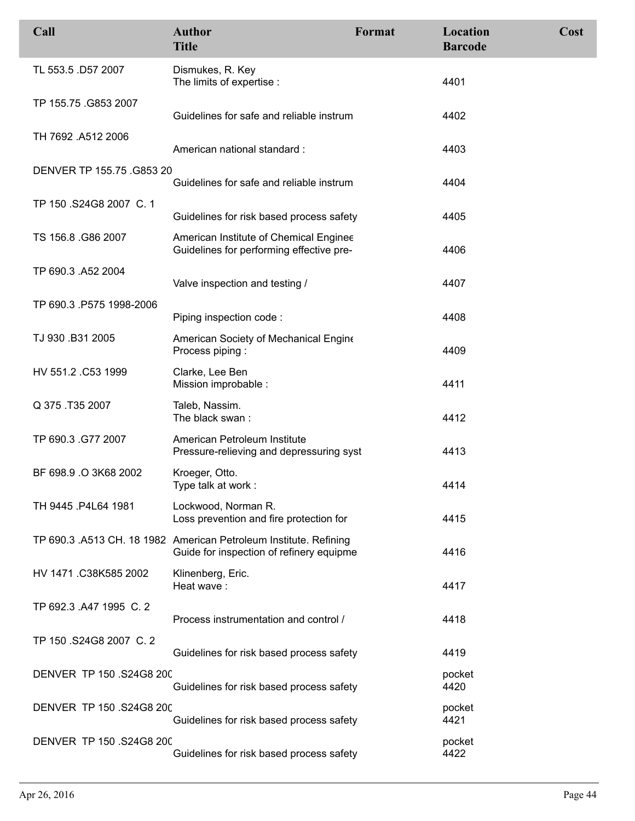| Call                      | <b>Author</b><br><b>Title</b>                                                                                 | Format | Location<br><b>Barcode</b> | Cost |
|---------------------------|---------------------------------------------------------------------------------------------------------------|--------|----------------------------|------|
| TL 553.5 .D57 2007        | Dismukes, R. Key<br>The limits of expertise :                                                                 |        | 4401                       |      |
| TP 155.75 .G853 2007      | Guidelines for safe and reliable instrum                                                                      |        | 4402                       |      |
| TH 7692 .A512 2006        | American national standard:                                                                                   |        | 4403                       |      |
| DENVER TP 155.75 .G853 20 | Guidelines for safe and reliable instrum                                                                      |        | 4404                       |      |
| TP 150 .S24G8 2007 C. 1   | Guidelines for risk based process safety                                                                      |        | 4405                       |      |
| TS 156.8 .G86 2007        | American Institute of Chemical Enginee<br>Guidelines for performing effective pre-                            |        | 4406                       |      |
| TP 690.3 .A52 2004        | Valve inspection and testing /                                                                                |        | 4407                       |      |
| TP 690.3 .P575 1998-2006  | Piping inspection code:                                                                                       |        | 4408                       |      |
| TJ 930 .B31 2005          | American Society of Mechanical Engine<br>Process piping:                                                      |        | 4409                       |      |
| HV 551.2 .C53 1999        | Clarke, Lee Ben<br>Mission improbable :                                                                       |        | 4411                       |      |
| Q 375 .T35 2007           | Taleb, Nassim.<br>The black swan:                                                                             |        | 4412                       |      |
| TP 690.3 .G77 2007        | American Petroleum Institute<br>Pressure-relieving and depressuring syst                                      |        | 4413                       |      |
| BF 698.9 .O 3K68 2002     | Kroeger, Otto.<br>Type talk at work:                                                                          |        | 4414                       |      |
| TH 9445 .P4L64 1981       | Lockwood, Norman R.<br>Loss prevention and fire protection for                                                |        | 4415                       |      |
|                           | TP 690.3 .A513 CH. 18 1982 American Petroleum Institute. Refining<br>Guide for inspection of refinery equipme |        | 4416                       |      |
| HV 1471 .C38K585 2002     | Klinenberg, Eric.<br>Heat wave:                                                                               |        | 4417                       |      |
| TP 692.3 .A47 1995 C. 2   | Process instrumentation and control /                                                                         |        | 4418                       |      |
| TP 150 .S24G8 2007 C. 2   | Guidelines for risk based process safety                                                                      |        | 4419                       |      |
| DENVER TP 150 .S24G8 200  | Guidelines for risk based process safety                                                                      |        | pocket<br>4420             |      |
| DENVER TP 150 .S24G8 200  | Guidelines for risk based process safety                                                                      |        | pocket<br>4421             |      |
| DENVER TP 150 .S24G8 200  | Guidelines for risk based process safety                                                                      |        | pocket<br>4422             |      |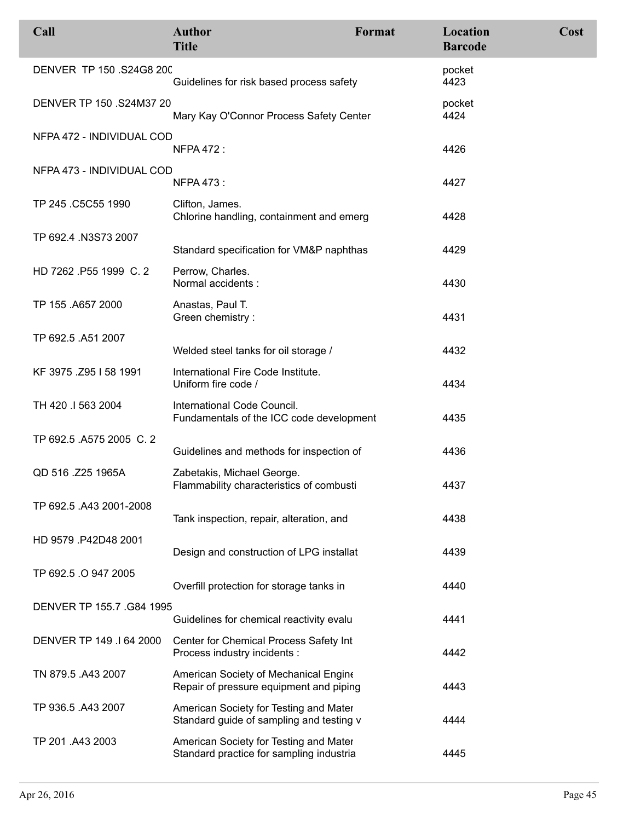| Call                      | <b>Author</b><br><b>Title</b>                                                      | Format | Location<br><b>Barcode</b> | Cost |
|---------------------------|------------------------------------------------------------------------------------|--------|----------------------------|------|
| DENVER TP 150 .S24G8 200  | Guidelines for risk based process safety                                           |        | pocket<br>4423             |      |
| DENVER TP 150 .S24M37 20  | Mary Kay O'Connor Process Safety Center                                            |        | pocket<br>4424             |      |
| NFPA 472 - INDIVIDUAL COD | <b>NFPA 472:</b>                                                                   |        | 4426                       |      |
| NFPA 473 - INDIVIDUAL COD | <b>NFPA 473:</b>                                                                   |        | 4427                       |      |
| TP 245 .C5C55 1990        | Clifton, James.<br>Chlorine handling, containment and emerg                        |        | 4428                       |      |
| TP 692.4 .N3S73 2007      | Standard specification for VM&P naphthas                                           |        | 4429                       |      |
| HD 7262 .P55 1999 C. 2    | Perrow, Charles.<br>Normal accidents :                                             |        | 4430                       |      |
| TP 155 .A657 2000         | Anastas, Paul T.<br>Green chemistry:                                               |        | 4431                       |      |
| TP 692.5 .A51 2007        | Welded steel tanks for oil storage /                                               |        | 4432                       |      |
| KF 3975 .Z95 I 58 1991    | International Fire Code Institute.<br>Uniform fire code /                          |        | 4434                       |      |
| TH 420 .I 563 2004        | International Code Council.<br>Fundamentals of the ICC code development            |        | 4435                       |      |
| TP 692.5 .A575 2005 C. 2  | Guidelines and methods for inspection of                                           |        | 4436                       |      |
| QD 516 .Z25 1965A         | Zabetakis, Michael George.<br>Flammability characteristics of combusti             |        | 4437                       |      |
| TP 692.5 .A43 2001-2008   | Tank inspection, repair, alteration, and                                           |        | 4438                       |      |
| HD 9579 .P42D48 2001      | Design and construction of LPG installat                                           |        | 4439                       |      |
| TP 692.5 .O 947 2005      | Overfill protection for storage tanks in                                           |        | 4440                       |      |
| DENVER TP 155.7 .G84 1995 | Guidelines for chemical reactivity evalu                                           |        | 4441                       |      |
| DENVER TP 149 .I 64 2000  | Center for Chemical Process Safety Int<br>Process industry incidents :             |        | 4442                       |      |
| TN 879.5 .A43 2007        | American Society of Mechanical Engine<br>Repair of pressure equipment and piping   |        | 4443                       |      |
| TP 936.5 .A43 2007        | American Society for Testing and Mater<br>Standard guide of sampling and testing v |        | 4444                       |      |
| TP 201 .A43 2003          | American Society for Testing and Mater<br>Standard practice for sampling industria |        | 4445                       |      |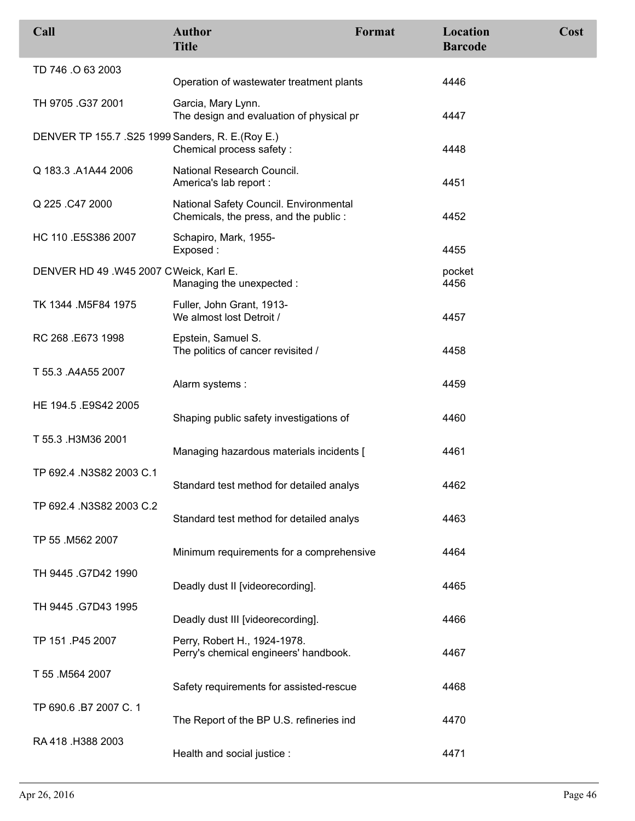| Call                                              | <b>Author</b><br><b>Title</b>                                                   | Format | Location<br><b>Barcode</b> | Cost |
|---------------------------------------------------|---------------------------------------------------------------------------------|--------|----------------------------|------|
| TD 746 .O 63 2003                                 | Operation of wastewater treatment plants                                        |        | 4446                       |      |
| TH 9705 .G37 2001                                 | Garcia, Mary Lynn.<br>The design and evaluation of physical pr                  |        | 4447                       |      |
| DENVER TP 155.7 .S25 1999 Sanders, R. E. (Roy E.) | Chemical process safety :                                                       |        | 4448                       |      |
| Q 183.3 .A1A44 2006                               | National Research Council.<br>America's lab report :                            |        | 4451                       |      |
| Q 225 .C47 2000                                   | National Safety Council. Environmental<br>Chemicals, the press, and the public: |        | 4452                       |      |
| HC 110 .E5S386 2007                               | Schapiro, Mark, 1955-<br>Exposed:                                               |        | 4455                       |      |
| DENVER HD 49.W45 2007 CWeick, Karl E.             | Managing the unexpected :                                                       |        | pocket<br>4456             |      |
| TK 1344 .M5F84 1975                               | Fuller, John Grant, 1913-<br>We almost lost Detroit /                           |        | 4457                       |      |
| RC 268 .E673 1998                                 | Epstein, Samuel S.<br>The politics of cancer revisited /                        |        | 4458                       |      |
| T 55.3 .A4A55 2007                                | Alarm systems:                                                                  |        | 4459                       |      |
| HE 194.5 .E9S42 2005                              | Shaping public safety investigations of                                         |        | 4460                       |      |
| T 55.3 .H3M36 2001                                | Managing hazardous materials incidents [                                        |        | 4461                       |      |
| TP 692.4 .N3S82 2003 C.1                          | Standard test method for detailed analys                                        |        | 4462                       |      |
| TP 692.4 .N3S82 2003 C.2                          | Standard test method for detailed analys                                        |        | 4463                       |      |
| TP 55 .M562 2007                                  | Minimum requirements for a comprehensive                                        |        | 4464                       |      |
| TH 9445 .G7D42 1990                               | Deadly dust II [videorecording].                                                |        | 4465                       |      |
| TH 9445 .G7D43 1995                               | Deadly dust III [videorecording].                                               |        | 4466                       |      |
| TP 151 P45 2007                                   | Perry, Robert H., 1924-1978.<br>Perry's chemical engineers' handbook.           |        | 4467                       |      |
| T 55 .M564 2007                                   | Safety requirements for assisted-rescue                                         |        | 4468                       |      |
| TP 690.6 .B7 2007 C.1                             | The Report of the BP U.S. refineries ind                                        |        | 4470                       |      |
| RA 418 .H388 2003                                 | Health and social justice :                                                     |        | 4471                       |      |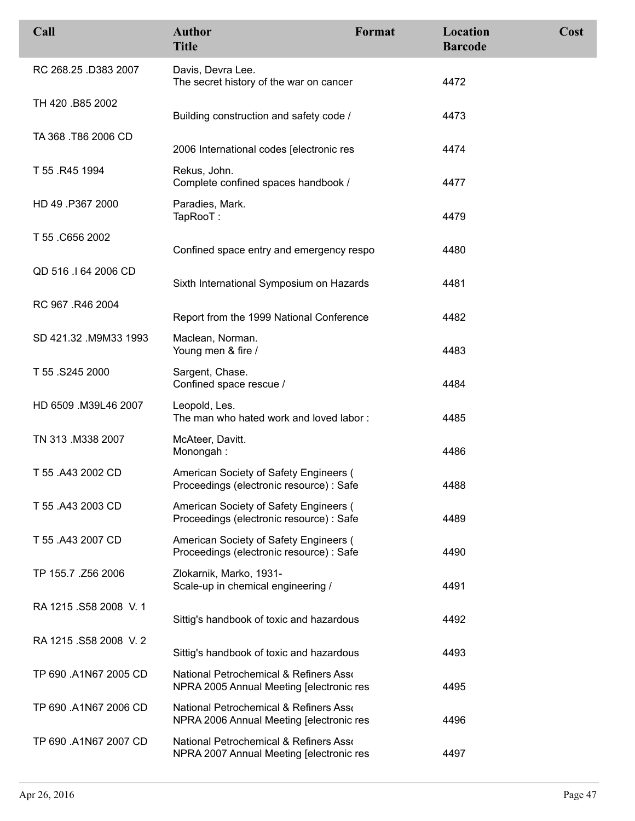| Call                  | <b>Author</b><br><b>Title</b>                                                       | Format | Location<br><b>Barcode</b> | Cost |
|-----------------------|-------------------------------------------------------------------------------------|--------|----------------------------|------|
| RC 268.25 .D383 2007  | Davis, Devra Lee.<br>The secret history of the war on cancer                        |        | 4472                       |      |
| TH 420 .B85 2002      | Building construction and safety code /                                             |        | 4473                       |      |
| TA 368 .T86 2006 CD   | 2006 International codes [electronic res                                            |        | 4474                       |      |
| T 55 .R45 1994        | Rekus, John.<br>Complete confined spaces handbook /                                 |        | 4477                       |      |
| HD 49 .P367 2000      | Paradies, Mark.<br>TapRooT:                                                         |        | 4479                       |      |
| T 55 .C656 2002       | Confined space entry and emergency respo                                            |        | 4480                       |      |
| QD 516 .I 64 2006 CD  | Sixth International Symposium on Hazards                                            |        | 4481                       |      |
| RC 967 .R46 2004      | Report from the 1999 National Conference                                            |        | 4482                       |      |
| SD 421.32 .M9M33 1993 | Maclean, Norman.<br>Young men & fire /                                              |        | 4483                       |      |
| T 55.S245 2000        | Sargent, Chase.<br>Confined space rescue /                                          |        | 4484                       |      |
| HD 6509 .M39L46 2007  | Leopold, Les.<br>The man who hated work and loved labor:                            |        | 4485                       |      |
| TN 313 .M338 2007     | McAteer, Davitt.<br>Monongah:                                                       |        | 4486                       |      |
| T 55 .A43 2002 CD     | American Society of Safety Engineers (<br>Proceedings (electronic resource) : Safe  |        | 4488                       |      |
| T 55 .A43 2003 CD     | American Society of Safety Engineers (<br>Proceedings (electronic resource) : Safe  |        | 4489                       |      |
| T 55 .A43 2007 CD     | American Society of Safety Engineers (<br>Proceedings (electronic resource) : Safe  |        | 4490                       |      |
| TP 155.7 .Z56 2006    | Zlokarnik, Marko, 1931-<br>Scale-up in chemical engineering /                       |        | 4491                       |      |
| RA 1215 .S58 2008 V.1 | Sittig's handbook of toxic and hazardous                                            |        | 4492                       |      |
| RA 1215 .S58 2008 V.2 | Sittig's handbook of toxic and hazardous                                            |        | 4493                       |      |
| TP 690 .A1N67 2005 CD | National Petrochemical & Refiners Assoc<br>NPRA 2005 Annual Meeting [electronic res |        | 4495                       |      |
| TP 690 .A1N67 2006 CD | National Petrochemical & Refiners Asso<br>NPRA 2006 Annual Meeting [electronic res  |        | 4496                       |      |
| TP 690 .A1N67 2007 CD | National Petrochemical & Refiners Asso<br>NPRA 2007 Annual Meeting [electronic res  |        | 4497                       |      |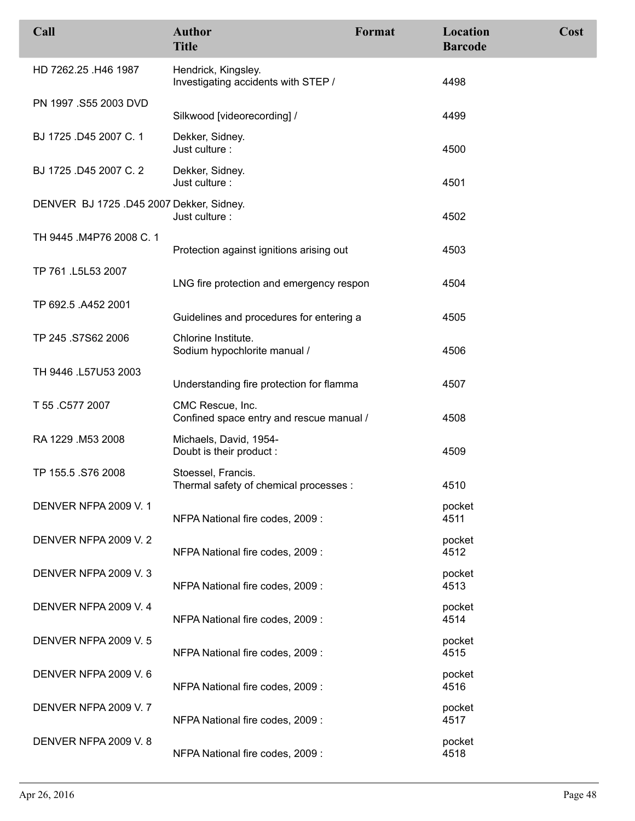| Call                                     | <b>Author</b><br><b>Title</b>                                | Format | Location<br><b>Barcode</b> | Cost |
|------------------------------------------|--------------------------------------------------------------|--------|----------------------------|------|
| HD 7262.25 .H46 1987                     | Hendrick, Kingsley.<br>Investigating accidents with STEP /   |        | 4498                       |      |
| PN 1997 .S55 2003 DVD                    | Silkwood [videorecording] /                                  |        | 4499                       |      |
| BJ 1725 .D45 2007 C. 1                   | Dekker, Sidney.<br>Just culture:                             |        | 4500                       |      |
| BJ 1725 .D45 2007 C. 2                   | Dekker, Sidney.<br>Just culture :                            |        | 4501                       |      |
| DENVER BJ 1725 .D45 2007 Dekker, Sidney. | Just culture:                                                |        | 4502                       |      |
| TH 9445 .M4P76 2008 C. 1                 | Protection against ignitions arising out                     |        | 4503                       |      |
| TP 761 .L5L53 2007                       | LNG fire protection and emergency respon                     |        | 4504                       |      |
| TP 692.5 .A452 2001                      | Guidelines and procedures for entering a                     |        | 4505                       |      |
| TP 245 .S7S62 2006                       | Chlorine Institute.<br>Sodium hypochlorite manual /          |        | 4506                       |      |
| TH 9446 .L57U53 2003                     | Understanding fire protection for flamma                     |        | 4507                       |      |
| T 55 .C577 2007                          | CMC Rescue, Inc.<br>Confined space entry and rescue manual / |        | 4508                       |      |
| RA 1229 M53 2008                         | Michaels, David, 1954-<br>Doubt is their product :           |        | 4509                       |      |
| TP 155.5 .S76 2008                       | Stoessel, Francis.<br>Thermal safety of chemical processes : |        | 4510                       |      |
| DENVER NFPA 2009 V.1                     | NFPA National fire codes, 2009 :                             |        | pocket<br>4511             |      |
| DENVER NFPA 2009 V. 2                    | NFPA National fire codes, 2009 :                             |        | pocket<br>4512             |      |
| DENVER NFPA 2009 V. 3                    | NFPA National fire codes, 2009 :                             |        | pocket<br>4513             |      |
| DENVER NFPA 2009 V. 4                    | NFPA National fire codes, 2009 :                             |        | pocket<br>4514             |      |
| DENVER NFPA 2009 V.5                     | NFPA National fire codes, 2009 :                             |        | pocket<br>4515             |      |
| DENVER NFPA 2009 V.6                     | NFPA National fire codes, 2009 :                             |        | pocket<br>4516             |      |
| DENVER NFPA 2009 V.7                     | NFPA National fire codes, 2009 :                             |        | pocket<br>4517             |      |
| DENVER NFPA 2009 V.8                     | NFPA National fire codes, 2009 :                             |        | pocket<br>4518             |      |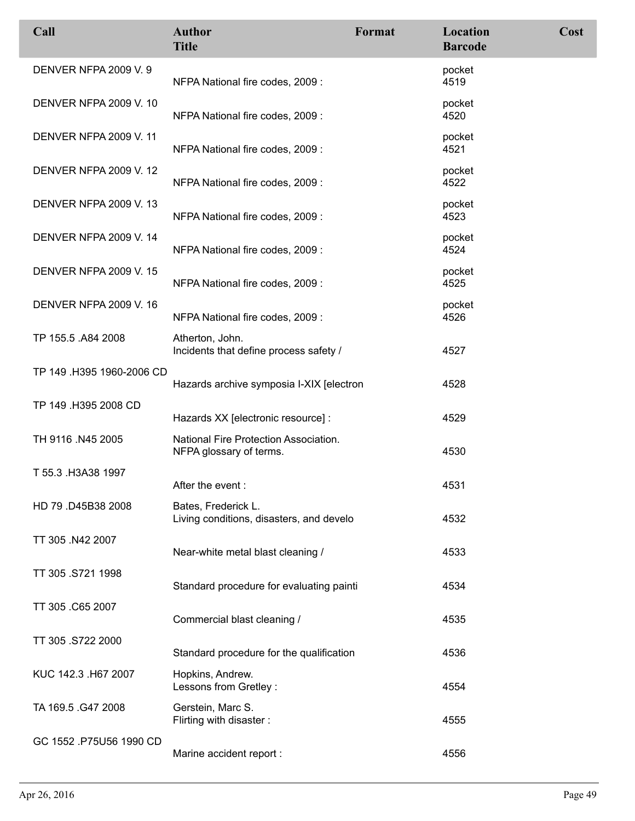| Call                          | <b>Author</b><br><b>Title</b>                                    | Format | Location<br><b>Barcode</b> | Cost |
|-------------------------------|------------------------------------------------------------------|--------|----------------------------|------|
| DENVER NFPA 2009 V. 9         | NFPA National fire codes, 2009 :                                 |        | pocket<br>4519             |      |
| <b>DENVER NFPA 2009 V. 10</b> | NFPA National fire codes, 2009 :                                 |        | pocket<br>4520             |      |
| <b>DENVER NFPA 2009 V. 11</b> | NFPA National fire codes, 2009 :                                 |        | pocket<br>4521             |      |
| <b>DENVER NFPA 2009 V. 12</b> | NFPA National fire codes, 2009 :                                 |        | pocket<br>4522             |      |
| <b>DENVER NFPA 2009 V. 13</b> | NFPA National fire codes, 2009 :                                 |        | pocket<br>4523             |      |
| <b>DENVER NFPA 2009 V. 14</b> | NFPA National fire codes, 2009 :                                 |        | pocket<br>4524             |      |
| <b>DENVER NFPA 2009 V. 15</b> | NFPA National fire codes, 2009 :                                 |        | pocket<br>4525             |      |
| <b>DENVER NFPA 2009 V. 16</b> | NFPA National fire codes, 2009 :                                 |        | pocket<br>4526             |      |
| TP 155.5 .A84 2008            | Atherton, John.<br>Incidents that define process safety /        |        | 4527                       |      |
| TP 149 .H395 1960-2006 CD     | Hazards archive symposia I-XIX [electron                         |        | 4528                       |      |
| TP 149 .H395 2008 CD          | Hazards XX [electronic resource] :                               |        | 4529                       |      |
| TH 9116 .N45 2005             | National Fire Protection Association.<br>NFPA glossary of terms. |        | 4530                       |      |
| T 55.3 .H3A38 1997            | After the event:                                                 |        | 4531                       |      |
| HD 79 .D45B38 2008            | Bates, Frederick L.<br>Living conditions, disasters, and develo  |        | 4532                       |      |
| TT 305 .N42 2007              | Near-white metal blast cleaning /                                |        | 4533                       |      |
| TT 305 .S721 1998             | Standard procedure for evaluating painti                         |        | 4534                       |      |
| TT 305 .C65 2007              | Commercial blast cleaning /                                      |        | 4535                       |      |
| TT 305 .S722 2000             | Standard procedure for the qualification                         |        | 4536                       |      |
| KUC 142.3 .H67 2007           | Hopkins, Andrew.<br>Lessons from Gretley :                       |        | 4554                       |      |
| TA 169.5 .G47 2008            | Gerstein, Marc S.<br>Flirting with disaster:                     |        | 4555                       |      |
| GC 1552 .P75U56 1990 CD       | Marine accident report :                                         |        | 4556                       |      |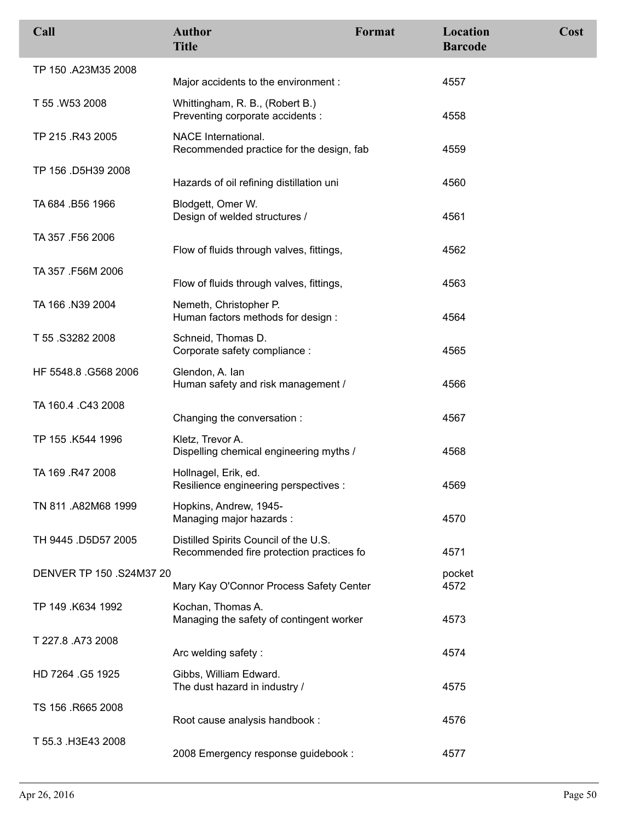| Call                     | <b>Author</b><br><b>Title</b>                                                     | Format | Location<br><b>Barcode</b> | Cost |
|--------------------------|-----------------------------------------------------------------------------------|--------|----------------------------|------|
| TP 150 .A23M35 2008      | Major accidents to the environment :                                              |        | 4557                       |      |
| T 55.W53 2008            | Whittingham, R. B., (Robert B.)<br>Preventing corporate accidents :               |        | 4558                       |      |
| TP 215 .R43 2005         | NACE International.<br>Recommended practice for the design, fab                   |        | 4559                       |      |
| TP 156 .D5H39 2008       | Hazards of oil refining distillation uni                                          |        | 4560                       |      |
| TA 684 .B56 1966         | Blodgett, Omer W.<br>Design of welded structures /                                |        | 4561                       |      |
| TA 357 .F56 2006         | Flow of fluids through valves, fittings,                                          |        | 4562                       |      |
| TA 357 .F56M 2006        | Flow of fluids through valves, fittings,                                          |        | 4563                       |      |
| TA 166 .N39 2004         | Nemeth, Christopher P.<br>Human factors methods for design:                       |        | 4564                       |      |
| T 55 .S3282 2008         | Schneid, Thomas D.<br>Corporate safety compliance :                               |        | 4565                       |      |
| HF 5548.8 .G568 2006     | Glendon, A. lan<br>Human safety and risk management /                             |        | 4566                       |      |
| TA 160.4 .C43 2008       | Changing the conversation:                                                        |        | 4567                       |      |
| TP 155 .K544 1996        | Kletz, Trevor A.<br>Dispelling chemical engineering myths /                       |        | 4568                       |      |
| TA 169 .R47 2008         | Hollnagel, Erik, ed.<br>Resilience engineering perspectives :                     |        | 4569                       |      |
| TN 811 .A82M68 1999      | Hopkins, Andrew, 1945-<br>Managing major hazards:                                 |        | 4570                       |      |
| TH 9445 .D5D57 2005      | Distilled Spirits Council of the U.S.<br>Recommended fire protection practices fo |        | 4571                       |      |
| DENVER TP 150 .S24M37 20 | Mary Kay O'Connor Process Safety Center                                           |        | pocket<br>4572             |      |
| TP 149 .K634 1992        | Kochan, Thomas A.<br>Managing the safety of contingent worker                     |        | 4573                       |      |
| T 227.8 .A73 2008        | Arc welding safety:                                                               |        | 4574                       |      |
| HD 7264 G5 1925          | Gibbs, William Edward.<br>The dust hazard in industry /                           |        | 4575                       |      |
| TS 156 .R665 2008        | Root cause analysis handbook :                                                    |        | 4576                       |      |
| T 55.3 .H3E43 2008       | 2008 Emergency response guidebook :                                               |        | 4577                       |      |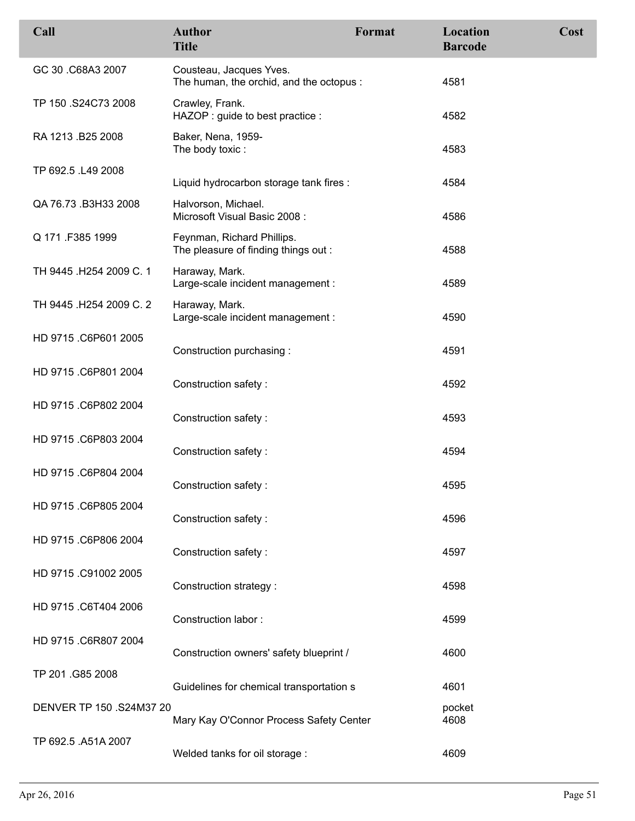| Call                     | <b>Author</b><br><b>Title</b>                                      | Format | Location<br><b>Barcode</b> | Cost |
|--------------------------|--------------------------------------------------------------------|--------|----------------------------|------|
| GC 30 .C68A3 2007        | Cousteau, Jacques Yves.<br>The human, the orchid, and the octopus: |        | 4581                       |      |
| TP 150 .S24C73 2008      | Crawley, Frank.<br>HAZOP : guide to best practice :                |        | 4582                       |      |
| RA 1213 .B25 2008        | Baker, Nena, 1959-<br>The body toxic:                              |        | 4583                       |      |
| TP 692.5 .L49 2008       | Liquid hydrocarbon storage tank fires :                            |        | 4584                       |      |
| QA 76.73 .B3H33 2008     | Halvorson, Michael.<br>Microsoft Visual Basic 2008:                |        | 4586                       |      |
| Q 171 F385 1999          | Feynman, Richard Phillips.<br>The pleasure of finding things out : |        | 4588                       |      |
| TH 9445 .H254 2009 C. 1  | Haraway, Mark.<br>Large-scale incident management :                |        | 4589                       |      |
| TH 9445 .H254 2009 C. 2  | Haraway, Mark.<br>Large-scale incident management :                |        | 4590                       |      |
| HD 9715 .C6P601 2005     | Construction purchasing:                                           |        | 4591                       |      |
| HD 9715 .C6P801 2004     | Construction safety:                                               |        | 4592                       |      |
| HD 9715 .C6P802 2004     | Construction safety:                                               |        | 4593                       |      |
| HD 9715 .C6P803 2004     | Construction safety:                                               |        | 4594                       |      |
| HD 9715 .C6P804 2004     | Construction safety:                                               |        | 4595                       |      |
| HD 9715 .C6P805 2004     | Construction safety:                                               |        | 4596                       |      |
| HD 9715 .C6P806 2004     | Construction safety:                                               |        | 4597                       |      |
| HD 9715 .C91002 2005     | Construction strategy :                                            |        | 4598                       |      |
| HD 9715 .C6T404 2006     | Construction labor:                                                |        | 4599                       |      |
| HD 9715 .C6R807 2004     | Construction owners' safety blueprint /                            |        | 4600                       |      |
| TP 201 .G85 2008         | Guidelines for chemical transportation s                           |        | 4601                       |      |
| DENVER TP 150 .S24M37 20 | Mary Kay O'Connor Process Safety Center                            |        | pocket<br>4608             |      |
| TP 692.5 .A51A 2007      | Welded tanks for oil storage :                                     |        | 4609                       |      |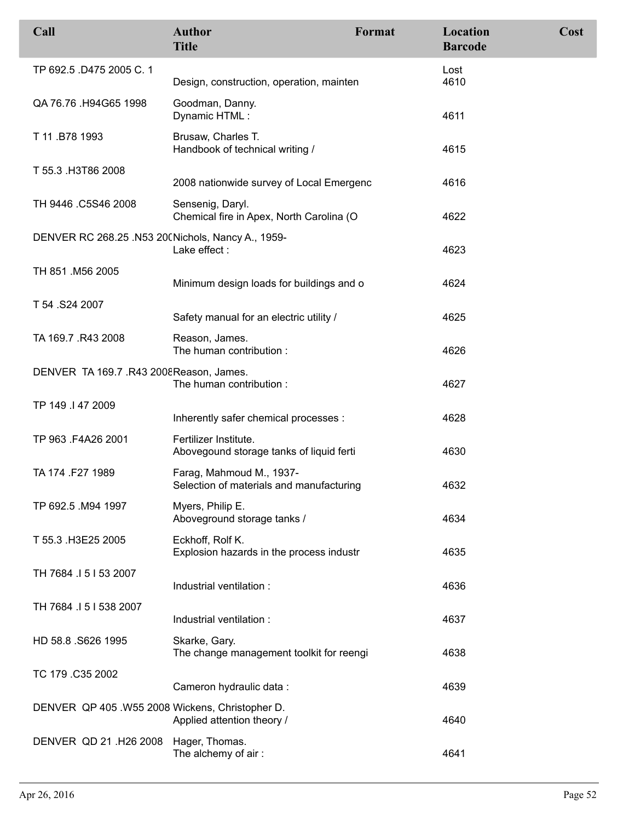| Call                                              | <b>Author</b><br><b>Title</b>                                        | Format | Location<br><b>Barcode</b> | Cost |
|---------------------------------------------------|----------------------------------------------------------------------|--------|----------------------------|------|
| TP 692.5 .D475 2005 C. 1                          | Design, construction, operation, mainten                             |        | Lost<br>4610               |      |
| QA 76.76 .H94G65 1998                             | Goodman, Danny.<br>Dynamic HTML:                                     |        | 4611                       |      |
| T 11.B78 1993                                     | Brusaw, Charles T.<br>Handbook of technical writing /                |        | 4615                       |      |
| T 55.3 .H3T86 2008                                | 2008 nationwide survey of Local Emergenc                             |        | 4616                       |      |
| TH 9446 .C5S46 2008                               | Sensenig, Daryl.<br>Chemical fire in Apex, North Carolina (O         |        | 4622                       |      |
| DENVER RC 268.25 .N53 20(Nichols, Nancy A., 1959- | Lake effect:                                                         |        | 4623                       |      |
| TH 851 .M56 2005                                  | Minimum design loads for buildings and o                             |        | 4624                       |      |
| T 54 .S24 2007                                    | Safety manual for an electric utility /                              |        | 4625                       |      |
| TA 169.7 .R43 2008                                | Reason, James.<br>The human contribution :                           |        | 4626                       |      |
| DENVER TA 169.7 .R43 2008 Reason, James.          | The human contribution:                                              |        | 4627                       |      |
| TP 149 .I 47 2009                                 | Inherently safer chemical processes :                                |        | 4628                       |      |
| TP 963 .F4A26 2001                                | Fertilizer Institute.<br>Abovegound storage tanks of liquid ferti    |        | 4630                       |      |
| TA 174 .F27 1989                                  | Farag, Mahmoud M., 1937-<br>Selection of materials and manufacturing |        | 4632                       |      |
| TP 692.5 .M94 1997                                | Myers, Philip E.<br>Aboveground storage tanks /                      |        | 4634                       |      |
| T 55.3 .H3E25 2005                                | Eckhoff, Rolf K.<br>Explosion hazards in the process industr         |        | 4635                       |      |
| TH 7684 15153 2007                                | Industrial ventilation :                                             |        | 4636                       |      |
| TH 7684 .I 5 I 538 2007                           | Industrial ventilation :                                             |        | 4637                       |      |
| HD 58.8 .S626 1995                                | Skarke, Gary.<br>The change management toolkit for reengi            |        | 4638                       |      |
| TC 179 .C35 2002                                  | Cameron hydraulic data:                                              |        | 4639                       |      |
| DENVER QP 405. W55 2008 Wickens, Christopher D.   | Applied attention theory /                                           |        | 4640                       |      |
| DENVER QD 21 .H26 2008                            | Hager, Thomas.<br>The alchemy of air:                                |        | 4641                       |      |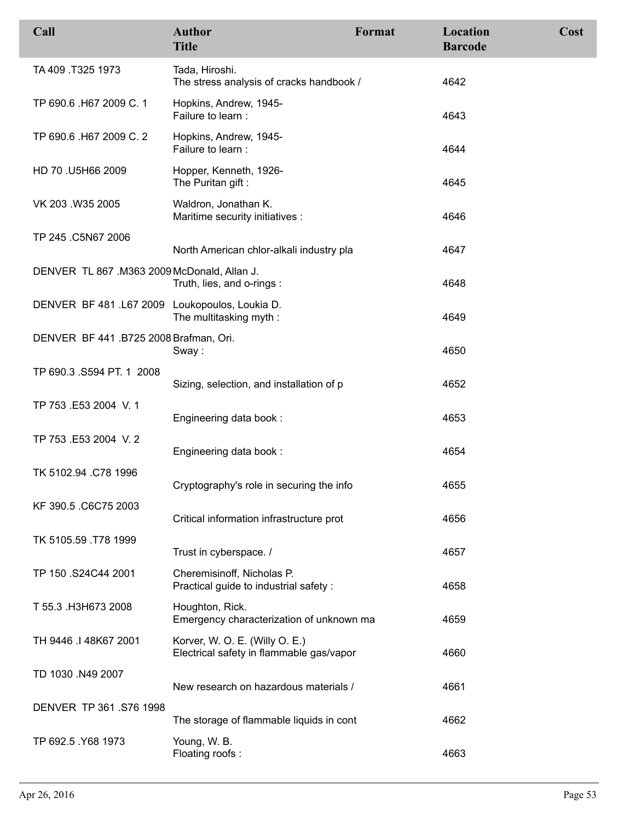| Call                                           | <b>Author</b><br><b>Title</b>                                              | Format | Location<br><b>Barcode</b> | Cost |
|------------------------------------------------|----------------------------------------------------------------------------|--------|----------------------------|------|
| TA 409 T325 1973                               | Tada, Hiroshi.<br>The stress analysis of cracks handbook /                 |        | 4642                       |      |
| TP 690.6 .H67 2009 C. 1                        | Hopkins, Andrew, 1945-<br>Failure to learn :                               |        | 4643                       |      |
| TP 690.6 .H67 2009 C. 2                        | Hopkins, Andrew, 1945-<br>Failure to learn :                               |        | 4644                       |      |
| HD 70 .U5H66 2009                              | Hopper, Kenneth, 1926-<br>The Puritan gift:                                |        | 4645                       |      |
| VK 203 .W35 2005                               | Waldron, Jonathan K.<br>Maritime security initiatives :                    |        | 4646                       |      |
| TP 245 .C5N67 2006                             | North American chlor-alkali industry pla                                   |        | 4647                       |      |
| DENVER TL 867 .M363 2009 McDonald, Allan J.    | Truth, lies, and o-rings:                                                  |        | 4648                       |      |
| DENVER BF 481 .L67 2009 Loukopoulos, Loukia D. | The multitasking myth:                                                     |        | 4649                       |      |
| DENVER BF 441 .B725 2008 Brafman, Ori.         | Sway:                                                                      |        | 4650                       |      |
| TP 690.3 .S594 PT. 1 2008                      | Sizing, selection, and installation of p                                   |        | 4652                       |      |
| TP 753 .E53 2004 V. 1                          | Engineering data book:                                                     |        | 4653                       |      |
| TP 753 .E53 2004 V. 2                          | Engineering data book:                                                     |        | 4654                       |      |
| TK 5102.94 .C78 1996                           | Cryptography's role in securing the info                                   |        | 4655                       |      |
| KF 390.5 .C6C75 2003                           | Critical information infrastructure prot                                   |        | 4656                       |      |
| TK 5105.59 .T78 1999                           | Trust in cyberspace. /                                                     |        | 4657                       |      |
| TP 150 .S24C44 2001                            | Cheremisinoff, Nicholas P.<br>Practical guide to industrial safety :       |        | 4658                       |      |
| T 55.3 .H3H673 2008                            | Houghton, Rick.<br>Emergency characterization of unknown ma                |        | 4659                       |      |
| TH 9446 .I 48K67 2001                          | Korver, W. O. E. (Willy O. E.)<br>Electrical safety in flammable gas/vapor |        | 4660                       |      |
| TD 1030 .N49 2007                              | New research on hazardous materials /                                      |        | 4661                       |      |
| DENVER TP 361.S76 1998                         | The storage of flammable liquids in cont                                   |        | 4662                       |      |
| TP 692.5 Y68 1973                              | Young, W. B.<br>Floating roofs:                                            |        | 4663                       |      |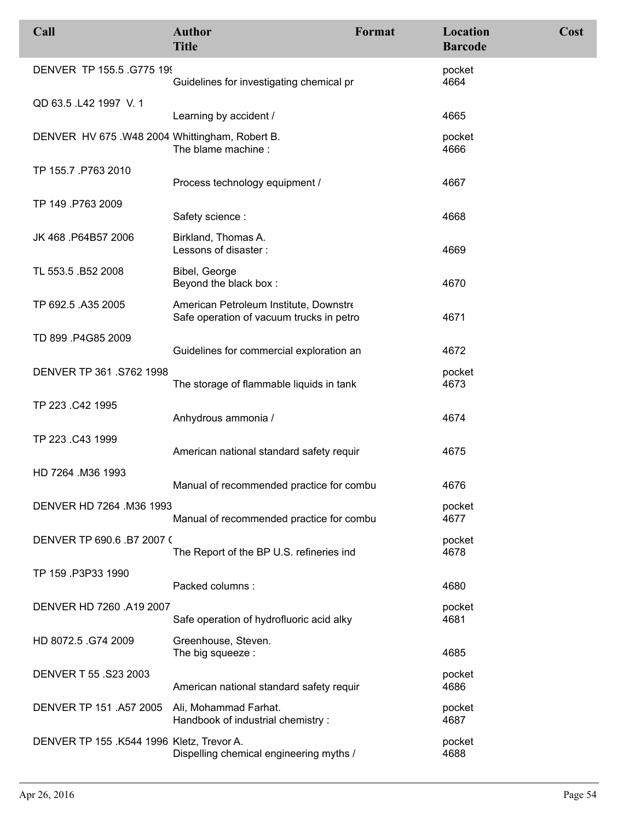| Call                                          | <b>Author</b><br><b>Title</b>                                                      | Format | Location<br><b>Barcode</b> | Cost |
|-----------------------------------------------|------------------------------------------------------------------------------------|--------|----------------------------|------|
| DENVER TP 155.5 .G775 199                     | Guidelines for investigating chemical pr                                           |        | pocket<br>4664             |      |
| QD 63.5 .L42 1997 V.1                         | Learning by accident /                                                             |        | 4665                       |      |
| DENVER HV 675.W48 2004 Whittingham, Robert B. | The blame machine:                                                                 |        | pocket<br>4666             |      |
| TP 155.7 .P763 2010                           | Process technology equipment /                                                     |        | 4667                       |      |
| TP 149 .P763 2009                             | Safety science:                                                                    |        | 4668                       |      |
| JK 468 .P64B57 2006                           | Birkland, Thomas A.<br>Lessons of disaster:                                        |        | 4669                       |      |
| TL 553.5 .B52 2008                            | Bibel, George<br>Beyond the black box:                                             |        | 4670                       |      |
| TP 692.5 .A35 2005                            | American Petroleum Institute, Downstre<br>Safe operation of vacuum trucks in petro |        | 4671                       |      |
| TD 899 .P4G85 2009                            | Guidelines for commercial exploration an                                           |        | 4672                       |      |
| DENVER TP 361.S762 1998                       | The storage of flammable liquids in tank                                           |        | pocket<br>4673             |      |
| TP 223 .C42 1995                              | Anhydrous ammonia /                                                                |        | 4674                       |      |
| TP 223 .C43 1999                              | American national standard safety requir                                           |        | 4675                       |      |
| HD 7264 .M36 1993                             | Manual of recommended practice for combu                                           |        | 4676                       |      |
| DENVER HD 7264 .M36 1993                      | Manual of recommended practice for combu                                           |        | pocket<br>4677             |      |
| DENVER TP 690.6 .B7 2007 (                    | The Report of the BP U.S. refineries ind                                           |        | pocket<br>4678             |      |
| TP 159 .P3P33 1990                            | Packed columns:                                                                    |        | 4680                       |      |
| DENVER HD 7260 .A19 2007                      | Safe operation of hydrofluoric acid alky                                           |        | pocket<br>4681             |      |
| HD 8072.5 .G74 2009                           | Greenhouse, Steven.<br>The big squeeze :                                           |        | 4685                       |      |
| DENVER T 55 .S23 2003                         | American national standard safety requir                                           |        | pocket<br>4686             |      |
| DENVER TP 151 .A57 2005                       | Ali, Mohammad Farhat.<br>Handbook of industrial chemistry :                        |        | pocket<br>4687             |      |
| DENVER TP 155 .K544 1996 Kletz, Trevor A.     | Dispelling chemical engineering myths /                                            |        | pocket<br>4688             |      |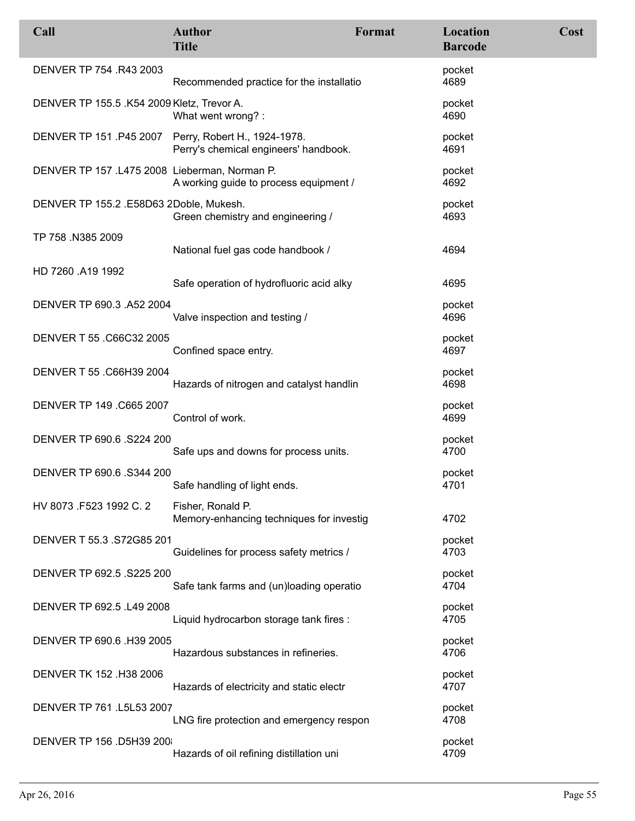| Call                                          | <b>Author</b><br><b>Title</b>                                                                 | Format | Location<br><b>Barcode</b> | Cost |
|-----------------------------------------------|-----------------------------------------------------------------------------------------------|--------|----------------------------|------|
| DENVER TP 754 .R43 2003                       | Recommended practice for the installatio                                                      |        | pocket<br>4689             |      |
| DENVER TP 155.5 .K54 2009 Kletz, Trevor A.    | What went wrong?:                                                                             |        | pocket<br>4690             |      |
|                                               | DENVER TP 151 .P45 2007 Perry, Robert H., 1924-1978.<br>Perry's chemical engineers' handbook. |        | pocket<br>4691             |      |
| DENVER TP 157 .L475 2008 Lieberman, Norman P. | A working guide to process equipment /                                                        |        | pocket<br>4692             |      |
| DENVER TP 155.2 .E58D63 2Doble, Mukesh.       | Green chemistry and engineering /                                                             |        | pocket<br>4693             |      |
| TP 758 .N385 2009                             | National fuel gas code handbook /                                                             |        | 4694                       |      |
| HD 7260 .A19 1992                             | Safe operation of hydrofluoric acid alky                                                      |        | 4695                       |      |
| DENVER TP 690.3 .A52 2004                     | Valve inspection and testing /                                                                |        | pocket<br>4696             |      |
| DENVER T 55 .C66C32 2005                      | Confined space entry.                                                                         |        | pocket<br>4697             |      |
| DENVER T 55 .C66H39 2004                      | Hazards of nitrogen and catalyst handlin                                                      |        | pocket<br>4698             |      |
| DENVER TP 149 .C665 2007                      | Control of work.                                                                              |        | pocket<br>4699             |      |
| DENVER TP 690.6 .S224 200                     | Safe ups and downs for process units.                                                         |        | pocket<br>4700             |      |
| DENVER TP 690.6 .S344 200                     | Safe handling of light ends.                                                                  |        | pocket<br>4701             |      |
| HV 8073 .F523 1992 C. 2                       | Fisher, Ronald P.<br>Memory-enhancing techniques for investig                                 |        | 4702                       |      |
| DENVER T 55.3 .S72G85 201                     | Guidelines for process safety metrics /                                                       |        | pocket<br>4703             |      |
| DENVER TP 692.5 .S225 200                     | Safe tank farms and (un)loading operatio                                                      |        | pocket<br>4704             |      |
| DENVER TP 692.5 .L49 2008                     | Liquid hydrocarbon storage tank fires :                                                       |        | pocket<br>4705             |      |
| DENVER TP 690.6 .H39 2005                     | Hazardous substances in refineries.                                                           |        | pocket<br>4706             |      |
| DENVER TK 152 .H38 2006                       | Hazards of electricity and static electr                                                      |        | pocket<br>4707             |      |
| DENVER TP 761 .L5L53 2007                     | LNG fire protection and emergency respon                                                      |        | pocket<br>4708             |      |
| DENVER TP 156 .D5H39 200                      | Hazards of oil refining distillation uni                                                      |        | pocket<br>4709             |      |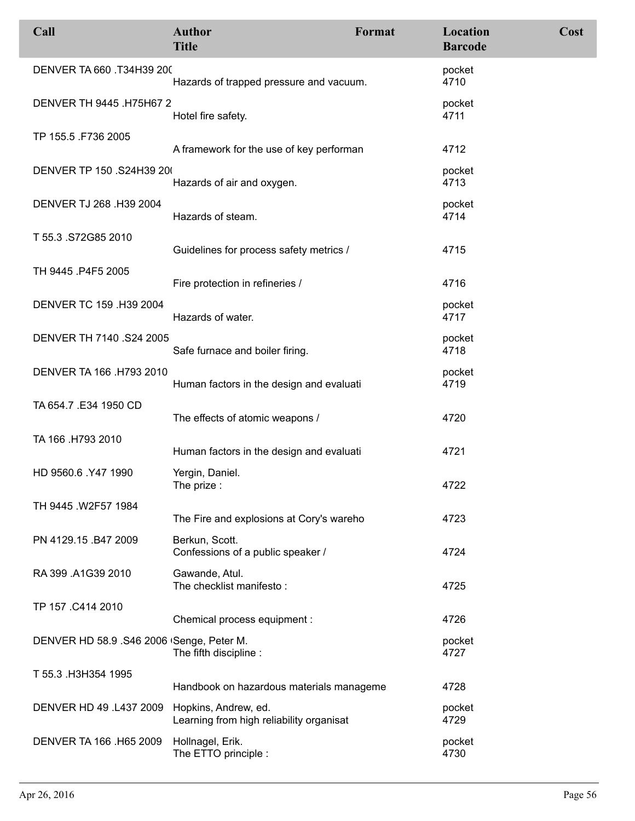| Call                                         | <b>Author</b><br><b>Title</b>                       | Format | Location<br><b>Barcode</b> | Cost |
|----------------------------------------------|-----------------------------------------------------|--------|----------------------------|------|
| DENVER TA 660 .T34H39 200                    | Hazards of trapped pressure and vacuum.             |        | pocket<br>4710             |      |
| DENVER TH 9445 .H75H67 2                     | Hotel fire safety.                                  |        | pocket<br>4711             |      |
| TP 155.5 .F736 2005                          | A framework for the use of key performan            |        | 4712                       |      |
| DENVER TP 150 .S24H39 200                    | Hazards of air and oxygen.                          |        | pocket<br>4713             |      |
| DENVER TJ 268 .H39 2004                      | Hazards of steam.                                   |        | pocket<br>4714             |      |
| T 55.3 .S72G85 2010                          | Guidelines for process safety metrics /             |        | 4715                       |      |
| TH 9445 .P4F5 2005                           | Fire protection in refineries /                     |        | 4716                       |      |
| DENVER TC 159 .H39 2004                      | Hazards of water.                                   |        | pocket<br>4717             |      |
| DENVER TH 7140 .S24 2005                     | Safe furnace and boiler firing.                     |        | pocket<br>4718             |      |
| DENVER TA 166 .H793 2010                     | Human factors in the design and evaluati            |        | pocket<br>4719             |      |
| TA 654.7 .E34 1950 CD                        | The effects of atomic weapons /                     |        | 4720                       |      |
| TA 166 .H793 2010                            | Human factors in the design and evaluati            |        | 4721                       |      |
| HD 9560.6 .Y47 1990                          | Yergin, Daniel.<br>The prize :                      |        | 4722                       |      |
| TH 9445 .W2F57 1984                          | The Fire and explosions at Cory's wareho            |        | 4723                       |      |
| PN 4129.15 .B47 2009                         | Berkun, Scott.<br>Confessions of a public speaker / |        | 4724                       |      |
| RA 399 .A1G39 2010                           | Gawande, Atul.<br>The checklist manifesto:          |        | 4725                       |      |
| TP 157 .C414 2010                            | Chemical process equipment :                        |        | 4726                       |      |
| DENVER HD 58.9 .S46 2006 Senge, Peter M.     | The fifth discipline :                              |        | pocket<br>4727             |      |
| T 55.3 H3H354 1995                           | Handbook on hazardous materials manageme            |        | 4728                       |      |
| DENVER HD 49 .L437 2009 Hopkins, Andrew, ed. | Learning from high reliability organisat            |        | pocket<br>4729             |      |
| DENVER TA 166 .H65 2009                      | Hollnagel, Erik.<br>The ETTO principle :            |        | pocket<br>4730             |      |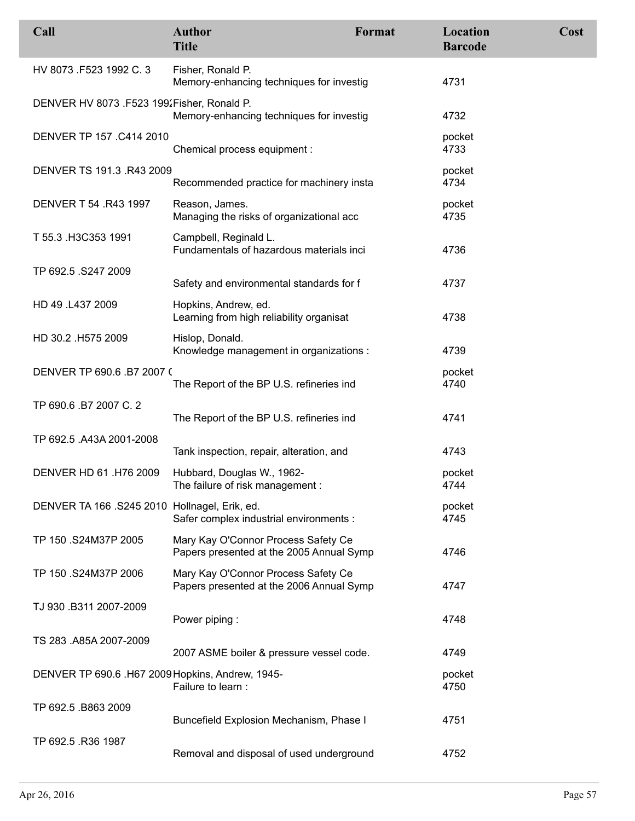| Call                                             | <b>Author</b><br><b>Title</b>                                                   | Format | Location<br><b>Barcode</b> | Cost |
|--------------------------------------------------|---------------------------------------------------------------------------------|--------|----------------------------|------|
| HV 8073 .F523 1992 C. 3                          | Fisher, Ronald P.<br>Memory-enhancing techniques for investig                   |        | 4731                       |      |
| DENVER HV 8073 .F523 199. Fisher, Ronald P.      | Memory-enhancing techniques for investig                                        |        | 4732                       |      |
| DENVER TP 157 .C414 2010                         | Chemical process equipment :                                                    |        | pocket<br>4733             |      |
| DENVER TS 191.3 .R43 2009                        | Recommended practice for machinery insta                                        |        | pocket<br>4734             |      |
| DENVER T 54 .R43 1997                            | Reason, James.<br>Managing the risks of organizational acc                      |        | pocket<br>4735             |      |
| T 55.3 H3C353 1991                               | Campbell, Reginald L.<br>Fundamentals of hazardous materials inci               |        | 4736                       |      |
| TP 692.5 .S247 2009                              | Safety and environmental standards for f                                        |        | 4737                       |      |
| HD 49 .L437 2009                                 | Hopkins, Andrew, ed.<br>Learning from high reliability organisat                |        | 4738                       |      |
| HD 30.2 .H575 2009                               | Hislop, Donald.<br>Knowledge management in organizations :                      |        | 4739                       |      |
| DENVER TP 690.6 .B7 2007 (                       | The Report of the BP U.S. refineries ind                                        |        | pocket<br>4740             |      |
| TP 690.6 .B7 2007 C. 2                           | The Report of the BP U.S. refineries ind                                        |        | 4741                       |      |
| TP 692.5 .A43A 2001-2008                         | Tank inspection, repair, alteration, and                                        |        | 4743                       |      |
| DENVER HD 61 .H76 2009                           | Hubbard, Douglas W., 1962-<br>The failure of risk management :                  |        | pocket<br>4744             |      |
| DENVER TA 166 .S245 2010 Hollnagel, Erik, ed.    | Safer complex industrial environments :                                         |        | pocket<br>4745             |      |
| TP 150 .S24M37P 2005                             | Mary Kay O'Connor Process Safety Ce<br>Papers presented at the 2005 Annual Symp |        | 4746                       |      |
| TP 150 .S24M37P 2006                             | Mary Kay O'Connor Process Safety Ce<br>Papers presented at the 2006 Annual Symp |        | 4747                       |      |
| TJ 930 .B311 2007-2009                           | Power piping:                                                                   |        | 4748                       |      |
| TS 283 .A85A 2007-2009                           | 2007 ASME boiler & pressure vessel code.                                        |        | 4749                       |      |
| DENVER TP 690.6 .H67 2009 Hopkins, Andrew, 1945- | Failure to learn :                                                              |        | pocket<br>4750             |      |
| TP 692.5 .B863 2009                              | Buncefield Explosion Mechanism, Phase I                                         |        | 4751                       |      |
| TP 692.5 .R36 1987                               | Removal and disposal of used underground                                        |        | 4752                       |      |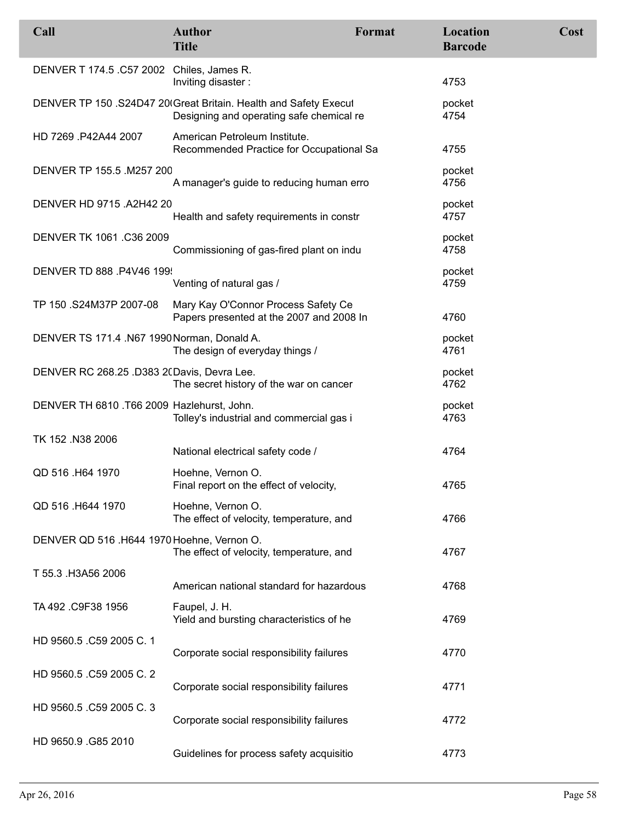| Call                                        | <b>Author</b><br><b>Title</b>                                                                                | Format | Location<br><b>Barcode</b> | Cost |
|---------------------------------------------|--------------------------------------------------------------------------------------------------------------|--------|----------------------------|------|
| DENVER T 174.5 .C57 2002 Chiles, James R.   | Inviting disaster:                                                                                           |        | 4753                       |      |
|                                             | DENVER TP 150 .S24D47 20 Great Britain. Health and Safety Execul<br>Designing and operating safe chemical re |        | pocket<br>4754             |      |
| HD 7269 .P42A44 2007                        | American Petroleum Institute.<br>Recommended Practice for Occupational Sa                                    |        | 4755                       |      |
| DENVER TP 155.5 .M257 200                   | A manager's guide to reducing human erro                                                                     |        | pocket<br>4756             |      |
| DENVER HD 9715 .A2H42 20                    | Health and safety requirements in constr                                                                     |        | pocket<br>4757             |      |
| DENVER TK 1061.C36 2009                     | Commissioning of gas-fired plant on indu                                                                     |        | pocket<br>4758             |      |
| DENVER TD 888 .P4V46 199                    | Venting of natural gas /                                                                                     |        | pocket<br>4759             |      |
| TP 150 .S24M37P 2007-08                     | Mary Kay O'Connor Process Safety Ce<br>Papers presented at the 2007 and 2008 In                              |        | 4760                       |      |
| DENVER TS 171.4 .N67 1990 Norman, Donald A. | The design of everyday things /                                                                              |        | pocket<br>4761             |      |
| DENVER RC 268.25 .D383 2(Davis, Devra Lee.  | The secret history of the war on cancer                                                                      |        | pocket<br>4762             |      |
| DENVER TH 6810 .T66 2009 Hazlehurst, John.  | Tolley's industrial and commercial gas i                                                                     |        | pocket<br>4763             |      |
| TK 152 .N38 2006                            | National electrical safety code /                                                                            |        | 4764                       |      |
| QD 516 .H64 1970                            | Hoehne, Vernon O.<br>Final report on the effect of velocity,                                                 |        | 4765                       |      |
| QD 516 .H644 1970                           | Hoehne, Vernon O.<br>The effect of velocity, temperature, and                                                |        | 4766                       |      |
| DENVER QD 516 .H644 1970 Hoehne, Vernon O.  | The effect of velocity, temperature, and                                                                     |        | 4767                       |      |
| T 55.3 .H3A56 2006                          | American national standard for hazardous                                                                     |        | 4768                       |      |
| TA 492 .C9F38 1956                          | Faupel, J. H.<br>Yield and bursting characteristics of he                                                    |        | 4769                       |      |
| HD 9560.5 .C59 2005 C. 1                    | Corporate social responsibility failures                                                                     |        | 4770                       |      |
| HD 9560.5 .C59 2005 C. 2                    | Corporate social responsibility failures                                                                     |        | 4771                       |      |
| HD 9560.5 .C59 2005 C. 3                    | Corporate social responsibility failures                                                                     |        | 4772                       |      |
| HD 9650.9 .G85 2010                         | Guidelines for process safety acquisitio                                                                     |        | 4773                       |      |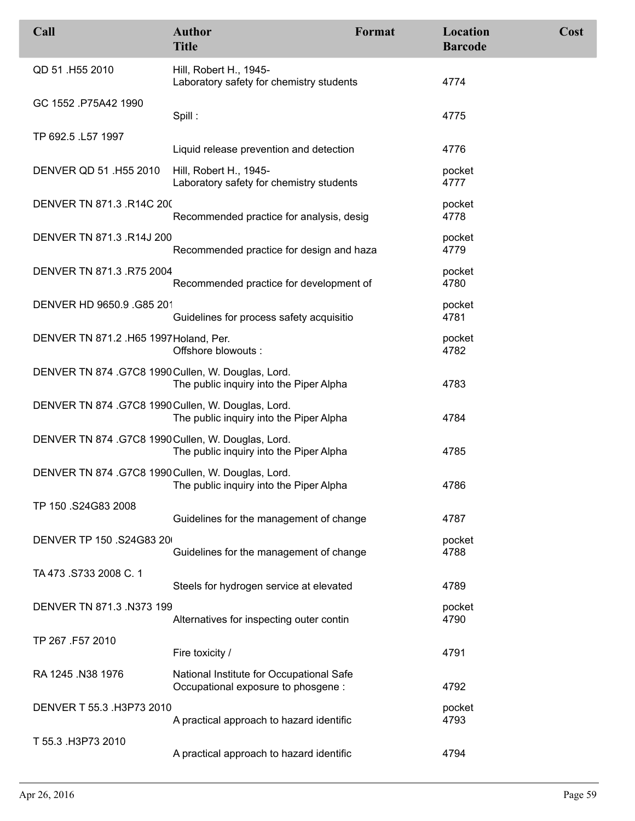| Call                                               | <b>Author</b><br><b>Title</b>                                                   | Format | Location<br><b>Barcode</b> | Cost |
|----------------------------------------------------|---------------------------------------------------------------------------------|--------|----------------------------|------|
| QD 51 .H55 2010                                    | Hill, Robert H., 1945-<br>Laboratory safety for chemistry students              |        | 4774                       |      |
| GC 1552 .P75A42 1990                               | Spill:                                                                          |        | 4775                       |      |
| TP 692.5 .L57 1997                                 |                                                                                 |        |                            |      |
|                                                    | Liquid release prevention and detection                                         |        | 4776                       |      |
| DENVER QD 51 .H55 2010                             | Hill, Robert H., 1945-<br>Laboratory safety for chemistry students              |        | pocket<br>4777             |      |
| DENVER TN 871.3 .R14C 200                          | Recommended practice for analysis, desig                                        |        | pocket<br>4778             |      |
| DENVER TN 871.3 .R14J 200                          | Recommended practice for design and haza                                        |        | pocket<br>4779             |      |
| DENVER TN 871.3 .R75 2004                          | Recommended practice for development of                                         |        | pocket<br>4780             |      |
| DENVER HD 9650.9 .G85 201                          | Guidelines for process safety acquisitio                                        |        | pocket<br>4781             |      |
| DENVER TN 871.2 .H65 1997 Holand, Per.             | Offshore blowouts:                                                              |        | pocket<br>4782             |      |
| DENVER TN 874 .G7C8 1990 Cullen, W. Douglas, Lord. | The public inquiry into the Piper Alpha                                         |        | 4783                       |      |
| DENVER TN 874 .G7C8 1990 Cullen, W. Douglas, Lord. | The public inquiry into the Piper Alpha                                         |        | 4784                       |      |
| DENVER TN 874 .G7C8 1990 Cullen, W. Douglas, Lord. | The public inquiry into the Piper Alpha                                         |        | 4785                       |      |
| DENVER TN 874 .G7C8 1990 Cullen, W. Douglas, Lord. | The public inquiry into the Piper Alpha                                         |        | 4786                       |      |
| TP 150 .S24G83 2008                                | Guidelines for the management of change                                         |        | 4787                       |      |
| DENVER TP 150 .S24G83 20                           | Guidelines for the management of change                                         |        | pocket<br>4788             |      |
| TA 473 .S733 2008 C. 1                             | Steels for hydrogen service at elevated                                         |        | 4789                       |      |
| DENVER TN 871.3 .N373 199                          | Alternatives for inspecting outer contin                                        |        | pocket<br>4790             |      |
| TP 267 .F57 2010                                   | Fire toxicity /                                                                 |        | 4791                       |      |
| RA 1245 .N38 1976                                  | National Institute for Occupational Safe<br>Occupational exposure to phosgene : |        | 4792                       |      |
| DENVER T 55.3 .H3P73 2010                          | A practical approach to hazard identific                                        |        | pocket<br>4793             |      |
| T 55.3 .H3P73 2010                                 | A practical approach to hazard identific                                        |        | 4794                       |      |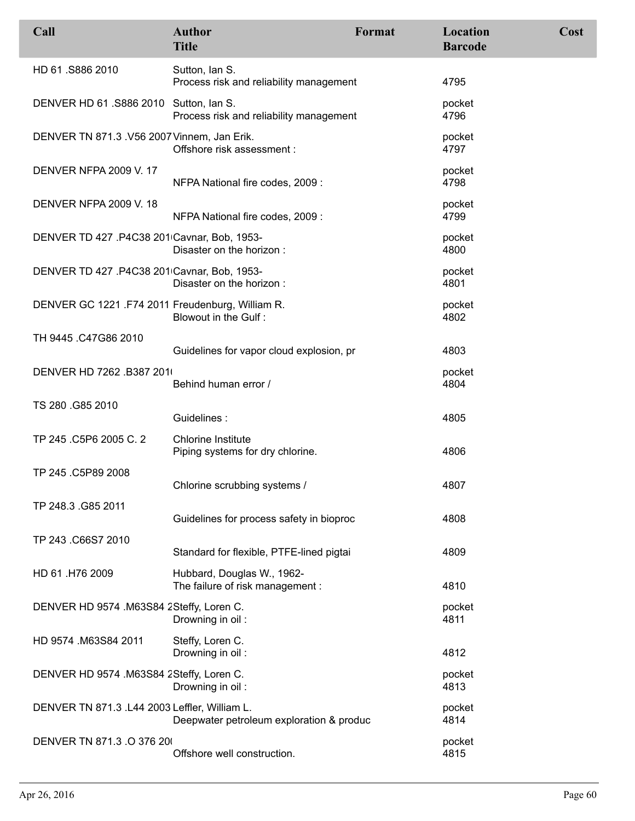| Call                                             | <b>Author</b><br><b>Title</b>                                  | Format | Location<br><b>Barcode</b> | Cost |
|--------------------------------------------------|----------------------------------------------------------------|--------|----------------------------|------|
| HD 61.S886 2010                                  | Sutton, Ian S.<br>Process risk and reliability management      |        | 4795                       |      |
| DENVER HD 61.S886 2010 Sutton, Ian S.            | Process risk and reliability management                        |        | pocket<br>4796             |      |
| DENVER TN 871.3 .V56 2007 Vinnem, Jan Erik.      | Offshore risk assessment :                                     |        | pocket<br>4797             |      |
| <b>DENVER NFPA 2009 V. 17</b>                    | NFPA National fire codes, 2009 :                               |        | pocket<br>4798             |      |
| <b>DENVER NFPA 2009 V. 18</b>                    | NFPA National fire codes, 2009 :                               |        | pocket<br>4799             |      |
| DENVER TD 427 .P4C38 201 Cavnar, Bob, 1953-      | Disaster on the horizon:                                       |        | pocket<br>4800             |      |
| DENVER TD 427 .P4C38 201 Cavnar, Bob, 1953-      | Disaster on the horizon:                                       |        | pocket<br>4801             |      |
| DENVER GC 1221 .F74 2011 Freudenburg, William R. | Blowout in the Gulf:                                           |        | pocket<br>4802             |      |
| TH 9445 .C47G86 2010                             | Guidelines for vapor cloud explosion, pr                       |        | 4803                       |      |
| DENVER HD 7262 .B387 201                         | Behind human error /                                           |        | pocket<br>4804             |      |
| TS 280 .G85 2010                                 | Guidelines:                                                    |        | 4805                       |      |
| TP 245 .C5P6 2005 C. 2                           | <b>Chlorine Institute</b><br>Piping systems for dry chlorine.  |        | 4806                       |      |
| TP 245 .C5P89 2008                               | Chlorine scrubbing systems /                                   |        | 4807                       |      |
| TP 248.3 .G85 2011                               | Guidelines for process safety in bioproc                       |        | 4808                       |      |
| TP 243 .C66S7 2010                               | Standard for flexible, PTFE-lined pigtai                       |        | 4809                       |      |
| HD 61 .H76 2009                                  | Hubbard, Douglas W., 1962-<br>The failure of risk management : |        | 4810                       |      |
| DENVER HD 9574 .M63S84 2Steffy, Loren C.         | Drowning in oil:                                               |        | pocket<br>4811             |      |
| HD 9574 .M63S84 2011                             | Steffy, Loren C.<br>Drowning in oil:                           |        | 4812                       |      |
| DENVER HD 9574 .M63S84 2Steffy, Loren C.         | Drowning in oil:                                               |        | pocket<br>4813             |      |
| DENVER TN 871.3 .L44 2003 Leffler, William L.    | Deepwater petroleum exploration & produc                       |        | pocket<br>4814             |      |
| DENVER TN 871.3 .O 376 20                        | Offshore well construction.                                    |        | pocket<br>4815             |      |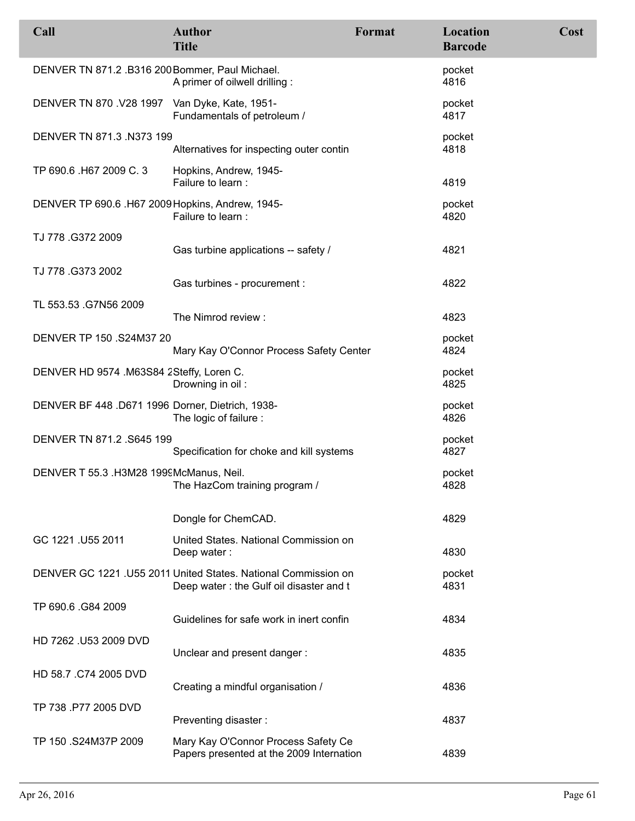| Call                                             | <b>Author</b><br><b>Title</b>                                                                             | Format | Location<br><b>Barcode</b> | Cost |
|--------------------------------------------------|-----------------------------------------------------------------------------------------------------------|--------|----------------------------|------|
| DENVER TN 871.2 .B316 200 Bommer, Paul Michael.  | A primer of oilwell drilling :                                                                            |        | pocket<br>4816             |      |
| DENVER TN 870 .V28 1997 Van Dyke, Kate, 1951-    | Fundamentals of petroleum /                                                                               |        | pocket<br>4817             |      |
| DENVER TN 871.3 .N373 199                        | Alternatives for inspecting outer contin                                                                  |        | pocket<br>4818             |      |
| TP 690.6 .H67 2009 C. 3                          | Hopkins, Andrew, 1945-<br>Failure to learn :                                                              |        | 4819                       |      |
| DENVER TP 690.6 .H67 2009 Hopkins, Andrew, 1945- | Failure to learn :                                                                                        |        | pocket<br>4820             |      |
| TJ 778.G372 2009                                 | Gas turbine applications -- safety /                                                                      |        | 4821                       |      |
| TJ 778.G373 2002                                 | Gas turbines - procurement :                                                                              |        | 4822                       |      |
| TL 553.53 .G7N56 2009                            | The Nimrod review:                                                                                        |        | 4823                       |      |
| DENVER TP 150 .S24M37 20                         | Mary Kay O'Connor Process Safety Center                                                                   |        | pocket<br>4824             |      |
| DENVER HD 9574 .M63S84 2Steffy, Loren C.         | Drowning in oil:                                                                                          |        | pocket<br>4825             |      |
| DENVER BF 448 .D671 1996 Dorner, Dietrich, 1938- | The logic of failure :                                                                                    |        | pocket<br>4826             |      |
| DENVER TN 871.2. S645 199                        | Specification for choke and kill systems                                                                  |        | pocket<br>4827             |      |
| DENVER T 55.3 .H3M28 1999McManus, Neil.          | The HazCom training program /                                                                             |        | pocket<br>4828             |      |
|                                                  | Dongle for ChemCAD.                                                                                       |        | 4829                       |      |
| GC 1221 .U55 2011                                | United States, National Commission on<br>Deep water:                                                      |        | 4830                       |      |
|                                                  | DENVER GC 1221 .U55 2011 United States. National Commission on<br>Deep water: the Gulf oil disaster and t |        | pocket<br>4831             |      |
| TP 690.6 .G84 2009                               | Guidelines for safe work in inert confin                                                                  |        | 4834                       |      |
| HD 7262 .U53 2009 DVD                            | Unclear and present danger:                                                                               |        | 4835                       |      |
| HD 58.7 .C74 2005 DVD                            | Creating a mindful organisation /                                                                         |        | 4836                       |      |
| TP 738 .P77 2005 DVD                             | Preventing disaster:                                                                                      |        | 4837                       |      |
| TP 150 .S24M37P 2009                             | Mary Kay O'Connor Process Safety Ce<br>Papers presented at the 2009 Internation                           |        | 4839                       |      |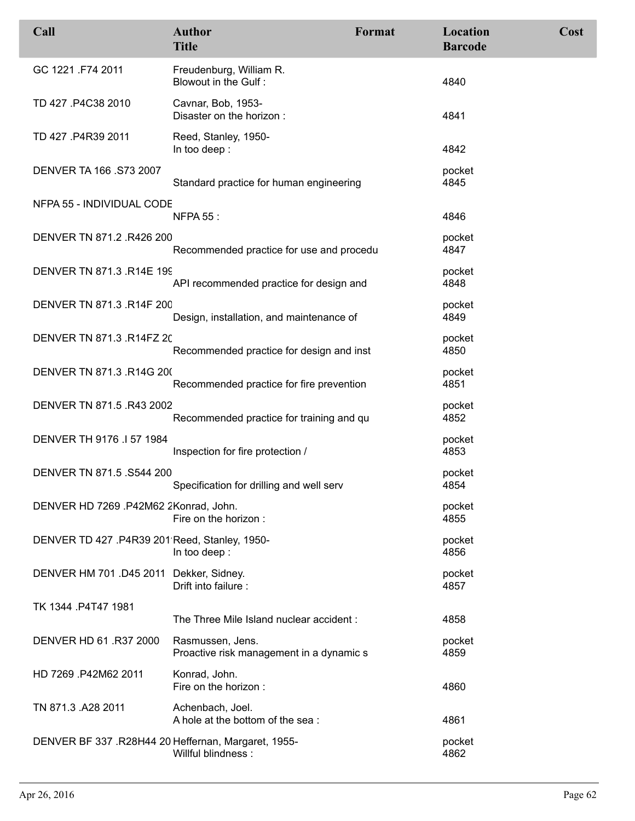| Call                                                | <b>Author</b><br><b>Title</b>                                | Format | Location<br><b>Barcode</b> | Cost |
|-----------------------------------------------------|--------------------------------------------------------------|--------|----------------------------|------|
| GC 1221 .F74 2011                                   | Freudenburg, William R.<br>Blowout in the Gulf:              |        | 4840                       |      |
| TD 427 .P4C38 2010                                  | Cavnar, Bob, 1953-<br>Disaster on the horizon:               |        | 4841                       |      |
| TD 427 .P4R39 2011                                  | Reed, Stanley, 1950-<br>In too deep:                         |        | 4842                       |      |
| DENVER TA 166 .S73 2007                             | Standard practice for human engineering                      |        | pocket<br>4845             |      |
| NFPA 55 - INDIVIDUAL CODE                           | <b>NFPA 55:</b>                                              |        | 4846                       |      |
| DENVER TN 871.2 .R426 200                           | Recommended practice for use and procedu                     |        | pocket<br>4847             |      |
| DENVER TN 871.3 .R14E 199                           | API recommended practice for design and                      |        | pocket<br>4848             |      |
| DENVER TN 871.3 .R14F 200                           | Design, installation, and maintenance of                     |        | pocket<br>4849             |      |
| DENVER TN 871.3 .R14FZ 20                           | Recommended practice for design and inst                     |        | pocket<br>4850             |      |
| DENVER TN 871.3 .R14G 200                           | Recommended practice for fire prevention                     |        | pocket<br>4851             |      |
| DENVER TN 871.5 .R43 2002                           | Recommended practice for training and qu                     |        | pocket<br>4852             |      |
| DENVER TH 9176 .I 57 1984                           | Inspection for fire protection /                             |        | pocket<br>4853             |      |
| DENVER TN 871.5 .S544 200                           | Specification for drilling and well serv                     |        | pocket<br>4854             |      |
| DENVER HD 7269 .P42M62 2Konrad, John.               | Fire on the horizon:                                         |        | pocket<br>4855             |      |
| DENVER TD 427 .P4R39 201 Reed, Stanley, 1950-       | In too deep:                                                 |        | pocket<br>4856             |      |
| DENVER HM 701 .D45 2011 Dekker, Sidney.             | Drift into failure :                                         |        | pocket<br>4857             |      |
| TK 1344 .P4T47 1981                                 | The Three Mile Island nuclear accident:                      |        | 4858                       |      |
| DENVER HD 61.R37 2000                               | Rasmussen, Jens.<br>Proactive risk management in a dynamic s |        | pocket<br>4859             |      |
| HD 7269 .P42M62 2011                                | Konrad, John.<br>Fire on the horizon :                       |        | 4860                       |      |
| TN 871.3 .A28 2011                                  | Achenbach, Joel.<br>A hole at the bottom of the sea:         |        | 4861                       |      |
| DENVER BF 337 .R28H44 20 Heffernan, Margaret, 1955- | Willful blindness:                                           |        | pocket<br>4862             |      |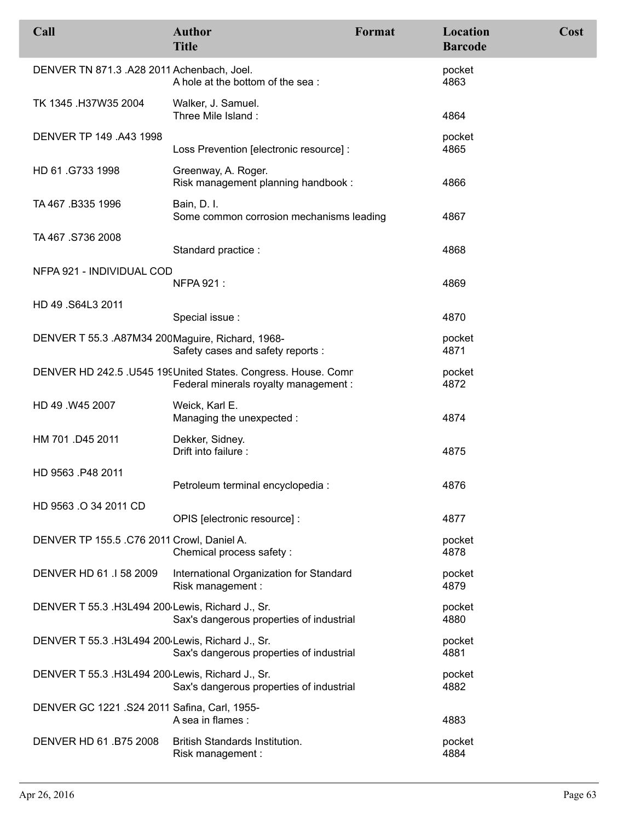| Call                                             | <b>Author</b><br><b>Title</b>                                                                          | <b>Format</b> | Location<br><b>Barcode</b> | Cost |
|--------------------------------------------------|--------------------------------------------------------------------------------------------------------|---------------|----------------------------|------|
| DENVER TN 871.3 .A28 2011 Achenbach, Joel.       | A hole at the bottom of the sea:                                                                       |               | pocket<br>4863             |      |
| TK 1345 .H37W35 2004                             | Walker, J. Samuel.<br>Three Mile Island:                                                               |               | 4864                       |      |
| DENVER TP 149 .A43 1998                          | Loss Prevention [electronic resource] :                                                                |               | pocket<br>4865             |      |
| HD 61.G733 1998                                  | Greenway, A. Roger.<br>Risk management planning handbook:                                              |               | 4866                       |      |
| TA 467 .B335 1996                                | Bain, D. I.<br>Some common corrosion mechanisms leading                                                |               | 4867                       |      |
| TA 467 .S736 2008                                | Standard practice :                                                                                    |               | 4868                       |      |
| NFPA 921 - INDIVIDUAL COD                        | <b>NFPA 921:</b>                                                                                       |               | 4869                       |      |
| HD 49 .S64L3 2011                                | Special issue :                                                                                        |               | 4870                       |      |
| DENVER T 55.3 .A87M34 200Maguire, Richard, 1968- | Safety cases and safety reports :                                                                      |               | pocket<br>4871             |      |
|                                                  | DENVER HD 242.5 .U545 19 United States. Congress. House. Comr<br>Federal minerals royalty management : |               | pocket<br>4872             |      |
| HD 49 .W45 2007                                  | Weick, Karl E.<br>Managing the unexpected :                                                            |               | 4874                       |      |
| HM 701 .D45 2011                                 | Dekker, Sidney.<br>Drift into failure :                                                                |               | 4875                       |      |
| HD 9563 P48 2011                                 | Petroleum terminal encyclopedia :                                                                      |               | 4876                       |      |
| HD 9563 .O 34 2011 CD                            | OPIS [electronic resource] :                                                                           |               | 4877                       |      |
| DENVER TP 155.5 .C76 2011 Crowl, Daniel A.       | Chemical process safety :                                                                              |               | pocket<br>4878             |      |
| DENVER HD 61 .1 58 2009                          | International Organization for Standard<br>Risk management :                                           |               | pocket<br>4879             |      |
| DENVER T 55.3 .H3L494 200 Lewis, Richard J., Sr. | Sax's dangerous properties of industrial                                                               |               | pocket<br>4880             |      |
| DENVER T 55.3 .H3L494 200 Lewis, Richard J., Sr. | Sax's dangerous properties of industrial                                                               |               | pocket<br>4881             |      |
| DENVER T 55.3 .H3L494 200 Lewis, Richard J., Sr. | Sax's dangerous properties of industrial                                                               |               | pocket<br>4882             |      |
| DENVER GC 1221 .S24 2011 Safina, Carl, 1955-     | A sea in flames :                                                                                      |               | 4883                       |      |
| DENVER HD 61.B75 2008                            | British Standards Institution.<br>Risk management :                                                    |               | pocket<br>4884             |      |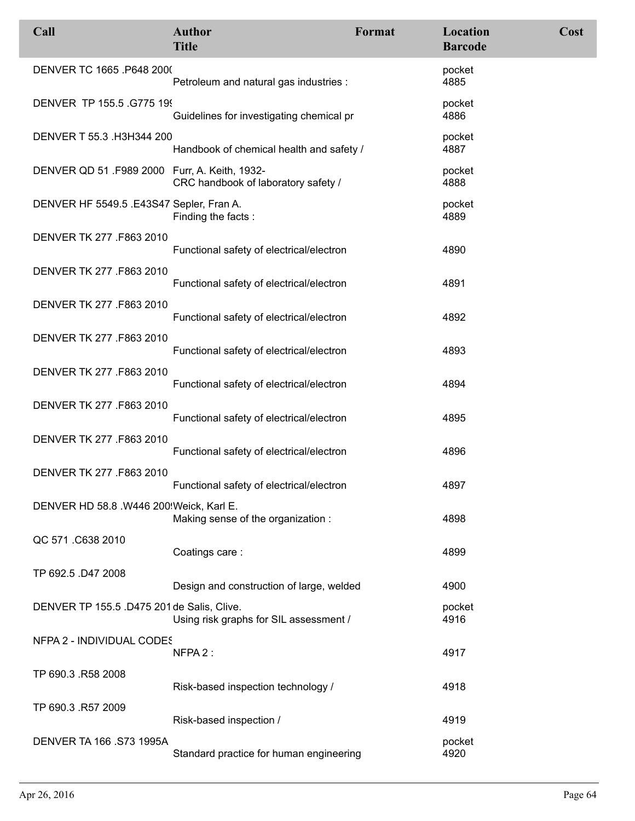| Call                                          | <b>Author</b><br><b>Title</b>            | <b>Format</b> | Location<br><b>Barcode</b> | Cost |
|-----------------------------------------------|------------------------------------------|---------------|----------------------------|------|
| DENVER TC 1665 .P648 2000                     | Petroleum and natural gas industries :   |               | pocket<br>4885             |      |
| DENVER TP 155.5 .G775 199                     | Guidelines for investigating chemical pr |               | pocket<br>4886             |      |
| DENVER T 55.3 .H3H344 200                     | Handbook of chemical health and safety / |               | pocket<br>4887             |      |
| DENVER QD 51 .F989 2000 Furr, A. Keith, 1932- | CRC handbook of laboratory safety /      |               | pocket<br>4888             |      |
| DENVER HF 5549.5 .E43S47 Sepler, Fran A.      | Finding the facts:                       |               | pocket<br>4889             |      |
| DENVER TK 277 .F863 2010                      | Functional safety of electrical/electron |               | 4890                       |      |
| DENVER TK 277 .F863 2010                      | Functional safety of electrical/electron |               | 4891                       |      |
| DENVER TK 277 .F863 2010                      | Functional safety of electrical/electron |               | 4892                       |      |
| DENVER TK 277 .F863 2010                      | Functional safety of electrical/electron |               | 4893                       |      |
| DENVER TK 277 .F863 2010                      | Functional safety of electrical/electron |               | 4894                       |      |
| DENVER TK 277 .F863 2010                      | Functional safety of electrical/electron |               | 4895                       |      |
| DENVER TK 277 .F863 2010                      | Functional safety of electrical/electron |               | 4896                       |      |
| DENVER TK 277 .F863 2010                      | Functional safety of electrical/electron |               | 4897                       |      |
| DENVER HD 58.8 .W446 200 Weick, Karl E.       | Making sense of the organization:        |               | 4898                       |      |
| QC 571 .C638 2010                             | Coatings care:                           |               | 4899                       |      |
| TP 692.5 .D47 2008                            | Design and construction of large, welded |               | 4900                       |      |
| DENVER TP 155.5 .D475 201 de Salis, Clive.    | Using risk graphs for SIL assessment /   |               | pocket<br>4916             |      |
| NFPA 2 - INDIVIDUAL CODES                     | NFPA 2:                                  |               | 4917                       |      |
| TP 690.3 .R58 2008                            | Risk-based inspection technology /       |               | 4918                       |      |
| TP 690.3 .R57 2009                            | Risk-based inspection /                  |               | 4919                       |      |
| <b>DENVER TA 166 .S73 1995A</b>               | Standard practice for human engineering  |               | pocket<br>4920             |      |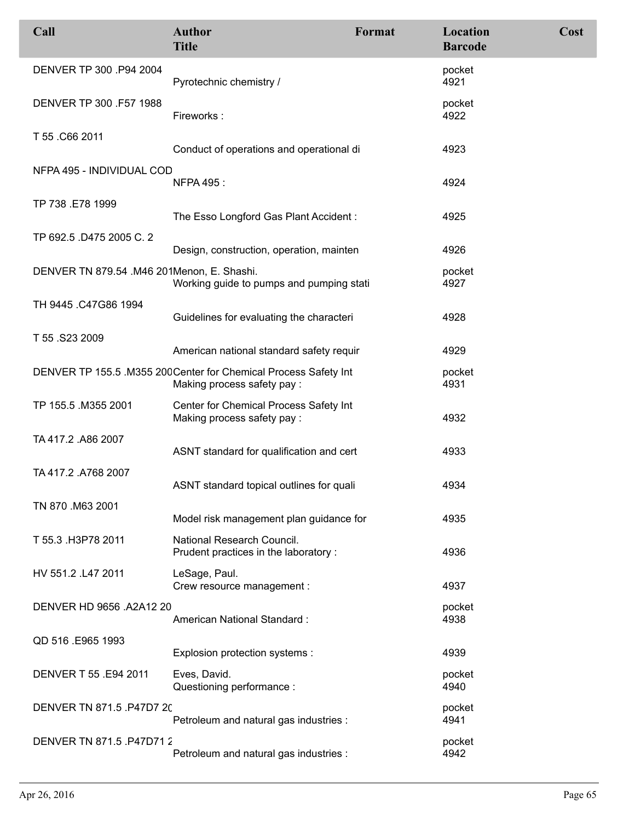| Call                                       | <b>Author</b><br><b>Title</b>                                                                  | Format | Location<br><b>Barcode</b> | Cost |
|--------------------------------------------|------------------------------------------------------------------------------------------------|--------|----------------------------|------|
| DENVER TP 300 .P94 2004                    | Pyrotechnic chemistry /                                                                        |        | pocket<br>4921             |      |
| DENVER TP 300 .F57 1988                    | Fireworks:                                                                                     |        | pocket<br>4922             |      |
| T 55 .C66 2011                             | Conduct of operations and operational di                                                       |        | 4923                       |      |
| NFPA 495 - INDIVIDUAL COD                  | <b>NFPA 495:</b>                                                                               |        | 4924                       |      |
| TP 738 .E78 1999                           | The Esso Longford Gas Plant Accident:                                                          |        | 4925                       |      |
| TP 692.5 .D475 2005 C. 2                   | Design, construction, operation, mainten                                                       |        | 4926                       |      |
| DENVER TN 879.54 .M46 201Menon, E. Shashi. | Working guide to pumps and pumping stati                                                       |        | pocket<br>4927             |      |
| TH 9445 .C47G86 1994                       | Guidelines for evaluating the characteri                                                       |        | 4928                       |      |
| T 55 .S23 2009                             | American national standard safety requir                                                       |        | 4929                       |      |
|                                            | DENVER TP 155.5 .M355 200 Center for Chemical Process Safety Int<br>Making process safety pay: |        | pocket<br>4931             |      |
| TP 155.5 .M355 2001                        | Center for Chemical Process Safety Int<br>Making process safety pay:                           |        | 4932                       |      |
| TA 417.2 .A86 2007                         | ASNT standard for qualification and cert                                                       |        | 4933                       |      |
| TA 417.2 .A768 2007                        | ASNT standard topical outlines for quali                                                       |        | 4934                       |      |
| TN 870 .M63 2001                           | Model risk management plan guidance for                                                        |        | 4935                       |      |
| T 55.3 .H3P78 2011                         | National Research Council.<br>Prudent practices in the laboratory :                            |        | 4936                       |      |
| HV 551.2 .L47 2011                         | LeSage, Paul.<br>Crew resource management :                                                    |        | 4937                       |      |
| DENVER HD 9656 .A2A12 20                   | American National Standard:                                                                    |        | pocket<br>4938             |      |
| QD 516 .E965 1993                          | Explosion protection systems :                                                                 |        | 4939                       |      |
| DENVER T 55 .E94 2011                      | Eves, David.<br>Questioning performance :                                                      |        | pocket<br>4940             |      |
| DENVER TN 871.5 .P47D7 20                  | Petroleum and natural gas industries :                                                         |        | pocket<br>4941             |      |
| DENVER TN 871.5 .P47D71 2                  | Petroleum and natural gas industries :                                                         |        | pocket<br>4942             |      |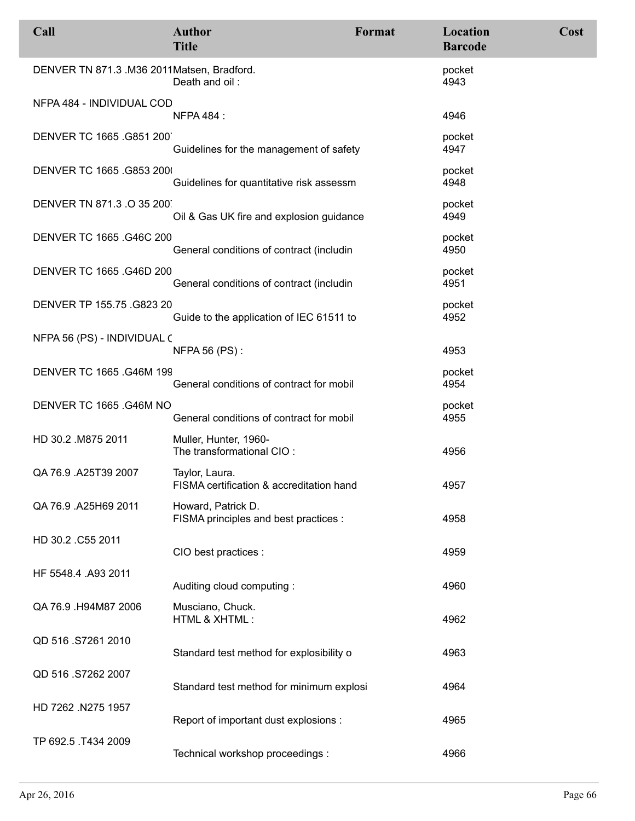| Call                                       | <b>Author</b><br><b>Title</b>                               | Format | Location<br><b>Barcode</b> | Cost |
|--------------------------------------------|-------------------------------------------------------------|--------|----------------------------|------|
| DENVER TN 871.3 .M36 2011Matsen, Bradford. | Death and oil:                                              |        | pocket<br>4943             |      |
| NFPA 484 - INDIVIDUAL COD                  | <b>NFPA 484:</b>                                            |        | 4946                       |      |
| DENVER TC 1665 .G851 200                   | Guidelines for the management of safety                     |        | pocket<br>4947             |      |
| DENVER TC 1665 .G853 200                   | Guidelines for quantitative risk assessm                    |        | pocket<br>4948             |      |
| DENVER TN 871.3 .O 35 200                  | Oil & Gas UK fire and explosion guidance                    |        | pocket<br>4949             |      |
| DENVER TC 1665 .G46C 200                   | General conditions of contract (includin                    |        | pocket<br>4950             |      |
| DENVER TC 1665 .G46D 200                   | General conditions of contract (includin                    |        | pocket<br>4951             |      |
| DENVER TP 155.75 .G823 20                  | Guide to the application of IEC 61511 to                    |        | pocket<br>4952             |      |
| NFPA 56 (PS) - INDIVIDUAL (                | <b>NFPA 56 (PS):</b>                                        |        | 4953                       |      |
| <b>DENVER TC 1665 .G46M 199</b>            | General conditions of contract for mobil                    |        | pocket<br>4954             |      |
| DENVER TC 1665 .G46M NO                    | General conditions of contract for mobil                    |        | pocket<br>4955             |      |
| HD 30.2 .M875 2011                         | Muller, Hunter, 1960-<br>The transformational CIO:          |        | 4956                       |      |
| QA 76.9 .A25T39 2007                       | Taylor, Laura.<br>FISMA certification & accreditation hand  |        | 4957                       |      |
| QA 76.9 .A25H69 2011                       | Howard, Patrick D.<br>FISMA principles and best practices : |        | 4958                       |      |
| HD 30.2 .C55 2011                          | CIO best practices :                                        |        | 4959                       |      |
| HF 5548.4 .A93 2011                        | Auditing cloud computing:                                   |        | 4960                       |      |
| QA 76.9 H94M87 2006                        | Musciano, Chuck.<br>HTML & XHTML:                           |        | 4962                       |      |
| QD 516 .S7261 2010                         | Standard test method for explosibility o                    |        | 4963                       |      |
| QD 516 .S7262 2007                         | Standard test method for minimum explosi                    |        | 4964                       |      |
| HD 7262 .N275 1957                         | Report of important dust explosions :                       |        | 4965                       |      |
| TP 692.5 .T434 2009                        | Technical workshop proceedings :                            |        | 4966                       |      |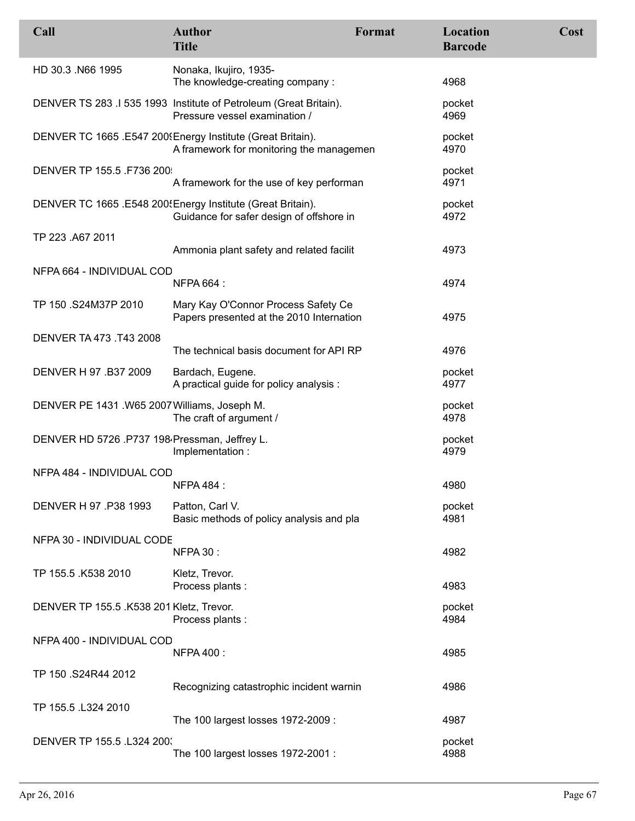| Call                                          | <b>Author</b><br><b>Title</b>                                                                           | Format | Location<br><b>Barcode</b> | Cost |
|-----------------------------------------------|---------------------------------------------------------------------------------------------------------|--------|----------------------------|------|
| HD 30.3 .N66 1995                             | Nonaka, Ikujiro, 1935-<br>The knowledge-creating company:                                               |        | 4968                       |      |
|                                               | DENVER TS 283 .I 535 1993 Institute of Petroleum (Great Britain).<br>Pressure vessel examination /      |        | pocket<br>4969             |      |
|                                               | DENVER TC 1665 .E547 2009Energy Institute (Great Britain).<br>A framework for monitoring the managemen  |        | pocket<br>4970             |      |
| DENVER TP 155.5 .F736 200                     | A framework for the use of key performan                                                                |        | pocket<br>4971             |      |
|                                               | DENVER TC 1665 .E548 200! Energy Institute (Great Britain).<br>Guidance for safer design of offshore in |        | pocket<br>4972             |      |
| TP 223 .A67 2011                              | Ammonia plant safety and related facilit                                                                |        | 4973                       |      |
| NFPA 664 - INDIVIDUAL COD                     |                                                                                                         |        |                            |      |
|                                               | NFPA 664 :                                                                                              |        | 4974                       |      |
| TP 150 .S24M37P 2010                          | Mary Kay O'Connor Process Safety Ce<br>Papers presented at the 2010 Internation                         |        | 4975                       |      |
| DENVER TA 473 .T43 2008                       | The technical basis document for API RP                                                                 |        | 4976                       |      |
| DENVER H 97 .B37 2009                         | Bardach, Eugene.<br>A practical guide for policy analysis :                                             |        | pocket<br>4977             |      |
| DENVER PE 1431 .W65 2007 Williams, Joseph M.  | The craft of argument /                                                                                 |        | pocket<br>4978             |      |
| DENVER HD 5726 .P737 198 Pressman, Jeffrey L. | Implementation:                                                                                         |        | pocket<br>4979             |      |
| NFPA 484 - INDIVIDUAL COD                     | <b>NFPA 484:</b>                                                                                        |        | 4980                       |      |
| DENVER H 97 .P38 1993                         | Patton, Carl V.<br>Basic methods of policy analysis and pla                                             |        | pocket<br>4981             |      |
| NFPA 30 - INDIVIDUAL CODE                     | <b>NFPA 30:</b>                                                                                         |        | 4982                       |      |
| TP 155.5 .K538 2010                           | Kletz, Trevor.<br>Process plants :                                                                      |        | 4983                       |      |
| DENVER TP 155.5 .K538 201 Kletz, Trevor.      | Process plants :                                                                                        |        | pocket<br>4984             |      |
| NFPA 400 - INDIVIDUAL COD                     | <b>NFPA 400:</b>                                                                                        |        | 4985                       |      |
| TP 150 .S24R44 2012                           | Recognizing catastrophic incident warnin                                                                |        | 4986                       |      |
| TP 155.5 .L324 2010                           | The 100 largest losses 1972-2009 :                                                                      |        | 4987                       |      |
| DENVER TP 155.5 .L324 200.                    | The 100 largest losses 1972-2001 :                                                                      |        | pocket<br>4988             |      |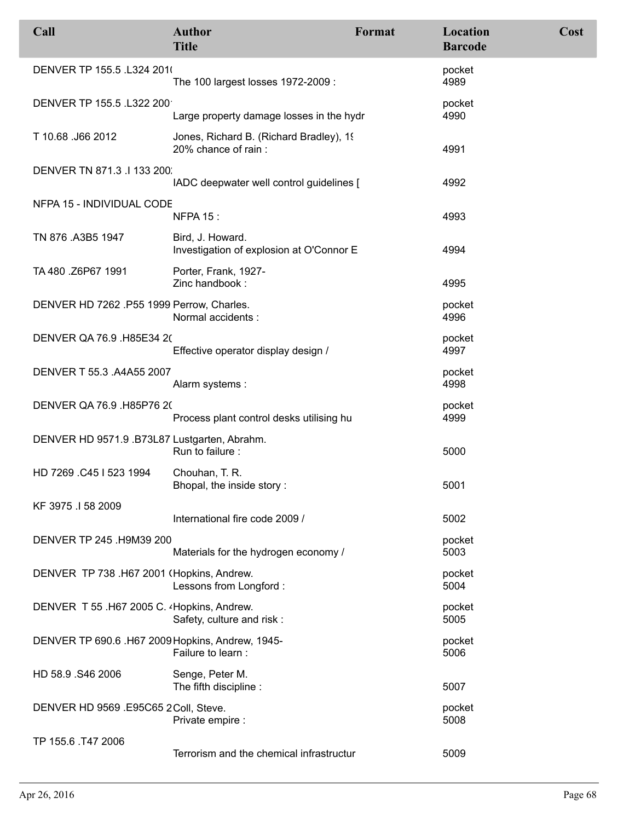| Call                                             | <b>Author</b><br><b>Title</b>                                  | Format | Location<br><b>Barcode</b> | Cost |
|--------------------------------------------------|----------------------------------------------------------------|--------|----------------------------|------|
| DENVER TP 155.5 .L324 2010                       | The 100 largest losses 1972-2009 :                             |        | pocket<br>4989             |      |
| DENVER TP 155.5 .L322 200                        | Large property damage losses in the hydr                       |        | pocket<br>4990             |      |
| T 10.68 .J66 2012                                | Jones, Richard B. (Richard Bradley), 19<br>20% chance of rain: |        | 4991                       |      |
| DENVER TN 871.3 .I 133 200.                      | IADC deepwater well control guidelines [                       |        | 4992                       |      |
| NFPA 15 - INDIVIDUAL CODE                        | <b>NFPA 15:</b>                                                |        | 4993                       |      |
| TN 876 .A3B5 1947                                | Bird, J. Howard.<br>Investigation of explosion at O'Connor E   |        | 4994                       |      |
| TA 480 .Z6P67 1991                               | Porter, Frank, 1927-<br>Zinc handbook:                         |        | 4995                       |      |
| DENVER HD 7262 .P55 1999 Perrow, Charles.        | Normal accidents :                                             |        | pocket<br>4996             |      |
| DENVER QA 76.9 .H85E34 20                        | Effective operator display design /                            |        | pocket<br>4997             |      |
| DENVER T 55.3 .A4A55 2007                        | Alarm systems:                                                 |        | pocket<br>4998             |      |
| DENVER QA 76.9 .H85P76 20                        | Process plant control desks utilising hu                       |        | pocket<br>4999             |      |
| DENVER HD 9571.9.B73L87 Lustgarten, Abrahm.      | Run to failure :                                               |        | 5000                       |      |
| HD 7269 .C45   523 1994                          | Chouhan, T. R.<br>Bhopal, the inside story:                    |        | 5001                       |      |
| KF 3975 .I 58 2009                               | International fire code 2009 /                                 |        | 5002                       |      |
| DENVER TP 245 .H9M39 200                         | Materials for the hydrogen economy /                           |        | pocket<br>5003             |      |
| DENVER TP 738 .H67 2001 (Hopkins, Andrew.        | Lessons from Longford:                                         |        | pocket<br>5004             |      |
| DENVER T 55 .H67 2005 C. 4Hopkins, Andrew.       | Safety, culture and risk:                                      |        | pocket<br>5005             |      |
| DENVER TP 690.6 .H67 2009 Hopkins, Andrew, 1945- | Failure to learn :                                             |        | pocket<br>5006             |      |
| HD 58.9 .S46 2006                                | Senge, Peter M.<br>The fifth discipline:                       |        | 5007                       |      |
| DENVER HD 9569 .E95C65 2Coll, Steve.             | Private empire :                                               |        | pocket<br>5008             |      |
| TP 155.6 .T47 2006                               | Terrorism and the chemical infrastructur                       |        | 5009                       |      |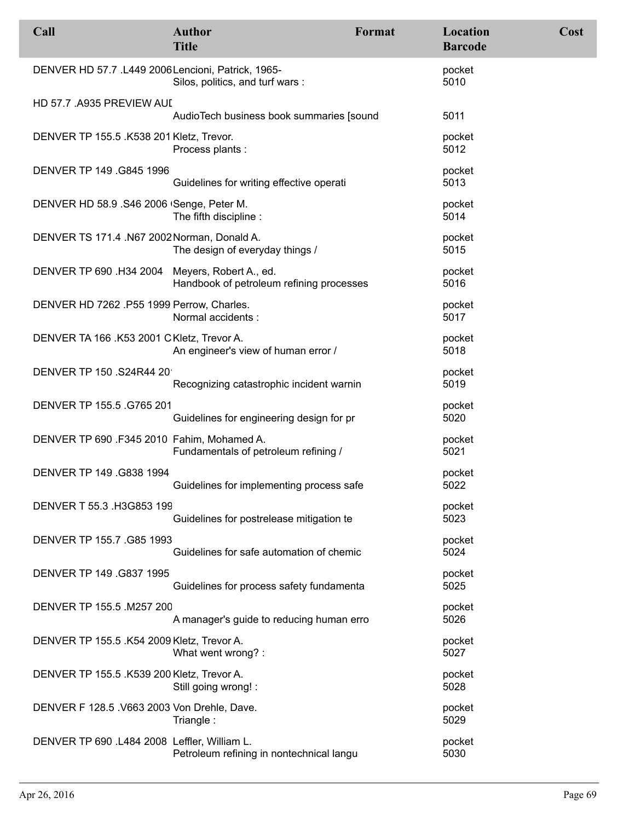| Call                                               | <b>Author</b><br><b>Title</b>            | Format | Location<br><b>Barcode</b> | Cost |
|----------------------------------------------------|------------------------------------------|--------|----------------------------|------|
| DENVER HD 57.7 .L449 2006 Lencioni, Patrick, 1965- | Silos, politics, and turf wars:          |        | pocket<br>5010             |      |
| HD 57.7 .A935 PREVIEW AUI                          | AudioTech business book summaries [sound |        | 5011                       |      |
| DENVER TP 155.5 .K538 201 Kletz, Trevor.           | Process plants :                         |        | pocket<br>5012             |      |
| DENVER TP 149 .G845 1996                           | Guidelines for writing effective operati |        | pocket<br>5013             |      |
| DENVER HD 58.9 .S46 2006 Senge, Peter M.           | The fifth discipline:                    |        | pocket<br>5014             |      |
| DENVER TS 171.4 .N67 2002 Norman, Donald A.        | The design of everyday things /          |        | pocket<br>5015             |      |
| DENVER TP 690 .H34 2004 Meyers, Robert A., ed.     | Handbook of petroleum refining processes |        | pocket<br>5016             |      |
| DENVER HD 7262 .P55 1999 Perrow, Charles.          | Normal accidents :                       |        | pocket<br>5017             |      |
| DENVER TA 166 .K53 2001 CKletz, Trevor A.          | An engineer's view of human error /      |        | pocket<br>5018             |      |
| DENVER TP 150 .S24R44 20                           | Recognizing catastrophic incident warnin |        | pocket<br>5019             |      |
| DENVER TP 155.5 .G765 201                          | Guidelines for engineering design for pr |        | pocket<br>5020             |      |
| DENVER TP 690 .F345 2010 Fahim, Mohamed A.         | Fundamentals of petroleum refining /     |        | pocket<br>5021             |      |
| DENVER TP 149 .G838 1994                           | Guidelines for implementing process safe |        | pocket<br>5022             |      |
| DENVER T 55.3 .H3G853 199                          | Guidelines for postrelease mitigation te |        | pocket<br>5023             |      |
| DENVER TP 155.7 .G85 1993                          | Guidelines for safe automation of chemic |        | pocket<br>5024             |      |
| DENVER TP 149 .G837 1995                           | Guidelines for process safety fundamenta |        | pocket<br>5025             |      |
| DENVER TP 155.5 .M257 200                          | A manager's guide to reducing human erro |        | pocket<br>5026             |      |
| DENVER TP 155.5 .K54 2009 Kletz, Trevor A.         | What went wrong?:                        |        | pocket<br>5027             |      |
| DENVER TP 155.5 .K539 200 Kletz, Trevor A.         | Still going wrong! :                     |        | pocket<br>5028             |      |
| DENVER F 128.5 .V663 2003 Von Drehle, Dave.        | Triangle:                                |        | pocket<br>5029             |      |
| DENVER TP 690 .L484 2008 Leffler, William L.       | Petroleum refining in nontechnical langu |        | pocket<br>5030             |      |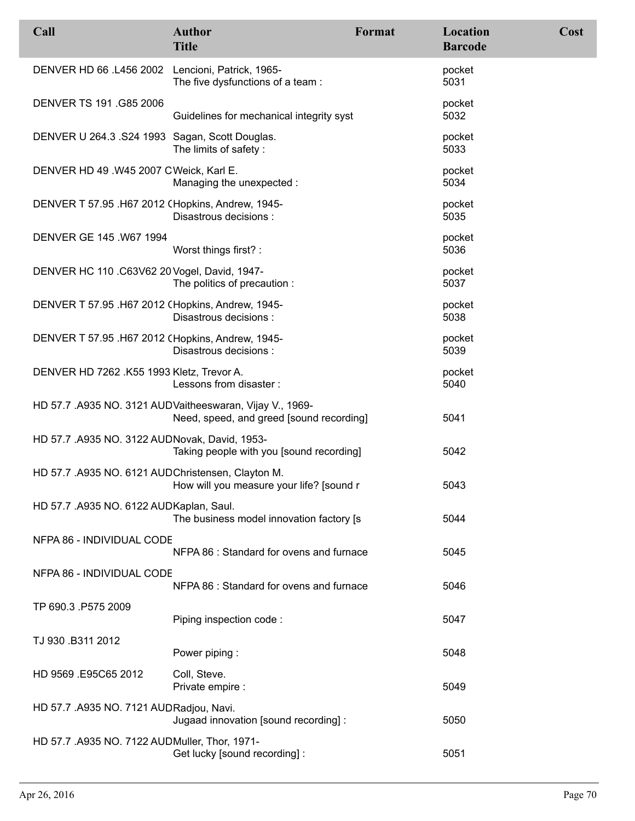| Call                                              | <b>Author</b><br><b>Title</b>                                                                         | Format | Location<br><b>Barcode</b> | Cost |
|---------------------------------------------------|-------------------------------------------------------------------------------------------------------|--------|----------------------------|------|
| DENVER HD 66 .L456 2002 Lencioni, Patrick, 1965-  | The five dysfunctions of a team:                                                                      |        | pocket<br>5031             |      |
| DENVER TS 191 .G85 2006                           | Guidelines for mechanical integrity syst                                                              |        | pocket<br>5032             |      |
| DENVER U 264.3 .S24 1993 Sagan, Scott Douglas.    | The limits of safety:                                                                                 |        | pocket<br>5033             |      |
| DENVER HD 49.W45 2007 CWeick, Karl E.             | Managing the unexpected :                                                                             |        | pocket<br>5034             |      |
| DENVER T 57.95 .H67 2012 (Hopkins, Andrew, 1945-  | Disastrous decisions :                                                                                |        | pocket<br>5035             |      |
| DENVER GE 145 .W67 1994                           | Worst things first? :                                                                                 |        | pocket<br>5036             |      |
| DENVER HC 110 .C63V62 20 Vogel, David, 1947-      | The politics of precaution :                                                                          |        | pocket<br>5037             |      |
| DENVER T 57.95 .H67 2012 (Hopkins, Andrew, 1945-  | Disastrous decisions :                                                                                |        | pocket<br>5038             |      |
| DENVER T 57.95 .H67 2012 (Hopkins, Andrew, 1945-  | Disastrous decisions :                                                                                |        | pocket<br>5039             |      |
| DENVER HD 7262 .K55 1993 Kletz, Trevor A.         | Lessons from disaster:                                                                                |        | pocket<br>5040             |      |
|                                                   | HD 57.7 .A935 NO. 3121 AUD Vaitheeswaran, Vijay V., 1969-<br>Need, speed, and greed [sound recording] |        | 5041                       |      |
| HD 57.7 .A935 NO. 3122 AUDNovak, David, 1953-     | Taking people with you [sound recording]                                                              |        | 5042                       |      |
| HD 57.7 .A935 NO. 6121 AUDChristensen, Clayton M. | How will you measure your life? [sound r                                                              |        | 5043                       |      |
| HD 57.7 .A935 NO. 6122 AUDKaplan, Saul.           | The business model innovation factory [s                                                              |        | 5044                       |      |
| NFPA 86 - INDIVIDUAL CODE                         | NFPA 86 : Standard for ovens and furnace                                                              |        | 5045                       |      |
| NFPA 86 - INDIVIDUAL CODE                         | NFPA 86 : Standard for ovens and furnace                                                              |        | 5046                       |      |
| TP 690.3 .P575 2009                               | Piping inspection code:                                                                               |        | 5047                       |      |
| TJ 930 .B311 2012                                 | Power piping:                                                                                         |        | 5048                       |      |
| HD 9569 .E95C65 2012                              | Coll, Steve.<br>Private empire :                                                                      |        | 5049                       |      |
| HD 57.7 .A935 NO. 7121 AUDRadjou, Navi.           | Jugaad innovation [sound recording] :                                                                 |        | 5050                       |      |
| HD 57.7 .A935 NO. 7122 AUDMuller, Thor, 1971-     | Get lucky [sound recording] :                                                                         |        | 5051                       |      |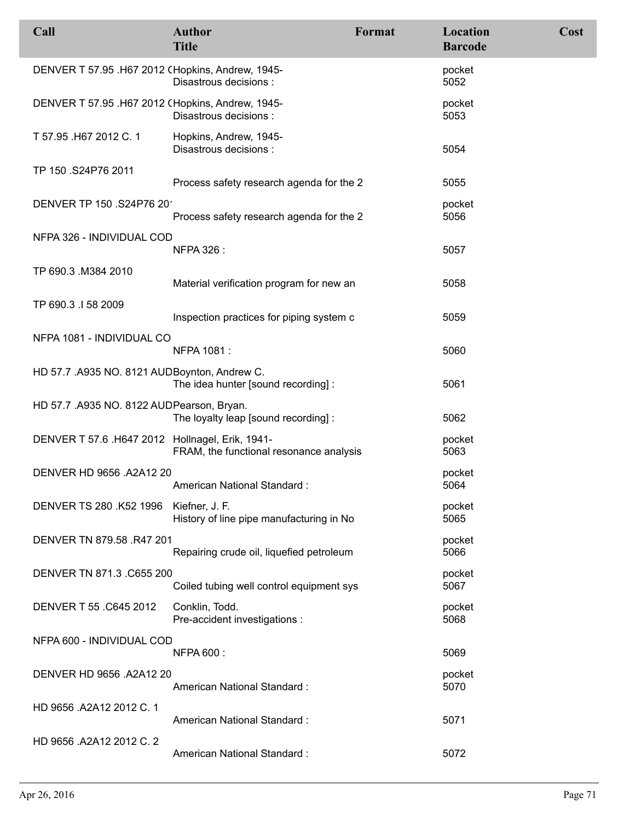| Call                                             | <b>Author</b><br><b>Title</b>                              | Format | Location<br><b>Barcode</b> | Cost |
|--------------------------------------------------|------------------------------------------------------------|--------|----------------------------|------|
| DENVER T 57.95 .H67 2012 (Hopkins, Andrew, 1945- | Disastrous decisions :                                     |        | pocket<br>5052             |      |
| DENVER T 57.95 .H67 2012 (Hopkins, Andrew, 1945- | Disastrous decisions :                                     |        | pocket<br>5053             |      |
| T 57.95 .H67 2012 C. 1                           | Hopkins, Andrew, 1945-<br>Disastrous decisions:            |        | 5054                       |      |
| TP 150 .S24P76 2011                              | Process safety research agenda for the 2                   |        | 5055                       |      |
| DENVER TP 150 .S24P76 20                         | Process safety research agenda for the 2                   |        | pocket<br>5056             |      |
| NFPA 326 - INDIVIDUAL COD                        | <b>NFPA 326:</b>                                           |        | 5057                       |      |
| TP 690.3 .M384 2010                              | Material verification program for new an                   |        | 5058                       |      |
| TP 690.3 .I 58 2009                              | Inspection practices for piping system c                   |        | 5059                       |      |
| NFPA 1081 - INDIVIDUAL CO                        | NFPA 1081:                                                 |        | 5060                       |      |
| HD 57.7 .A935 NO. 8121 AUDBoynton, Andrew C.     | The idea hunter [sound recording] :                        |        | 5061                       |      |
| HD 57.7 .A935 NO. 8122 AUDPearson, Bryan.        | The loyalty leap [sound recording] :                       |        | 5062                       |      |
| DENVER T 57.6 .H647 2012 Hollnagel, Erik, 1941-  | FRAM, the functional resonance analysis                    |        | pocket<br>5063             |      |
| DENVER HD 9656 .A2A12 20                         | American National Standard:                                |        | pocket<br>5064             |      |
| DENVER TS 280 .K52 1996                          | Kiefner, J. F.<br>History of line pipe manufacturing in No |        | pocket<br>5065             |      |
| DENVER TN 879.58 .R47 201                        | Repairing crude oil, liquefied petroleum                   |        | pocket<br>5066             |      |
| DENVER TN 871.3 .C655 200                        | Coiled tubing well control equipment sys                   |        | pocket<br>5067             |      |
| DENVER T 55 .C645 2012                           | Conklin, Todd.<br>Pre-accident investigations :            |        | pocket<br>5068             |      |
| NFPA 600 - INDIVIDUAL COD                        | <b>NFPA 600:</b>                                           |        | 5069                       |      |
| DENVER HD 9656 .A2A12 20                         | American National Standard:                                |        | pocket<br>5070             |      |
| HD 9656 .A2A12 2012 C. 1                         | American National Standard:                                |        | 5071                       |      |
| HD 9656 .A2A12 2012 C. 2                         | American National Standard:                                |        | 5072                       |      |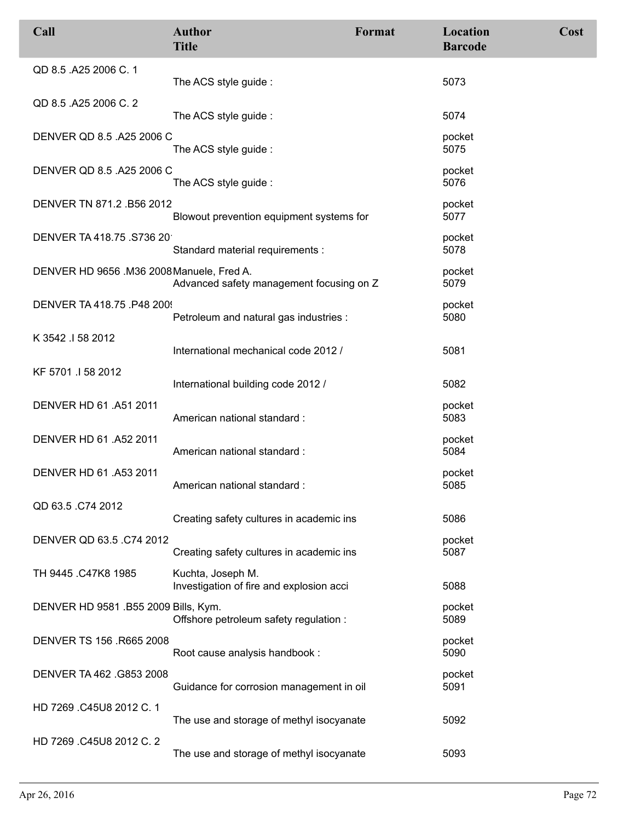| Call                                      | <b>Author</b><br><b>Title</b>                                 | Format | Location<br><b>Barcode</b> | Cost |
|-------------------------------------------|---------------------------------------------------------------|--------|----------------------------|------|
| QD 8.5 .A25 2006 C. 1                     | The ACS style guide:                                          |        | 5073                       |      |
| QD 8.5 .A25 2006 C. 2                     | The ACS style guide:                                          |        | 5074                       |      |
| DENVER QD 8.5 .A25 2006 C                 | The ACS style guide :                                         |        | pocket<br>5075             |      |
| DENVER QD 8.5 .A25 2006 C                 | The ACS style guide:                                          |        | pocket<br>5076             |      |
| DENVER TN 871.2 .B56 2012                 | Blowout prevention equipment systems for                      |        | pocket<br>5077             |      |
| DENVER TA 418.75 .S736 20                 | Standard material requirements :                              |        | pocket<br>5078             |      |
| DENVER HD 9656 .M36 2008 Manuele, Fred A. | Advanced safety management focusing on Z                      |        | pocket<br>5079             |      |
| DENVER TA 418.75 .P48 200!                | Petroleum and natural gas industries :                        |        | pocket<br>5080             |      |
| K 3542 .I 58 2012                         | International mechanical code 2012 /                          |        | 5081                       |      |
| KF 5701 .I 58 2012                        | International building code 2012 /                            |        | 5082                       |      |
| DENVER HD 61 .A51 2011                    | American national standard:                                   |        | pocket<br>5083             |      |
| DENVER HD 61 .A52 2011                    | American national standard:                                   |        | pocket<br>5084             |      |
| DENVER HD 61 .A53 2011                    | American national standard:                                   |        | pocket<br>5085             |      |
| QD 63.5 .C74 2012                         | Creating safety cultures in academic ins                      |        | 5086                       |      |
| DENVER QD 63.5 .C74 2012                  | Creating safety cultures in academic ins                      |        | pocket<br>5087             |      |
| TH 9445 .C47K8 1985                       | Kuchta, Joseph M.<br>Investigation of fire and explosion acci |        | 5088                       |      |
| DENVER HD 9581 .B55 2009 Bills, Kym.      | Offshore petroleum safety regulation :                        |        | pocket<br>5089             |      |
| DENVER TS 156 .R665 2008                  | Root cause analysis handbook :                                |        | pocket<br>5090             |      |
| DENVER TA 462 .G853 2008                  | Guidance for corrosion management in oil                      |        | pocket<br>5091             |      |
| HD 7269 C45U8 2012 C. 1                   | The use and storage of methyl isocyanate                      |        | 5092                       |      |
| HD 7269 .C45U8 2012 C. 2                  | The use and storage of methyl isocyanate                      |        | 5093                       |      |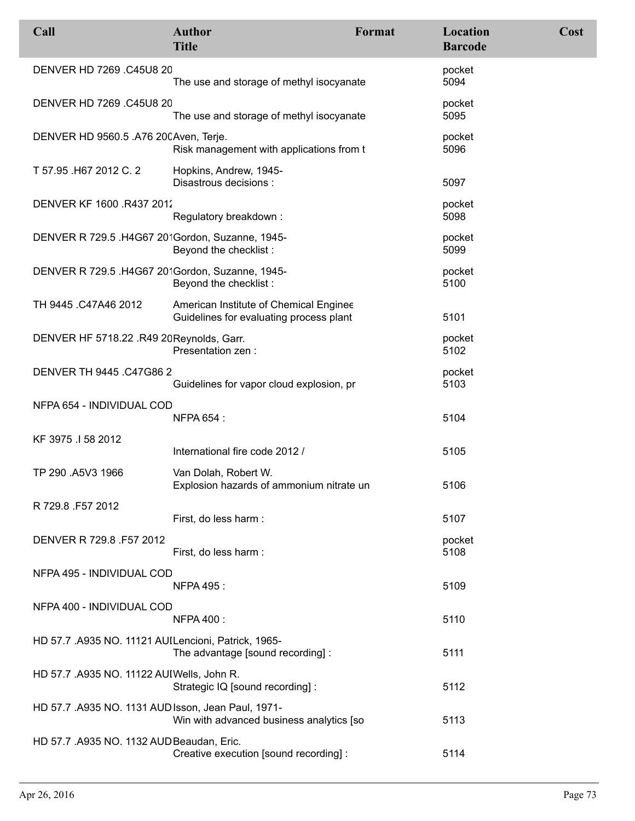| Call                                                | <b>Author</b><br><b>Title</b>                                                     | Format | Location<br><b>Barcode</b> | Cost |
|-----------------------------------------------------|-----------------------------------------------------------------------------------|--------|----------------------------|------|
| DENVER HD 7269 .C45U8 20                            | The use and storage of methyl isocyanate                                          |        | pocket<br>5094             |      |
| DENVER HD 7269 .C45U8 20                            | The use and storage of methyl isocyanate                                          |        | pocket<br>5095             |      |
| DENVER HD 9560.5 .A76 20CAven, Terje.               | Risk management with applications from t                                          |        | pocket<br>5096             |      |
| T 57.95 .H67 2012 C. 2                              | Hopkins, Andrew, 1945-<br>Disastrous decisions :                                  |        | 5097                       |      |
| DENVER KF 1600 R437 2012                            | Regulatory breakdown:                                                             |        | pocket<br>5098             |      |
| DENVER R 729.5 .H4G67 20'Gordon, Suzanne, 1945-     | Beyond the checklist:                                                             |        | pocket<br>5099             |      |
| DENVER R 729.5 .H4G67 20'Gordon, Suzanne, 1945-     | Beyond the checklist:                                                             |        | pocket<br>5100             |      |
| TH 9445 .C47A46 2012                                | American Institute of Chemical Enginee<br>Guidelines for evaluating process plant |        | 5101                       |      |
| DENVER HF 5718.22 .R49 20 Reynolds, Garr.           | Presentation zen :                                                                |        | pocket<br>5102             |      |
| DENVER TH 9445 .C47G86 2                            | Guidelines for vapor cloud explosion, pr                                          |        | pocket<br>5103             |      |
| NFPA 654 - INDIVIDUAL COD                           | <b>NFPA 654:</b>                                                                  |        | 5104                       |      |
| KF 3975 .I 58 2012                                  | International fire code 2012 /                                                    |        | 5105                       |      |
| TP 290 .A5V3 1966                                   | Van Dolah, Robert W.<br>Explosion hazards of ammonium nitrate un                  |        | 5106                       |      |
| R 729.8 F57 2012                                    | First, do less harm :                                                             |        | 5107                       |      |
| DENVER R 729.8 .F57 2012                            | First, do less harm:                                                              |        | pocket<br>5108             |      |
| NFPA 495 - INDIVIDUAL COD                           | <b>NFPA 495 :</b>                                                                 |        | 5109                       |      |
| NFPA 400 - INDIVIDUAL COD                           | <b>NFPA 400:</b>                                                                  |        | 5110                       |      |
| HD 57.7 .A935 NO. 11121 AUILencioni, Patrick, 1965- | The advantage [sound recording] :                                                 |        | 5111                       |      |
| HD 57.7 .A935 NO. 11122 AUIWells, John R.           | Strategic IQ [sound recording] :                                                  |        | 5112                       |      |
| HD 57.7 .A935 NO. 1131 AUD Isson, Jean Paul, 1971-  | Win with advanced business analytics [so                                          |        | 5113                       |      |
| HD 57.7 .A935 NO. 1132 AUD Beaudan, Eric.           | Creative execution [sound recording] :                                            |        | 5114                       |      |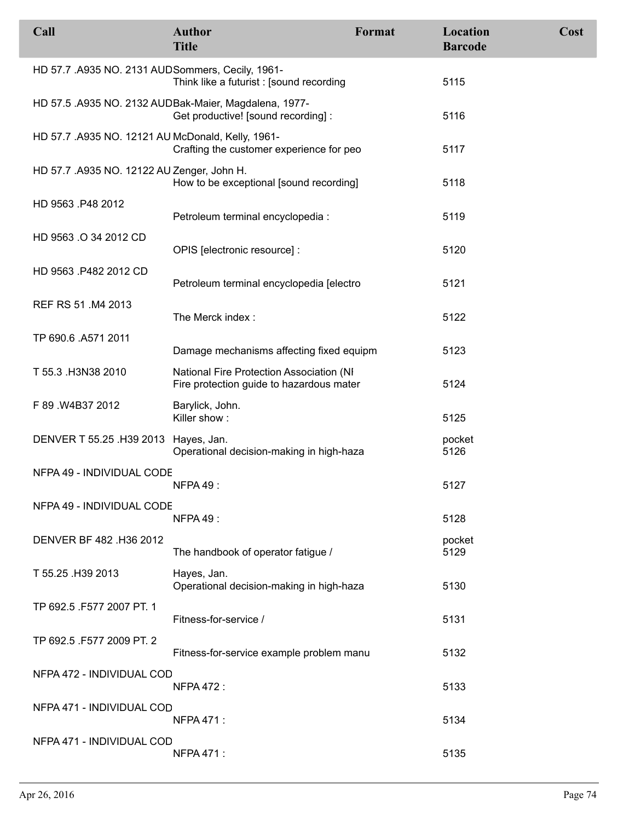| Call                                              | <b>Author</b><br><b>Title</b>                                                                | Format | Location<br><b>Barcode</b> | Cost |
|---------------------------------------------------|----------------------------------------------------------------------------------------------|--------|----------------------------|------|
| HD 57.7 .A935 NO. 2131 AUD Sommers, Cecily, 1961- | Think like a futurist: [sound recording                                                      |        | 5115                       |      |
|                                                   | HD 57.5 .A935 NO. 2132 AUDBak-Maier, Magdalena, 1977-<br>Get productive! [sound recording] : |        | 5116                       |      |
| HD 57.7 .A935 NO. 12121 AU McDonald, Kelly, 1961- | Crafting the customer experience for peo                                                     |        | 5117                       |      |
| HD 57.7 .A935 NO. 12122 AU Zenger, John H.        | How to be exceptional [sound recording]                                                      |        | 5118                       |      |
| HD 9563 .P48 2012                                 | Petroleum terminal encyclopedia :                                                            |        | 5119                       |      |
| HD 9563 .O 34 2012 CD                             | OPIS [electronic resource] :                                                                 |        | 5120                       |      |
| HD 9563 .P482 2012 CD                             | Petroleum terminal encyclopedia [electro                                                     |        | 5121                       |      |
| REF RS 51 .M4 2013                                | The Merck index:                                                                             |        | 5122                       |      |
| TP 690.6 .A571 2011                               | Damage mechanisms affecting fixed equipm                                                     |        | 5123                       |      |
| T 55.3 .H3N38 2010                                | National Fire Protection Association (NI<br>Fire protection guide to hazardous mater         |        | 5124                       |      |
| F 89 W4B37 2012                                   | Barylick, John.<br>Killer show:                                                              |        | 5125                       |      |
| DENVER T 55.25 .H39 2013 Hayes, Jan.              | Operational decision-making in high-haza                                                     |        | pocket<br>5126             |      |
| NFPA 49 - INDIVIDUAL CODE                         | NFPA 49:                                                                                     |        | 5127                       |      |
| NFPA 49 - INDIVIDUAL CODE                         | <b>NFPA 49:</b>                                                                              |        | 5128                       |      |
| DENVER BF 482 .H36 2012                           | The handbook of operator fatigue /                                                           |        | pocket<br>5129             |      |
| T 55.25 .H39 2013                                 | Hayes, Jan.<br>Operational decision-making in high-haza                                      |        | 5130                       |      |
| TP 692.5 .F577 2007 PT. 1                         | Fitness-for-service /                                                                        |        | 5131                       |      |
| TP 692.5 .F577 2009 PT. 2                         | Fitness-for-service example problem manu                                                     |        | 5132                       |      |
| NFPA 472 - INDIVIDUAL COD                         | <b>NFPA 472:</b>                                                                             |        | 5133                       |      |
| NFPA 471 - INDIVIDUAL COD                         | <b>NFPA 471:</b>                                                                             |        | 5134                       |      |
| NFPA 471 - INDIVIDUAL COD                         | <b>NFPA 471:</b>                                                                             |        | 5135                       |      |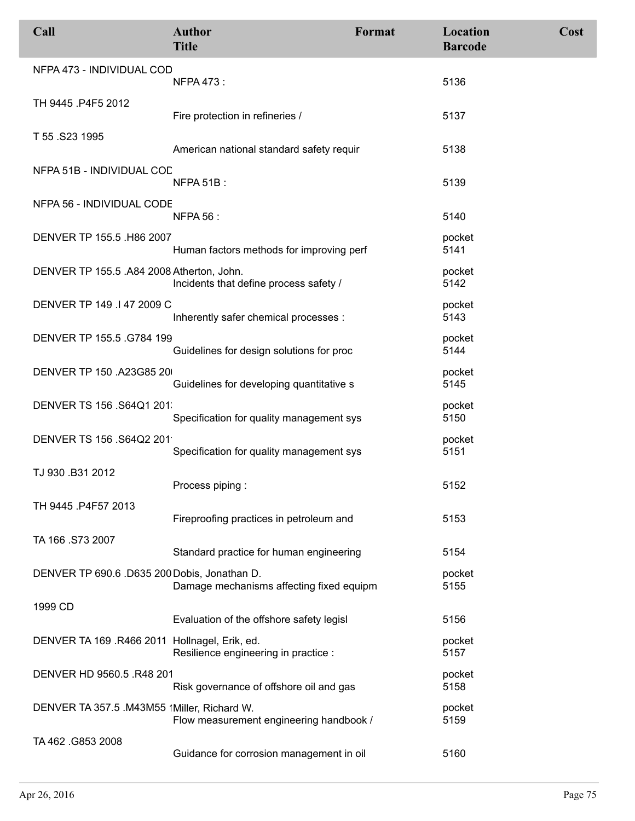| Call                                          | <b>Author</b><br><b>Title</b>            | Format | <b>Location</b><br><b>Barcode</b> | Cost |
|-----------------------------------------------|------------------------------------------|--------|-----------------------------------|------|
| NFPA 473 - INDIVIDUAL COD                     | <b>NFPA 473:</b>                         |        | 5136                              |      |
| TH 9445 .P4F5 2012                            | Fire protection in refineries /          |        | 5137                              |      |
| T 55 .S23 1995                                | American national standard safety requir |        | 5138                              |      |
| NFPA 51B - INDIVIDUAL COD                     | NFPA 51B:                                |        | 5139                              |      |
| NFPA 56 - INDIVIDUAL CODE                     | <b>NFPA 56:</b>                          |        | 5140                              |      |
| DENVER TP 155.5 .H86 2007                     | Human factors methods for improving perf |        | pocket<br>5141                    |      |
| DENVER TP 155.5 .A84 2008 Atherton, John.     | Incidents that define process safety /   |        | pocket<br>5142                    |      |
| DENVER TP 149 .147 2009 C                     | Inherently safer chemical processes :    |        | pocket<br>5143                    |      |
| DENVER TP 155.5 .G784 199                     | Guidelines for design solutions for proc |        | pocket<br>5144                    |      |
| DENVER TP 150 .A23G85 20                      | Guidelines for developing quantitative s |        | pocket<br>5145                    |      |
| DENVER TS 156 .S64Q1 201                      | Specification for quality management sys |        | pocket<br>5150                    |      |
| DENVER TS 156 .S64Q2 201                      | Specification for quality management sys |        | pocket<br>5151                    |      |
| TJ 930 .B31 2012                              | Process piping:                          |        | 5152                              |      |
| TH 9445 .P4F57 2013                           | Fireproofing practices in petroleum and  |        | 5153                              |      |
| TA 166 .S73 2007                              | Standard practice for human engineering  |        | 5154                              |      |
| DENVER TP 690.6 .D635 200 Dobis, Jonathan D.  | Damage mechanisms affecting fixed equipm |        | pocket<br>5155                    |      |
| 1999 CD                                       | Evaluation of the offshore safety legisl |        | 5156                              |      |
| DENVER TA 169 .R466 2011 Hollnagel, Erik, ed. | Resilience engineering in practice :     |        | pocket<br>5157                    |      |
| DENVER HD 9560.5 .R48 201                     | Risk governance of offshore oil and gas  |        | pocket<br>5158                    |      |
| DENVER TA 357.5 .M43M55 'Miller, Richard W.   | Flow measurement engineering handbook /  |        | pocket<br>5159                    |      |
| TA 462 .G853 2008                             | Guidance for corrosion management in oil |        | 5160                              |      |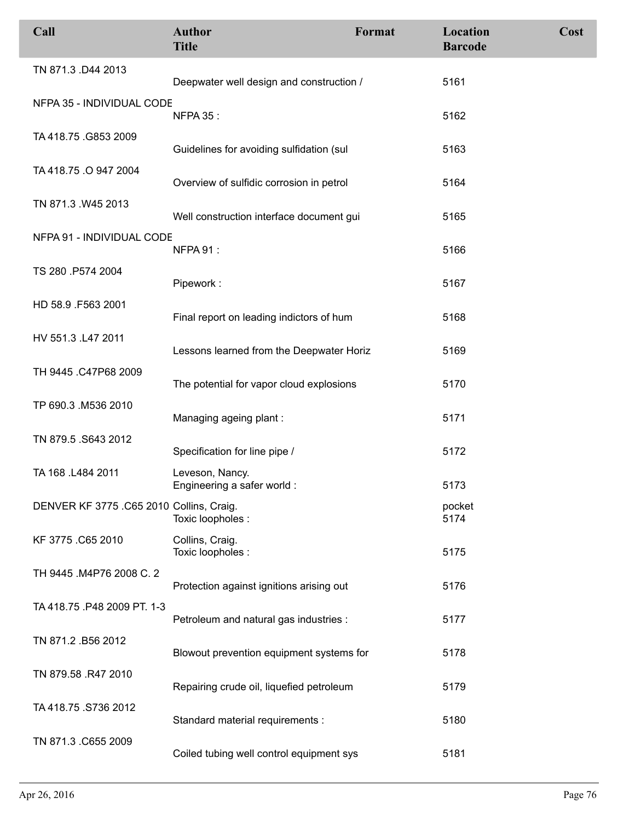| Call                                     | <b>Author</b><br><b>Title</b>                 | Format | Location<br><b>Barcode</b> | Cost |
|------------------------------------------|-----------------------------------------------|--------|----------------------------|------|
| TN 871.3 .D44 2013                       | Deepwater well design and construction /      |        | 5161                       |      |
| NFPA 35 - INDIVIDUAL CODE                | <b>NFPA 35:</b>                               |        | 5162                       |      |
| TA 418.75 .G853 2009                     | Guidelines for avoiding sulfidation (sul      |        | 5163                       |      |
| TA 418.75 .O 947 2004                    | Overview of sulfidic corrosion in petrol      |        | 5164                       |      |
| TN 871.3 .W45 2013                       | Well construction interface document gui      |        | 5165                       |      |
| NFPA 91 - INDIVIDUAL CODE                | NFPA 91:                                      |        | 5166                       |      |
| TS 280 .P574 2004                        | Pipework:                                     |        | 5167                       |      |
| HD 58.9 .F563 2001                       | Final report on leading indictors of hum      |        | 5168                       |      |
| HV 551.3 .L47 2011                       | Lessons learned from the Deepwater Horiz      |        | 5169                       |      |
| TH 9445 .C47P68 2009                     | The potential for vapor cloud explosions      |        | 5170                       |      |
| TP 690.3 .M536 2010                      | Managing ageing plant:                        |        | 5171                       |      |
| TN 879.5 S643 2012                       | Specification for line pipe /                 |        | 5172                       |      |
| TA 168 .L484 2011                        | Leveson, Nancy.<br>Engineering a safer world: |        | 5173                       |      |
| DENVER KF 3775 .C65 2010 Collins, Craig. | Toxic loopholes :                             |        | pocket<br>5174             |      |
| KF 3775 .C65 2010                        | Collins, Craig.<br>Toxic loopholes :          |        | 5175                       |      |
| TH 9445 .M4P76 2008 C. 2                 | Protection against ignitions arising out      |        | 5176                       |      |
| TA 418.75 .P48 2009 PT. 1-3              | Petroleum and natural gas industries :        |        | 5177                       |      |
| TN 871.2 .B56 2012                       | Blowout prevention equipment systems for      |        | 5178                       |      |
| TN 879.58 .R47 2010                      | Repairing crude oil, liquefied petroleum      |        | 5179                       |      |
| TA 418.75 .S736 2012                     | Standard material requirements :              |        | 5180                       |      |
| TN 871.3 .C655 2009                      | Coiled tubing well control equipment sys      |        | 5181                       |      |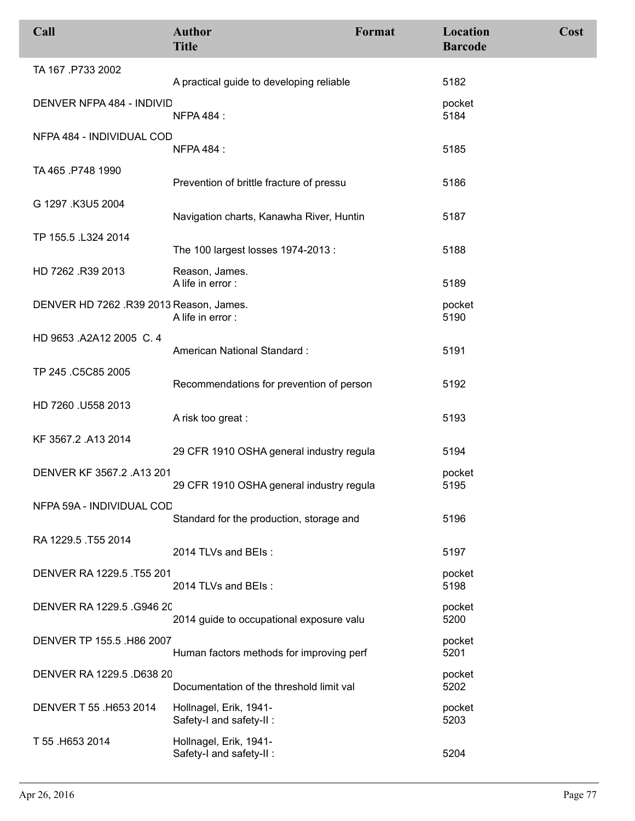| Call                                    | <b>Author</b><br><b>Title</b>                      | Format | Location<br><b>Barcode</b> | Cost |
|-----------------------------------------|----------------------------------------------------|--------|----------------------------|------|
| TA 167 .P733 2002                       | A practical guide to developing reliable           |        | 5182                       |      |
| DENVER NFPA 484 - INDIVID               | <b>NFPA 484:</b>                                   |        | pocket<br>5184             |      |
| NFPA 484 - INDIVIDUAL COD               | <b>NFPA 484:</b>                                   |        | 5185                       |      |
| TA 465 .P748 1990                       | Prevention of brittle fracture of pressu           |        | 5186                       |      |
| G 1297 .K3U5 2004                       | Navigation charts, Kanawha River, Huntin           |        | 5187                       |      |
| TP 155.5 .L324 2014                     | The 100 largest losses 1974-2013 :                 |        | 5188                       |      |
| HD 7262 .R39 2013                       | Reason, James.<br>A life in error:                 |        | 5189                       |      |
| DENVER HD 7262 .R39 2013 Reason, James. | A life in error :                                  |        | pocket<br>5190             |      |
| HD 9653 .A2A12 2005 C. 4                | American National Standard:                        |        | 5191                       |      |
| TP 245 .C5C85 2005                      | Recommendations for prevention of person           |        | 5192                       |      |
| HD 7260 .U558 2013                      | A risk too great:                                  |        | 5193                       |      |
| KF 3567.2 .A13 2014                     | 29 CFR 1910 OSHA general industry regula           |        | 5194                       |      |
| DENVER KF 3567.2 .A13 201               | 29 CFR 1910 OSHA general industry regula           |        | pocket<br>5195             |      |
| NFPA 59A - INDIVIDUAL COD               | Standard for the production, storage and           |        | 5196                       |      |
| RA 1229.5 .T55 2014                     | 2014 TLVs and BEIs:                                |        | 5197                       |      |
| DENVER RA 1229.5 .T55 201               | 2014 TLVs and BEIs:                                |        | pocket<br>5198             |      |
| DENVER RA 1229.5 .G946 20               | 2014 guide to occupational exposure valu           |        | pocket<br>5200             |      |
| DENVER TP 155.5 .H86 2007               | Human factors methods for improving perf           |        | pocket<br>5201             |      |
| DENVER RA 1229.5 .D638 20               | Documentation of the threshold limit val           |        | pocket<br>5202             |      |
| DENVER T 55 .H653 2014                  | Hollnagel, Erik, 1941-<br>Safety-I and safety-II : |        | pocket<br>5203             |      |
| T 55 .H653 2014                         | Hollnagel, Erik, 1941-<br>Safety-I and safety-II : |        | 5204                       |      |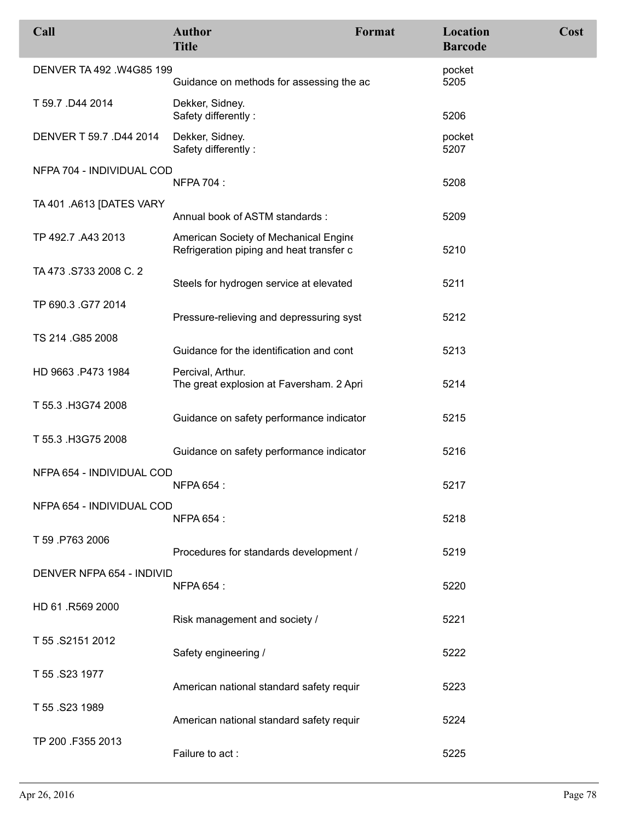| Call                      | <b>Author</b><br><b>Title</b>                                                     | Format | Location<br><b>Barcode</b> | Cost |
|---------------------------|-----------------------------------------------------------------------------------|--------|----------------------------|------|
| DENVER TA 492 .W4G85 199  | Guidance on methods for assessing the ac                                          |        | pocket<br>5205             |      |
| T 59.7 .D44 2014          | Dekker, Sidney.<br>Safety differently:                                            |        | 5206                       |      |
| DENVER T 59.7 .D44 2014   | Dekker, Sidney.<br>Safety differently:                                            |        | pocket<br>5207             |      |
| NFPA 704 - INDIVIDUAL COD | <b>NFPA 704:</b>                                                                  |        | 5208                       |      |
| TA 401 .A613 [DATES VARY  |                                                                                   |        |                            |      |
|                           | Annual book of ASTM standards:                                                    |        | 5209                       |      |
| TP 492.7 .A43 2013        | American Society of Mechanical Engine<br>Refrigeration piping and heat transfer c |        | 5210                       |      |
| TA 473 S733 2008 C. 2     |                                                                                   |        |                            |      |
|                           | Steels for hydrogen service at elevated                                           |        | 5211                       |      |
| TP 690.3 .G77 2014        | Pressure-relieving and depressuring syst                                          |        | 5212                       |      |
| TS 214 .G85 2008          | Guidance for the identification and cont                                          |        | 5213                       |      |
| HD 9663 .P473 1984        | Percival, Arthur.<br>The great explosion at Faversham. 2 Apri                     |        | 5214                       |      |
| T 55.3 .H3G74 2008        | Guidance on safety performance indicator                                          |        | 5215                       |      |
| T 55.3 .H3G75 2008        | Guidance on safety performance indicator                                          |        | 5216                       |      |
| NFPA 654 - INDIVIDUAL COD |                                                                                   |        |                            |      |
|                           | <b>NFPA 654:</b>                                                                  |        | 5217                       |      |
| NFPA 654 - INDIVIDUAL COD | <b>NFPA 654:</b>                                                                  |        | 5218                       |      |
| T 59 P763 2006            | Procedures for standards development /                                            |        | 5219                       |      |
| DENVER NFPA 654 - INDIVID | <b>NFPA 654:</b>                                                                  |        | 5220                       |      |
| HD 61 .R569 2000          | Risk management and society /                                                     |        | 5221                       |      |
| T 55 .S2151 2012          | Safety engineering /                                                              |        | 5222                       |      |
| T 55 .S23 1977            | American national standard safety requir                                          |        | 5223                       |      |
| T 55 .S23 1989            | American national standard safety requir                                          |        | 5224                       |      |
| TP 200 F355 2013          | Failure to act:                                                                   |        | 5225                       |      |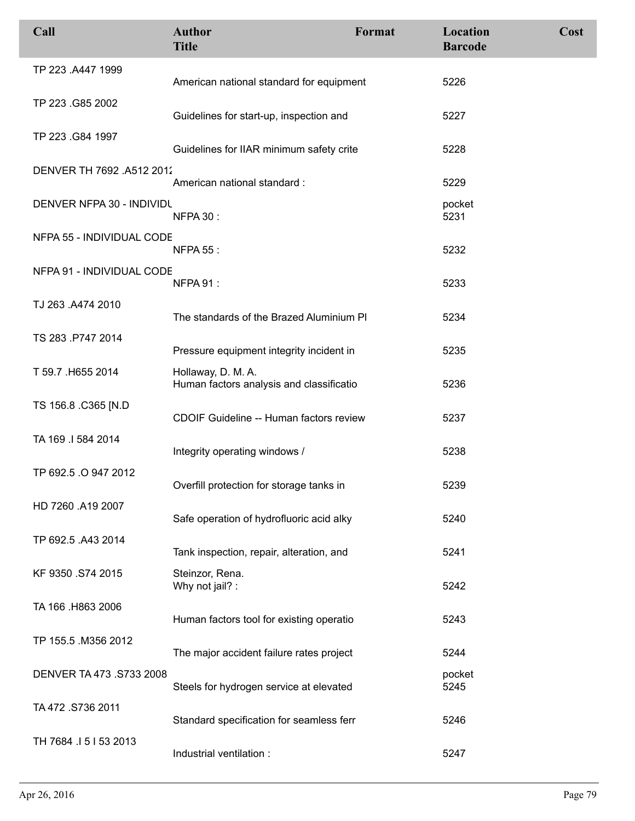| Call                      | <b>Author</b><br><b>Title</b>                                  | Format | <b>Location</b><br><b>Barcode</b> | Cost |
|---------------------------|----------------------------------------------------------------|--------|-----------------------------------|------|
| TP 223 .A447 1999         | American national standard for equipment                       |        | 5226                              |      |
| TP 223 .G85 2002          | Guidelines for start-up, inspection and                        |        | 5227                              |      |
| TP 223 .G84 1997          | Guidelines for IIAR minimum safety crite                       |        | 5228                              |      |
| DENVER TH 7692 .A512 2012 | American national standard:                                    |        | 5229                              |      |
| DENVER NFPA 30 - INDIVIDU | <b>NFPA 30:</b>                                                |        | pocket<br>5231                    |      |
| NFPA 55 - INDIVIDUAL CODE | <b>NFPA 55:</b>                                                |        | 5232                              |      |
| NFPA 91 - INDIVIDUAL CODE | NFPA 91:                                                       |        | 5233                              |      |
| TJ 263 .A474 2010         | The standards of the Brazed Aluminium PI                       |        | 5234                              |      |
| TS 283 .P747 2014         | Pressure equipment integrity incident in                       |        | 5235                              |      |
| T 59.7 .H655 2014         | Hollaway, D. M. A.<br>Human factors analysis and classificatio |        | 5236                              |      |
| TS 156.8 .C365 [N.D       | CDOIF Guideline -- Human factors review                        |        | 5237                              |      |
| TA 169 .I 584 2014        | Integrity operating windows /                                  |        | 5238                              |      |
| TP 692.5 .O 947 2012      | Overfill protection for storage tanks in                       |        | 5239                              |      |
| HD 7260 .A19 2007         | Safe operation of hydrofluoric acid alky                       |        | 5240                              |      |
| TP 692.5 .A43 2014        | Tank inspection, repair, alteration, and                       |        | 5241                              |      |
| KF 9350 .S74 2015         | Steinzor, Rena.<br>Why not jail? :                             |        | 5242                              |      |
| TA 166 .H863 2006         | Human factors tool for existing operatio                       |        | 5243                              |      |
| TP 155.5 .M356 2012       | The major accident failure rates project                       |        | 5244                              |      |
| DENVER TA 473 .S733 2008  | Steels for hydrogen service at elevated                        |        | pocket<br>5245                    |      |
| TA 472 .S736 2011         | Standard specification for seamless ferr                       |        | 5246                              |      |
| TH 7684 15153 2013        | Industrial ventilation :                                       |        | 5247                              |      |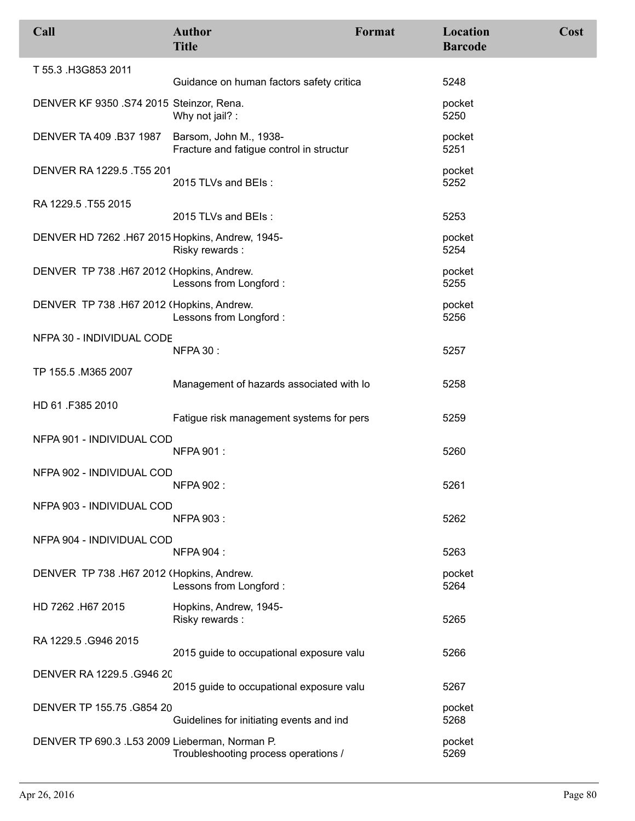| Call                                            | <b>Author</b><br><b>Title</b>                                      | Format | <b>Location</b><br><b>Barcode</b> | Cost |
|-------------------------------------------------|--------------------------------------------------------------------|--------|-----------------------------------|------|
| T 55.3 .H3G853 2011                             |                                                                    |        |                                   |      |
|                                                 | Guidance on human factors safety critica                           |        | 5248                              |      |
| DENVER KF 9350 .S74 2015 Steinzor, Rena.        | Why not jail? :                                                    |        | pocket<br>5250                    |      |
| DENVER TA 409 .B37 1987                         | Barsom, John M., 1938-<br>Fracture and fatigue control in structur |        | pocket<br>5251                    |      |
| DENVER RA 1229.5 .T55 201                       | 2015 TLVs and BEIs:                                                |        | pocket<br>5252                    |      |
| RA 1229.5 .T55 2015                             |                                                                    |        |                                   |      |
|                                                 | 2015 TLVs and BEIs:                                                |        | 5253                              |      |
| DENVER HD 7262 .H67 2015 Hopkins, Andrew, 1945- | Risky rewards:                                                     |        | pocket<br>5254                    |      |
| DENVER TP 738 .H67 2012 (Hopkins, Andrew.       | Lessons from Longford :                                            |        | pocket<br>5255                    |      |
| DENVER TP 738 .H67 2012 (Hopkins, Andrew.       | Lessons from Longford:                                             |        | pocket<br>5256                    |      |
| NFPA 30 - INDIVIDUAL CODE                       |                                                                    |        |                                   |      |
|                                                 | <b>NFPA 30:</b>                                                    |        | 5257                              |      |
| TP 155.5 .M365 2007                             | Management of hazards associated with lo                           |        | 5258                              |      |
| HD 61 .F385 2010                                | Fatigue risk management systems for pers                           |        | 5259                              |      |
| NFPA 901 - INDIVIDUAL COD                       |                                                                    |        |                                   |      |
|                                                 | <b>NFPA 901:</b>                                                   |        | 5260                              |      |
| NFPA 902 - INDIVIDUAL COD                       | <b>NFPA 902:</b>                                                   |        | 5261                              |      |
| NFPA 903 - INDIVIDUAL COD                       |                                                                    |        |                                   |      |
|                                                 | <b>NFPA 903:</b>                                                   |        | 5262                              |      |
| NFPA 904 - INDIVIDUAL COD                       | <b>NFPA 904:</b>                                                   |        | 5263                              |      |
| DENVER TP 738 .H67 2012 (Hopkins, Andrew.       | Lessons from Longford :                                            |        | pocket<br>5264                    |      |
| HD 7262 .H67 2015                               | Hopkins, Andrew, 1945-<br>Risky rewards:                           |        | 5265                              |      |
| RA 1229.5 .G946 2015                            | 2015 guide to occupational exposure valu                           |        | 5266                              |      |
| DENVER RA 1229.5 .G946 20                       |                                                                    |        |                                   |      |
|                                                 | 2015 guide to occupational exposure valu                           |        | 5267                              |      |
| DENVER TP 155.75 .G854 20                       | Guidelines for initiating events and ind                           |        | pocket<br>5268                    |      |
| DENVER TP 690.3 .L53 2009 Lieberman, Norman P.  | Troubleshooting process operations /                               |        | pocket<br>5269                    |      |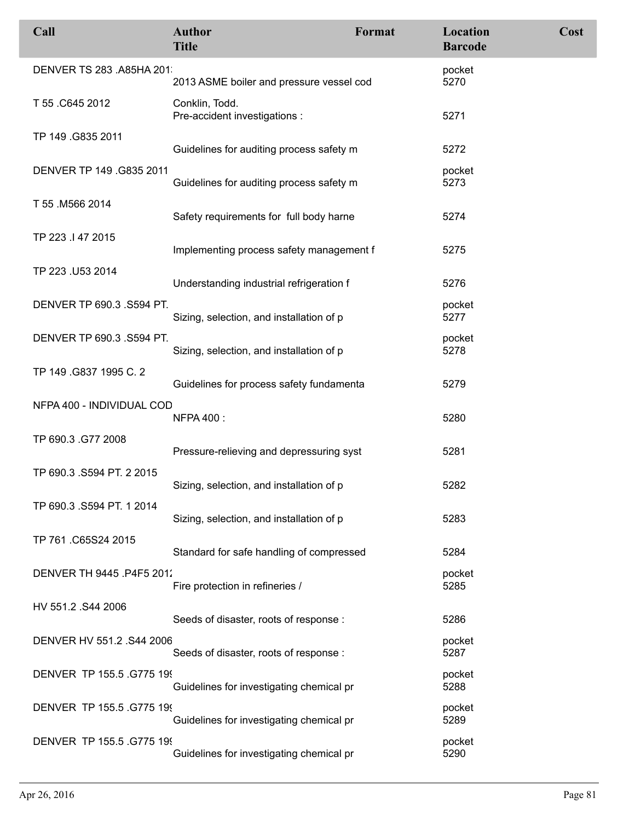| Call                      | <b>Author</b><br><b>Title</b>                   | Format | Location<br><b>Barcode</b> | Cost |
|---------------------------|-------------------------------------------------|--------|----------------------------|------|
| DENVER TS 283 .A85HA 201  | 2013 ASME boiler and pressure vessel cod        |        | pocket<br>5270             |      |
| T 55 .C645 2012           | Conklin, Todd.<br>Pre-accident investigations : |        | 5271                       |      |
| TP 149 .G835 2011         | Guidelines for auditing process safety m        |        | 5272                       |      |
| DENVER TP 149 .G835 2011  | Guidelines for auditing process safety m        |        | pocket<br>5273             |      |
| T 55 .M566 2014           | Safety requirements for full body harne         |        | 5274                       |      |
| TP 223 .I 47 2015         | Implementing process safety management f        |        | 5275                       |      |
| TP 223 .U53 2014          | Understanding industrial refrigeration f        |        | 5276                       |      |
| DENVER TP 690.3 .S594 PT. | Sizing, selection, and installation of p        |        | pocket<br>5277             |      |
| DENVER TP 690.3 .S594 PT. | Sizing, selection, and installation of p        |        | pocket<br>5278             |      |
| TP 149 .G837 1995 C. 2    | Guidelines for process safety fundamenta        |        | 5279                       |      |
| NFPA 400 - INDIVIDUAL COD | <b>NFPA 400:</b>                                |        | 5280                       |      |
| TP 690.3 .G77 2008        | Pressure-relieving and depressuring syst        |        | 5281                       |      |
| TP 690.3 .S594 PT. 2 2015 | Sizing, selection, and installation of p        |        | 5282                       |      |
| TP 690.3 .S594 PT. 1 2014 | Sizing, selection, and installation of p        |        | 5283                       |      |
| TP 761.C65S24 2015        | Standard for safe handling of compressed        |        | 5284                       |      |
| DENVER TH 9445 .P4F5 201. | Fire protection in refineries /                 |        | pocket<br>5285             |      |
| HV 551.2 .S44 2006        | Seeds of disaster, roots of response:           |        | 5286                       |      |
| DENVER HV 551.2 .S44 2006 | Seeds of disaster, roots of response:           |        | pocket<br>5287             |      |
| DENVER TP 155.5 .G775 199 | Guidelines for investigating chemical pr        |        | pocket<br>5288             |      |
| DENVER TP 155.5 .G775 199 | Guidelines for investigating chemical pr        |        | pocket<br>5289             |      |
| DENVER TP 155.5 .G775 199 | Guidelines for investigating chemical pr        |        | pocket<br>5290             |      |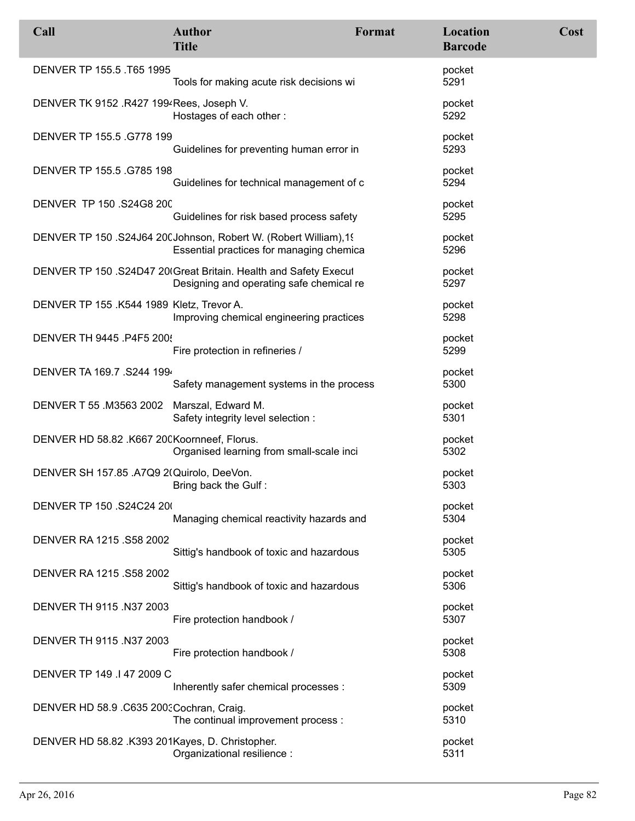| Call                                            | <b>Author</b><br><b>Title</b>                                                                                 | Format | Location<br><b>Barcode</b> | Cost |
|-------------------------------------------------|---------------------------------------------------------------------------------------------------------------|--------|----------------------------|------|
| DENVER TP 155.5 .T65 1995                       | Tools for making acute risk decisions wi                                                                      |        | pocket<br>5291             |      |
| DENVER TK 9152 .R427 1994 Rees, Joseph V.       | Hostages of each other:                                                                                       |        | pocket<br>5292             |      |
| DENVER TP 155.5 .G778 199                       | Guidelines for preventing human error in                                                                      |        | pocket<br>5293             |      |
| DENVER TP 155.5 .G785 198                       | Guidelines for technical management of c                                                                      |        | pocket<br>5294             |      |
| DENVER TP 150 .S24G8 200                        | Guidelines for risk based process safety                                                                      |        | pocket<br>5295             |      |
|                                                 | DENVER TP 150 .S24J64 200 Johnson, Robert W. (Robert William), 19<br>Essential practices for managing chemica |        | pocket<br>5296             |      |
|                                                 | DENVER TP 150 .S24D47 20 Great Britain. Health and Safety Execul<br>Designing and operating safe chemical re  |        | pocket<br>5297             |      |
| DENVER TP 155 .K544 1989 Kletz, Trevor A.       | Improving chemical engineering practices                                                                      |        | pocket<br>5298             |      |
| DENVER TH 9445 .P4F5 200!                       | Fire protection in refineries /                                                                               |        | pocket<br>5299             |      |
| DENVER TA 169.7 .S244 199                       | Safety management systems in the process                                                                      |        | pocket<br>5300             |      |
| DENVER T 55 .M3563 2002                         | Marszal, Edward M.<br>Safety integrity level selection :                                                      |        | pocket<br>5301             |      |
| DENVER HD 58.82 .K667 20CKoornneef, Florus.     | Organised learning from small-scale inci                                                                      |        | pocket<br>5302             |      |
| DENVER SH 157.85 .A7Q9 2(Quirolo, DeeVon.       | Bring back the Gulf:                                                                                          |        | pocket<br>5303             |      |
| DENVER TP 150 .S24C24 20                        | Managing chemical reactivity hazards and                                                                      |        | pocket<br>5304             |      |
| DENVER RA 1215 .S58 2002                        | Sittig's handbook of toxic and hazardous                                                                      |        | pocket<br>5305             |      |
| DENVER RA 1215 .S58 2002                        | Sittig's handbook of toxic and hazardous                                                                      |        | pocket<br>5306             |      |
| DENVER TH 9115 .N37 2003                        | Fire protection handbook /                                                                                    |        | pocket<br>5307             |      |
| DENVER TH 9115 .N37 2003                        | Fire protection handbook /                                                                                    |        | pocket<br>5308             |      |
| DENVER TP 149 .I 47 2009 C                      | Inherently safer chemical processes :                                                                         |        | pocket<br>5309             |      |
| DENVER HD 58.9 .C635 2003 Cochran, Craig.       | The continual improvement process :                                                                           |        | pocket<br>5310             |      |
| DENVER HD 58.82 .K393 201Kayes, D. Christopher. | Organizational resilience :                                                                                   |        | pocket<br>5311             |      |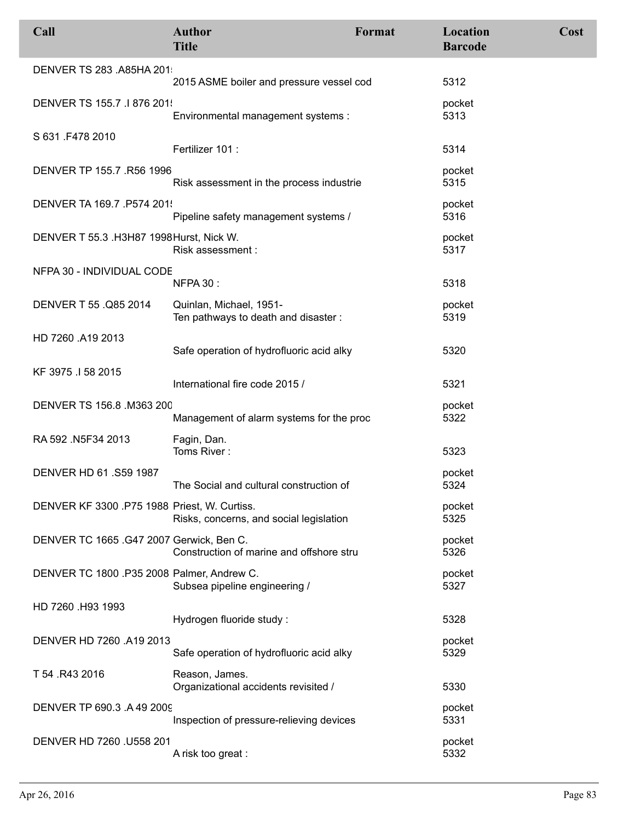| Call                                         | <b>Author</b><br><b>Title</b>                                  | Format | Location<br><b>Barcode</b> | Cost |
|----------------------------------------------|----------------------------------------------------------------|--------|----------------------------|------|
| DENVER TS 283 .A85HA 201                     | 2015 ASME boiler and pressure vessel cod                       |        | 5312                       |      |
| DENVER TS 155.7 .I 876 201                   | Environmental management systems :                             |        | pocket<br>5313             |      |
| S 631 .F478 2010                             | Fertilizer 101 :                                               |        | 5314                       |      |
| DENVER TP 155.7 .R56 1996                    | Risk assessment in the process industrie                       |        | pocket<br>5315             |      |
| DENVER TA 169.7 .P574 201.                   | Pipeline safety management systems /                           |        | pocket<br>5316             |      |
| DENVER T 55.3 .H3H87 1998 Hurst, Nick W.     | Risk assessment :                                              |        | pocket<br>5317             |      |
| NFPA 30 - INDIVIDUAL CODE                    | <b>NFPA 30:</b>                                                |        | 5318                       |      |
| DENVER T 55 .Q85 2014                        | Quinlan, Michael, 1951-<br>Ten pathways to death and disaster: |        | pocket<br>5319             |      |
| HD 7260 .A19 2013                            | Safe operation of hydrofluoric acid alky                       |        | 5320                       |      |
| KF 3975 .I 58 2015                           | International fire code 2015 /                                 |        | 5321                       |      |
| DENVER TS 156.8 M363 200                     | Management of alarm systems for the proc                       |        | pocket<br>5322             |      |
| RA 592 .N5F34 2013                           | Fagin, Dan.<br>Toms River:                                     |        | 5323                       |      |
| DENVER HD 61.S59 1987                        | The Social and cultural construction of                        |        | pocket<br>5324             |      |
| DENVER KF 3300 .P75 1988 Priest, W. Curtiss. | Risks, concerns, and social legislation                        |        | pocket<br>5325             |      |
| DENVER TC 1665 .G47 2007 Gerwick, Ben C.     | Construction of marine and offshore stru                       |        | pocket<br>5326             |      |
| DENVER TC 1800 .P35 2008 Palmer, Andrew C.   | Subsea pipeline engineering /                                  |        | pocket<br>5327             |      |
| HD 7260 .H93 1993                            | Hydrogen fluoride study:                                       |        | 5328                       |      |
| DENVER HD 7260 .A19 2013                     | Safe operation of hydrofluoric acid alky                       |        | pocket<br>5329             |      |
| T 54 .R43 2016                               | Reason, James.<br>Organizational accidents revisited /         |        | 5330                       |      |
| DENVER TP 690.3 .A 49 2009                   | Inspection of pressure-relieving devices                       |        | pocket<br>5331             |      |
| DENVER HD 7260 .U558 201                     | A risk too great :                                             |        | pocket<br>5332             |      |